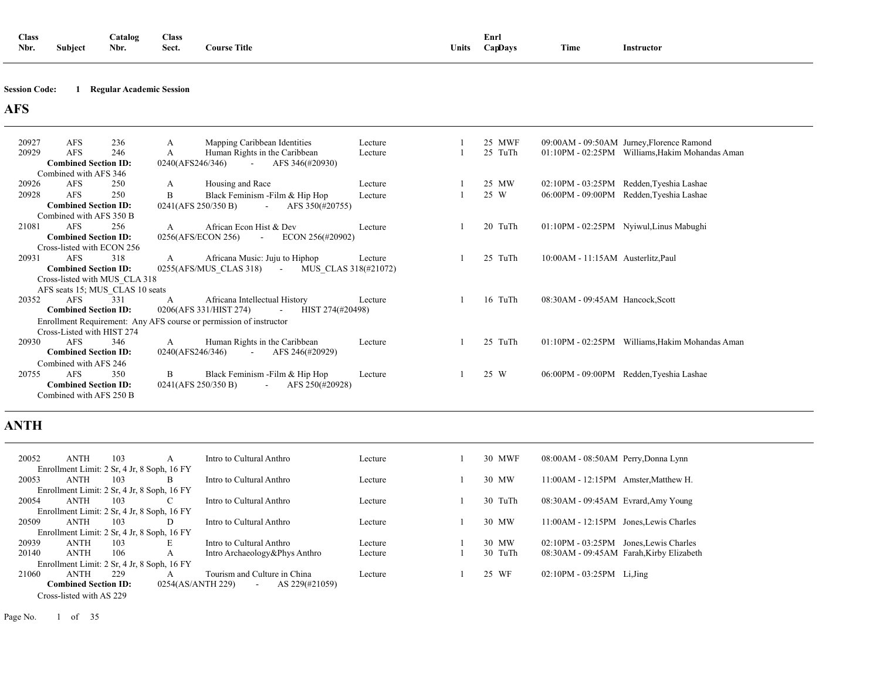| <b>Class</b> |         | atalog                  | Class           |                             |       | Enr     |               |            |
|--------------|---------|-------------------------|-----------------|-----------------------------|-------|---------|---------------|------------|
| Nbr.         | Subiect | - -<br>Nbr.<br>$\cdots$ | $\sim$<br>Sect. | <b>Title</b><br><b>ours</b> | ∪nits | `anDavs | can a<br>Lîme | Instructor |

#### **Session Code: 1 Regular Academic Session**

### **AFS**

| 20927 | <b>AFS</b>                      | 236 | A                | Mapping Caribbean Identities                                       | Lecture              |  | 25 MWF  |                                    | 09:00AM - 09:50AM Jurney, Florence Ramond       |
|-------|---------------------------------|-----|------------------|--------------------------------------------------------------------|----------------------|--|---------|------------------------------------|-------------------------------------------------|
| 20929 | <b>AFS</b>                      | 246 | A                | Human Rights in the Caribbean                                      | Lecture              |  | 25 TuTh |                                    | 01:10PM - 02:25PM Williams, Hakim Mohandas Aman |
|       | <b>Combined Section ID:</b>     |     | 0240(AFS246/346) | AFS 346(#20930)<br>$\sim$ $-$                                      |                      |  |         |                                    |                                                 |
|       | Combined with AFS 346           |     |                  |                                                                    |                      |  |         |                                    |                                                 |
| 20926 | <b>AFS</b>                      | 250 | A                | Housing and Race                                                   | Lecture              |  | 25 MW   |                                    | 02:10PM - 03:25PM Redden, Tyeshia Lashae        |
| 20928 | <b>AFS</b>                      | 250 | B                | Black Feminism - Film & Hip Hop                                    | Lecture              |  | 25 W    | 06:00PM - 09:00PM                  | Redden, Tyeshia Lashae                          |
|       | <b>Combined Section ID:</b>     |     |                  | 0241(AFS 250/350 B)<br>AFS 350(#20755)<br>$\sim$                   |                      |  |         |                                    |                                                 |
|       | Combined with AFS 350 B         |     |                  |                                                                    |                      |  |         |                                    |                                                 |
| 21081 | AFS                             | 256 | A                | African Econ Hist & Dev                                            | Lecture              |  | 20 TuTh |                                    | 01:10PM - 02:25PM Nyiwul, Linus Mabughi         |
|       | <b>Combined Section ID:</b>     |     |                  | 0256(AFS/ECON 256)<br>ECON 256(#20902)<br>$\sim$                   |                      |  |         |                                    |                                                 |
|       | Cross-listed with ECON 256      |     |                  |                                                                    |                      |  |         |                                    |                                                 |
| 20931 | <b>AFS</b>                      | 318 | A                | Africana Music: Juju to Hiphop                                     | Lecture              |  | 25 TuTh | 10:00AM - 11:15AM Austerlitz, Paul |                                                 |
|       | <b>Combined Section ID:</b>     |     |                  | 0255(AFS/MUS CLAS 318)<br>$\sim$                                   | MUS CLAS 318(#21072) |  |         |                                    |                                                 |
|       | Cross-listed with MUS CLA 318   |     |                  |                                                                    |                      |  |         |                                    |                                                 |
|       | AFS seats 15; MUS CLAS 10 seats |     |                  |                                                                    |                      |  |         |                                    |                                                 |
| 20352 | <b>AFS</b>                      | 331 | A                | Africana Intellectual History                                      | Lecture              |  | 16 TuTh | 08:30AM - 09:45AM Hancock, Scott   |                                                 |
|       | <b>Combined Section ID:</b>     |     |                  | 0206(AFS 331/HIST 274)<br>HIST 274(#20498)<br>$\sim$               |                      |  |         |                                    |                                                 |
|       |                                 |     |                  | Enrollment Requirement: Any AFS course or permission of instructor |                      |  |         |                                    |                                                 |
|       | Cross-Listed with HIST 274      |     |                  |                                                                    |                      |  |         |                                    |                                                 |
| 20930 | <b>AFS</b>                      | 346 | A                | Human Rights in the Caribbean                                      | Lecture              |  | 25 TuTh | $01:10PM - 02:25PM$                | Williams, Hakim Mohandas Aman                   |
|       | <b>Combined Section ID:</b>     |     | 0240(AFS246/346) | AFS 246(#20929)<br>$\sim$ .                                        |                      |  |         |                                    |                                                 |
|       | Combined with AFS 246           |     |                  |                                                                    |                      |  |         |                                    |                                                 |
| 20755 | <b>AFS</b>                      | 350 | B                | Black Feminism - Film & Hip Hop                                    | Lecture              |  | 25 W    |                                    | 06:00PM - 09:00PM Redden, Tyeshia Lashae        |
|       | <b>Combined Section ID:</b>     |     |                  | 0241(AFS 250/350 B)<br>AFS 250(#20928)<br>$\sim$                   |                      |  |         |                                    |                                                 |
|       | Combined with AFS 250 B         |     |                  |                                                                    |                      |  |         |                                    |                                                 |

### **ANTH**

| 20052                                       | <b>ANTH</b>                 | 103 | A                                           | Intro to Cultural Anthro      | Lecture | 30 MWF   | 08:00AM - 08:50AM Perry, Donna Lynn      |  |
|---------------------------------------------|-----------------------------|-----|---------------------------------------------|-------------------------------|---------|----------|------------------------------------------|--|
|                                             |                             |     | Enrollment Limit: 2 Sr, 4 Jr, 8 Soph, 16 FY |                               |         |          |                                          |  |
| 20053                                       | <b>ANTH</b>                 | 103 | B.                                          | Intro to Cultural Anthro      | Lecture | 30 MW    | 11:00AM - 12:15PM Amster. Matthew H.     |  |
|                                             |                             |     | Enrollment Limit: 2 Sr, 4 Jr, 8 Soph, 16 FY |                               |         |          |                                          |  |
| 20054                                       | <b>ANTH</b>                 | 103 |                                             | Intro to Cultural Anthro      | Lecture | 30 TuTh  | 08:30AM - 09:45AM Evrard, Amy Young      |  |
| Enrollment Limit: 2 Sr, 4 Jr, 8 Soph, 16 FY |                             |     |                                             |                               |         |          |                                          |  |
| 20509                                       | <b>ANTH</b>                 | 103 | D                                           | Intro to Cultural Anthro      | Lecture | 30 MW    | 11:00AM - 12:15PM Jones, Lewis Charles   |  |
|                                             |                             |     | Enrollment Limit: 2 Sr, 4 Jr, 8 Soph, 16 FY |                               |         |          |                                          |  |
| 20939                                       | <b>ANTH</b>                 | 103 | Е                                           | Intro to Cultural Anthro      | Lecture | 30 MW    | $02:10PM - 03:25PM$ Jones, Lewis Charles |  |
| 20140                                       | <b>ANTH</b>                 | 106 | A                                           | Intro Archaeology&Phys Anthro | Lecture | 30 TuTh  | 08:30AM - 09:45AM Farah, Kirby Elizabeth |  |
|                                             |                             |     | Enrollment Limit: 2 Sr, 4 Jr, 8 Soph, 16 FY |                               |         |          |                                          |  |
| 21060                                       | <b>ANTH</b>                 | 229 | A                                           | Tourism and Culture in China  | Lecture | 25<br>WF | $02:10PM - 03:25PM$ Li.Jing              |  |
|                                             | <b>Combined Section ID:</b> |     | 0254(AS/ANTH 229)                           | AS 229(#21059)<br>$\sim$      |         |          |                                          |  |
|                                             | Cross-listed with AS 229    |     |                                             |                               |         |          |                                          |  |

Page No. 1 of 35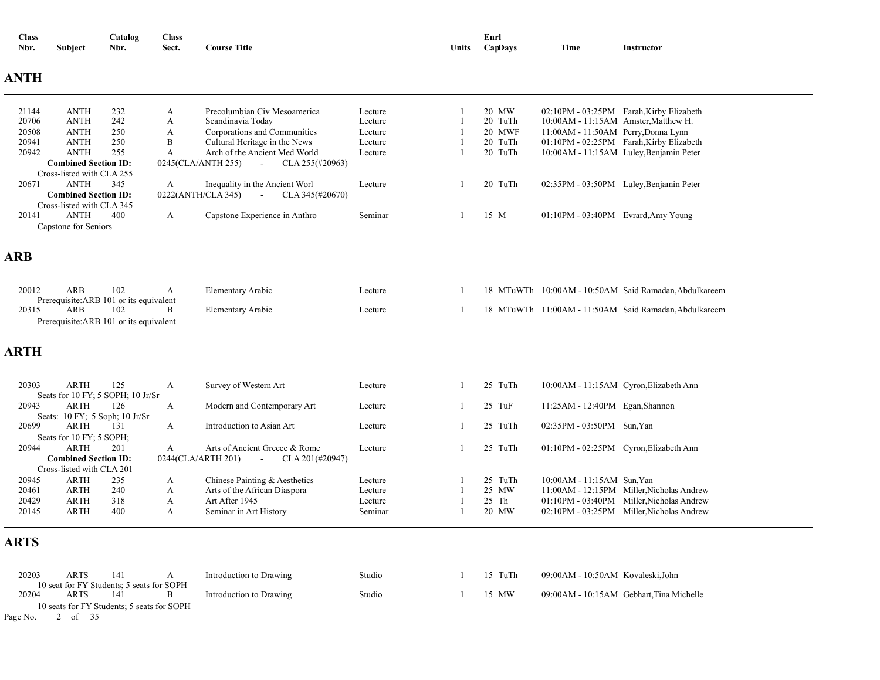| <b>Class</b><br>Nbr. | Subject                                                  | Catalog<br>Nbr. | <b>Class</b><br>Sect. | <b>Course Title</b>                                     |         | Units | Enrl<br>CapDays | Time                                     | Instructor                                            |
|----------------------|----------------------------------------------------------|-----------------|-----------------------|---------------------------------------------------------|---------|-------|-----------------|------------------------------------------|-------------------------------------------------------|
| <b>ANTH</b>          |                                                          |                 |                       |                                                         |         |       |                 |                                          |                                                       |
| 21144                | <b>ANTH</b>                                              | 232             | A                     | Precolumbian Civ Mesoamerica                            | Lecture |       | 20 MW           |                                          | 02:10PM - 03:25PM Farah, Kirby Elizabeth              |
| 20706                | <b>ANTH</b>                                              | 242             | A                     | Scandinavia Today                                       | Lecture |       | 20 TuTh         | 10:00AM - 11:15AM Amster, Matthew H.     |                                                       |
| 20508                | <b>ANTH</b>                                              | 250             | A                     | Corporations and Communities                            | Lecture |       | 20 MWF          | 11:00AM - 11:50AM Perry, Donna Lynn      |                                                       |
| 20941                | <b>ANTH</b>                                              | 250             | B                     | Cultural Heritage in the News                           | Lecture |       | 20 TuTh         |                                          | 01:10PM - 02:25PM Farah, Kirby Elizabeth              |
| 20942                | <b>ANTH</b>                                              | 255             | A                     | Arch of the Ancient Med World                           | Lecture |       | 20 TuTh         |                                          | 10:00AM - 11:15AM Luley, Benjamin Peter               |
|                      | <b>Combined Section ID:</b>                              |                 |                       | 0245(CLA/ANTH 255)<br>$\sim 100$<br>CLA 255(#20963)     |         |       |                 |                                          |                                                       |
|                      | Cross-listed with CLA 255                                |                 |                       |                                                         |         |       |                 |                                          |                                                       |
| 20671                | <b>ANTH</b>                                              | 345             | A                     | Inequality in the Ancient Worl                          | Lecture |       | 20 TuTh         |                                          | 02:35PM - 03:50PM Luley, Benjamin Peter               |
|                      | <b>Combined Section ID:</b><br>Cross-listed with CLA 345 |                 |                       | 0222(ANTH/CLA 345)<br>CLA 345(#20670)<br>$\sim 10^{-1}$ |         |       |                 |                                          |                                                       |
| 20141                | <b>ANTH</b>                                              | 400             | A                     | Capstone Experience in Anthro                           | Seminar | -1    | 15 M            | 01:10PM - 03:40PM Evrard, Amy Young      |                                                       |
|                      | Capstone for Seniors                                     |                 |                       |                                                         |         |       |                 |                                          |                                                       |
| <b>ARB</b>           |                                                          |                 |                       |                                                         |         |       |                 |                                          |                                                       |
| 20012                | ARB                                                      | 102             | A                     | Elementary Arabic                                       | Lecture | -1    |                 |                                          | 18 MTuWTh 10:00AM - 10:50AM Said Ramadan, Abdulkareem |
|                      | Prerequisite: ARB 101 or its equivalent                  |                 |                       |                                                         |         |       |                 |                                          |                                                       |
| 20315                | ARB                                                      | 102             | B                     | <b>Elementary Arabic</b>                                | Lecture | -1    |                 |                                          | 18 MTuWTh 11:00AM - 11:50AM Said Ramadan, Abdulkareem |
|                      | Prerequisite: ARB 101 or its equivalent                  |                 |                       |                                                         |         |       |                 |                                          |                                                       |
|                      |                                                          |                 |                       |                                                         |         |       |                 |                                          |                                                       |
| <b>ARTH</b>          |                                                          |                 |                       |                                                         |         |       |                 |                                          |                                                       |
| 20303                | <b>ARTH</b><br>Seats for 10 FY; 5 SOPH; 10 Jr/Sr         | 125             | A                     | Survey of Western Art                                   | Lecture |       | 25 TuTh         | 10:00 AM - 11:15 AM Cyron, Elizabeth Ann |                                                       |
| 20943                | <b>ARTH</b><br>Seats: 10 FY; 5 Soph; 10 Jr/Sr            | 126             | A                     | Modern and Contemporary Art                             | Lecture | -1    | $25$ TuF        | 11:25AM - 12:40PM Egan, Shannon          |                                                       |
| 20699                | ARTH                                                     | 131             | A                     | Introduction to Asian Art                               | Lecture | -1    | 25 TuTh         | 02:35PM - 03:50PM Sun, Yan               |                                                       |
|                      | Seats for 10 FY; 5 SOPH;                                 |                 |                       |                                                         |         |       |                 |                                          |                                                       |
| 20944                | <b>ARTH</b>                                              | 201             | A                     | Arts of Ancient Greece & Rome                           | Lecture | -1    | 25 TuTh         | 01:10PM - 02:25PM Cyron, Elizabeth Ann   |                                                       |
|                      | <b>Combined Section ID:</b>                              |                 |                       | 0244(CLA/ARTH 201)<br>CLA 201(#20947)<br>$\sim$         |         |       |                 |                                          |                                                       |
|                      | Cross-listed with CLA 201                                |                 |                       |                                                         |         |       |                 |                                          |                                                       |
| 20945                | <b>ARTH</b>                                              | 235             | A                     | Chinese Painting & Aesthetics                           | Lecture |       | 25 TuTh         | 10:00AM - 11:15AM Sun.Yan                |                                                       |
| 20461                | <b>ARTH</b>                                              | 240             | A                     | Arts of the African Diaspora                            | Lecture |       | 25 MW           |                                          | 11:00AM - 12:15PM Miller, Nicholas Andrew             |
| 20429                | <b>ARTH</b>                                              | 318             | A                     | Art After 1945                                          | Lecture |       | 25 Th           |                                          | 01:10PM - 03:40PM Miller, Nicholas Andrew             |
| 20145                | <b>ARTH</b>                                              | 400             | A                     | Seminar in Art History                                  | Seminar |       | 20 MW           |                                          | 02:10PM - 03:25PM Miller, Nicholas Andrew             |
| <b>ARTS</b>          |                                                          |                 |                       |                                                         |         |       |                 |                                          |                                                       |
| 20203                | <b>ARTS</b>                                              | 141             | A                     | Introduction to Drawing                                 | Studio  |       | 15 TuTh         | 09:00AM - 10:50AM Kovaleski, John        |                                                       |
| 20204                | 10 seat for FY Students; 5 seats for SOPH<br>ARTS        | 141             | B                     | Introduction to Drawing                                 | Studio  |       | 15 MW           |                                          | 09:00AM - 10:15AM Gebhart, Tina Michelle              |
| Page No.             | 10 seats for FY Students; 5 seats for SOPH<br>2 of 35    |                 |                       |                                                         |         |       |                 |                                          |                                                       |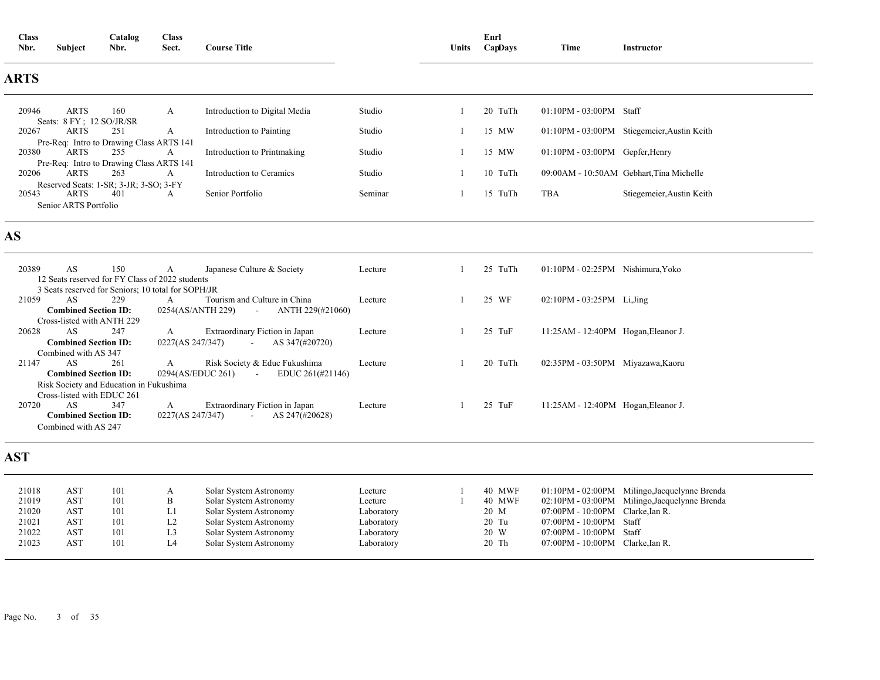| <b>Class</b><br>Nbr.                               | <b>Subject</b>                                                                          | Catalog<br>Nbr.                                           | <b>Class</b><br>Sect.                      | <b>Course Title</b>                                                                                                                                      |                                                                            | Units    | Enrl<br>CapDays                                    | Time                                                                                                                       | Instructor                                                                                     |
|----------------------------------------------------|-----------------------------------------------------------------------------------------|-----------------------------------------------------------|--------------------------------------------|----------------------------------------------------------------------------------------------------------------------------------------------------------|----------------------------------------------------------------------------|----------|----------------------------------------------------|----------------------------------------------------------------------------------------------------------------------------|------------------------------------------------------------------------------------------------|
| <b>ARTS</b>                                        |                                                                                         |                                                           |                                            |                                                                                                                                                          |                                                                            |          |                                                    |                                                                                                                            |                                                                                                |
| 20946                                              | <b>ARTS</b><br>Seats: 8 FY; 12 SO/JR/SR                                                 | 160                                                       | A                                          | Introduction to Digital Media                                                                                                                            | Studio                                                                     | -1       | 20 TuTh                                            | $01:10PM - 03:00PM$ Staff                                                                                                  |                                                                                                |
| 20267                                              | <b>ARTS</b>                                                                             | 251<br>Pre-Req: Intro to Drawing Class ARTS 141           | A                                          | Introduction to Painting                                                                                                                                 | Studio                                                                     | -1       | 15 MW                                              |                                                                                                                            | 01:10PM - 03:00PM Stiegemeier, Austin Keith                                                    |
| 20380                                              | <b>ARTS</b>                                                                             | 255                                                       | A                                          | Introduction to Printmaking                                                                                                                              | Studio                                                                     | -1       | 15 MW                                              | 01:10PM - 03:00PM Gepfer, Henry                                                                                            |                                                                                                |
| 20206                                              | <b>ARTS</b>                                                                             | Pre-Req: Intro to Drawing Class ARTS 141<br>263           | A                                          | Introduction to Ceramics                                                                                                                                 | Studio                                                                     | -1       | 10 TuTh                                            |                                                                                                                            | 09:00AM - 10:50AM Gebhart, Tina Michelle                                                       |
| 20543                                              | <b>ARTS</b><br>Senior ARTS Portfolio                                                    | Reserved Seats: 1-SR; 3-JR; 3-SO; 3-FY<br>401             | A                                          | Senior Portfolio                                                                                                                                         | Seminar                                                                    | 1        | 15 TuTh                                            | <b>TBA</b>                                                                                                                 | Stiegemeier, Austin Keith                                                                      |
| AS                                                 |                                                                                         |                                                           |                                            |                                                                                                                                                          |                                                                            |          |                                                    |                                                                                                                            |                                                                                                |
| 20389                                              | AS                                                                                      | 150<br>12 Seats reserved for FY Class of 2022 students    | A                                          | Japanese Culture & Society                                                                                                                               | Lecture                                                                    | 1        | 25 TuTh                                            | 01:10PM - 02:25PM Nishimura, Yoko                                                                                          |                                                                                                |
| 21059                                              | AS.<br><b>Combined Section ID:</b><br>Cross-listed with ANTH 229                        | 3 Seats reserved for Seniors; 10 total for SOPH/JR<br>229 | A<br>0254(AS/ANTH 229)                     | Tourism and Culture in China<br>ANTH 229(#21060)<br>$\omega_{\rm{max}}$                                                                                  | Lecture                                                                    |          | 25 WF                                              | 02:10PM - 03:25PM Li, Jing                                                                                                 |                                                                                                |
| 20628                                              | AS<br><b>Combined Section ID:</b><br>Combined with AS 347                               | 247                                                       | A<br>0227(AS 247/347)                      | Extraordinary Fiction in Japan<br>AS 347(#20720)                                                                                                         | Lecture                                                                    |          | 25 TuF                                             | 11:25AM - 12:40PM Hogan, Eleanor J.                                                                                        |                                                                                                |
| 21147                                              | AS<br><b>Combined Section ID:</b>                                                       | 261<br>Risk Society and Education in Fukushima            | A<br>0294(AS/EDUC 261)                     | Risk Society & Educ Fukushima<br>EDUC 261(#21146)<br><b>Contact Contact</b>                                                                              | Lecture                                                                    | -1       | 20 TuTh                                            | 02:35PM - 03:50PM Miyazawa, Kaoru                                                                                          |                                                                                                |
| 20720                                              | Cross-listed with EDUC 261<br>AS<br><b>Combined Section ID:</b><br>Combined with AS 247 | 347                                                       | A<br>0227(AS 247/347)                      | Extraordinary Fiction in Japan<br>AS 247(#20628)<br>$\sim 100$                                                                                           | Lecture                                                                    |          | 25 TuF                                             | 11:25AM - 12:40PM Hogan, Eleanor J.                                                                                        |                                                                                                |
| <b>AST</b>                                         |                                                                                         |                                                           |                                            |                                                                                                                                                          |                                                                            |          |                                                    |                                                                                                                            |                                                                                                |
| 21018<br>21019<br>21020<br>21021<br>21022<br>21023 | <b>AST</b><br><b>AST</b><br><b>AST</b><br><b>AST</b><br><b>AST</b><br><b>AST</b>        | 101<br>101<br>101<br>101<br>101<br>101                    | A<br>B<br>L1<br>L2<br>L <sub>3</sub><br>IA | Solar System Astronomy<br>Solar System Astronomy<br>Solar System Astronomy<br>Solar System Astronomy<br>Solar System Astronomy<br>Solar System Astronomy | Lecture<br>Lecture<br>Laboratory<br>Laboratory<br>Laboratory<br>Laboratory | -1<br>-1 | 40 MWF<br>40 MWF<br>20 M<br>20 Tu<br>20 W<br>20 Th | 07:00PM - 10:00PM Clarke, Ian R.<br>07:00PM - 10:00PM Staff<br>07:00PM - 10:00PM Staff<br>07:00PM - 10:00PM Clarke, Ian R. | 01:10PM - 02:00PM Milingo, Jacquelynne Brenda<br>02:10PM - 03:00PM Milingo, Jacquelynne Brenda |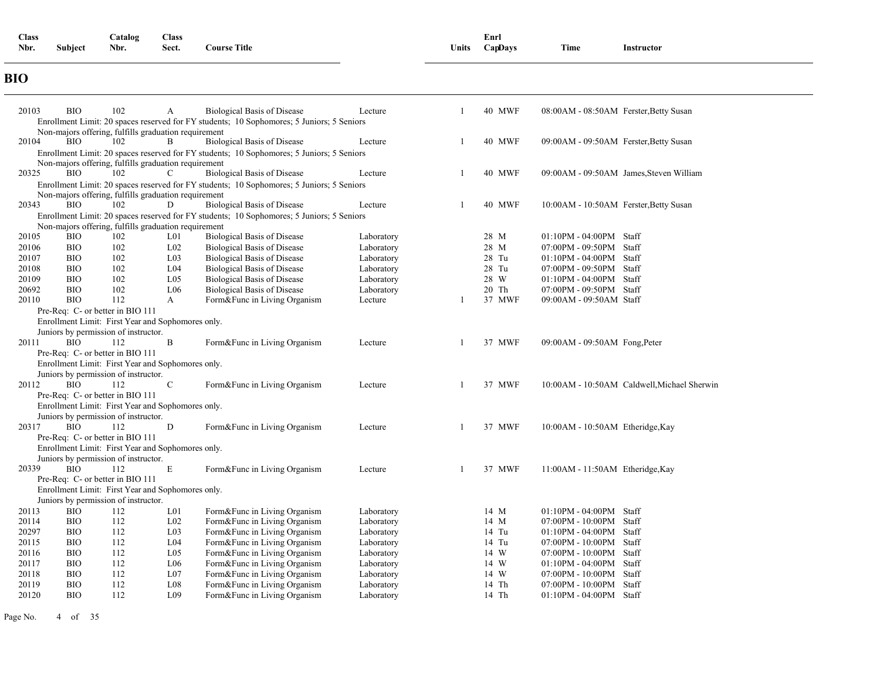| <b>Class</b> |         | Catalog | <b>Class</b> |                               |              | Enrl    |      |            |
|--------------|---------|---------|--------------|-------------------------------|--------------|---------|------|------------|
| Nbr.         | Subject | Nbr.    | Sect.        | <b>Course Title</b><br>$\sim$ | <b>Units</b> | CapDays | Time | Instructor |
|              |         |         |              |                               |              |         |      |            |

### **BIO**

| 20103          | <b>BIO</b>               | 102                                                  | A                                  | <b>Biological Basis of Disease</b>                                                        | Lecture    |    | <b>40 MWF</b>  | 08:00AM - 08:50AM Ferster, Betty Susan                  |
|----------------|--------------------------|------------------------------------------------------|------------------------------------|-------------------------------------------------------------------------------------------|------------|----|----------------|---------------------------------------------------------|
|                |                          |                                                      |                                    | Enrollment Limit: 20 spaces reserved for FY students; 10 Sophomores; 5 Juniors; 5 Seniors |            |    |                |                                                         |
|                |                          | Non-majors offering, fulfills graduation requirement |                                    |                                                                                           |            |    |                |                                                         |
| 20104          | <b>BIO</b>               | 102                                                  | B                                  | <b>Biological Basis of Disease</b>                                                        | Lecture    |    | 40 MWF         | 09:00AM - 09:50AM Ferster, Betty Susan                  |
|                |                          |                                                      |                                    | Enrollment Limit: 20 spaces reserved for FY students; 10 Sophomores; 5 Juniors; 5 Seniors |            |    |                |                                                         |
|                |                          | Non-majors offering, fulfills graduation requirement |                                    |                                                                                           |            |    |                |                                                         |
| 20325          | <b>BIO</b>               | 102                                                  | C                                  | <b>Biological Basis of Disease</b>                                                        | Lecture    | -1 | 40 MWF         | 09:00AM - 09:50AM James, Steven William                 |
|                |                          |                                                      |                                    | Enrollment Limit: 20 spaces reserved for FY students; 10 Sophomores; 5 Juniors; 5 Seniors |            |    |                |                                                         |
|                |                          | Non-majors offering, fulfills graduation requirement |                                    |                                                                                           |            |    |                |                                                         |
| 20343          | <b>BIO</b>               | 102                                                  | D                                  | <b>Biological Basis of Disease</b>                                                        | Lecture    | -1 | <b>40 MWF</b>  | 10:00AM - 10:50AM Ferster, Betty Susan                  |
|                |                          |                                                      |                                    | Enrollment Limit: 20 spaces reserved for FY students; 10 Sophomores; 5 Juniors; 5 Seniors |            |    |                |                                                         |
|                |                          | Non-majors offering, fulfills graduation requirement |                                    |                                                                                           |            |    |                |                                                         |
| 20105          | <b>BIO</b>               | 102                                                  | L <sub>01</sub>                    | <b>Biological Basis of Disease</b>                                                        | Laboratory |    | 28 M           | $01:10PM - 04:00PM$ Staff                               |
| 20106          | <b>BIO</b>               | 102                                                  | L <sub>02</sub>                    | <b>Biological Basis of Disease</b>                                                        | Laboratory |    | 28 M           | Staff<br>07:00PM - 09:50PM                              |
| 20107          | <b>BIO</b>               | 102                                                  | L <sub>03</sub>                    | <b>Biological Basis of Disease</b>                                                        | Laboratory |    | 28 Tu          | 01:10PM - 04:00PM<br>Staff                              |
| 20108          | <b>BIO</b>               | 102                                                  | L <sub>04</sub>                    | <b>Biological Basis of Disease</b>                                                        | Laboratory |    | 28 Tu          | 07:00PM - 09:50PM<br>Staff                              |
| 20109          | <b>BIO</b>               | 102                                                  | L <sub>05</sub>                    | <b>Biological Basis of Disease</b>                                                        | Laboratory |    | 28 W           | $01:10PM - 04:00PM$<br>Staff                            |
| 20692          | <b>BIO</b>               | 102                                                  | L <sub>06</sub>                    | <b>Biological Basis of Disease</b>                                                        | Laboratory |    | 20 Th          | 07:00PM - 09:50PM Staff                                 |
| 20110          | <b>BIO</b>               | 112                                                  | A                                  | Form&Func in Living Organism                                                              | Lecture    |    | 37 MWF         | 09:00AM - 09:50AM Staff                                 |
|                |                          | Pre-Req: C- or better in BIO 111                     |                                    |                                                                                           |            |    |                |                                                         |
|                |                          | Enrollment Limit: First Year and Sophomores only.    |                                    |                                                                                           |            |    |                |                                                         |
|                |                          | Juniors by permission of instructor.                 |                                    |                                                                                           |            |    |                |                                                         |
| 20111          | <b>BIO</b>               | 112                                                  | B                                  | Form&Func in Living Organism                                                              | Lecture    |    | 37 MWF         | $09:00AM - 09:50AM$ Fong, Peter                         |
|                |                          | Pre-Req: C- or better in BIO 111                     |                                    |                                                                                           |            |    |                |                                                         |
|                |                          | Enrollment Limit: First Year and Sophomores only.    |                                    |                                                                                           |            |    |                |                                                         |
|                |                          | Juniors by permission of instructor.                 |                                    |                                                                                           |            |    |                |                                                         |
| 20112          | <b>BIO</b>               | 112                                                  | $\mathbf C$                        | Form&Func in Living Organism                                                              | Lecture    |    | 37 MWF         | 10:00AM - 10:50AM Caldwell, Michael Sherwin             |
|                |                          | Pre-Req: C- or better in BIO 111                     |                                    |                                                                                           |            |    |                |                                                         |
|                |                          | Enrollment Limit: First Year and Sophomores only.    |                                    |                                                                                           |            |    |                |                                                         |
|                |                          | Juniors by permission of instructor.                 |                                    |                                                                                           |            |    |                |                                                         |
| 20317          | <b>BIO</b>               | 112                                                  | D                                  | Form&Func in Living Organism                                                              | Lecture    |    | 37 MWF         | 10:00AM - 10:50AM Etheridge, Kay                        |
|                |                          | Pre-Req: C- or better in BIO 111                     |                                    |                                                                                           |            |    |                |                                                         |
|                |                          | Enrollment Limit: First Year and Sophomores only.    |                                    |                                                                                           |            |    |                |                                                         |
|                |                          | Juniors by permission of instructor.                 |                                    |                                                                                           |            |    |                |                                                         |
| 20339          | <b>BIO</b>               | 112                                                  | $\mathbf E$                        | Form&Func in Living Organism                                                              | Lecture    |    | 37 MWF         | 11:00AM - 11:50AM Etheridge, Kay                        |
|                |                          | Pre-Req: C- or better in BIO 111                     |                                    |                                                                                           |            |    |                |                                                         |
|                |                          | Enrollment Limit: First Year and Sophomores only.    |                                    |                                                                                           |            |    |                |                                                         |
|                |                          | Juniors by permission of instructor.                 |                                    |                                                                                           |            |    |                |                                                         |
| 20113          | <b>BIO</b>               | 112                                                  | L <sub>0</sub> 1                   | Form&Func in Living Organism                                                              | Laboratory |    | 14 M           | $01:10PM - 04:00PM$<br>Staff                            |
| 20114          | <b>BIO</b>               | 112                                                  | $L_{02}$                           | Form&Func in Living Organism                                                              | Laboratory |    | 14 M           | $07:00$ PM - $10:00$ PM<br>Staff                        |
| 20297          | <b>BIO</b>               | 112                                                  | L <sub>03</sub><br>L <sub>04</sub> | Form&Func in Living Organism                                                              | Laboratory |    | 14 Tu          | $01:10PM - 04:00PM$<br>Staff                            |
| 20115          | <b>BIO</b>               | 112                                                  |                                    | Form&Func in Living Organism                                                              | Laboratory |    | 14 Tu          | 07:00PM - 10:00PM<br>Staff                              |
| 20116          | <b>BIO</b>               | 112<br>112                                           | L <sub>05</sub><br>L <sub>06</sub> | Form&Func in Living Organism                                                              | Laboratory |    | 14 W           | $07:00$ PM - $10:00$ PM<br>Staff                        |
| 20117          | <b>BIO</b><br><b>BIO</b> | 112                                                  | L07                                | Form&Func in Living Organism                                                              | Laboratory |    | 14 W           | $01:10PM - 04:00PM$<br>Staff                            |
| 20118<br>20119 | <b>BIO</b>               | 112                                                  | L08                                | Form&Func in Living Organism<br>Form&Func in Living Organism                              | Laboratory |    | 14 W           | 07:00PM - 10:00PM Staff                                 |
| 20120          | <b>BIO</b>               | 112                                                  | L <sub>09</sub>                    |                                                                                           | Laboratory |    | 14 Th<br>14 Th | 07:00PM - 10:00PM<br>Staff<br>$01:10PM - 04:00PM$ Staff |
|                |                          |                                                      |                                    | Form&Func in Living Organism                                                              | Laboratory |    |                |                                                         |

Page No. 4 of 35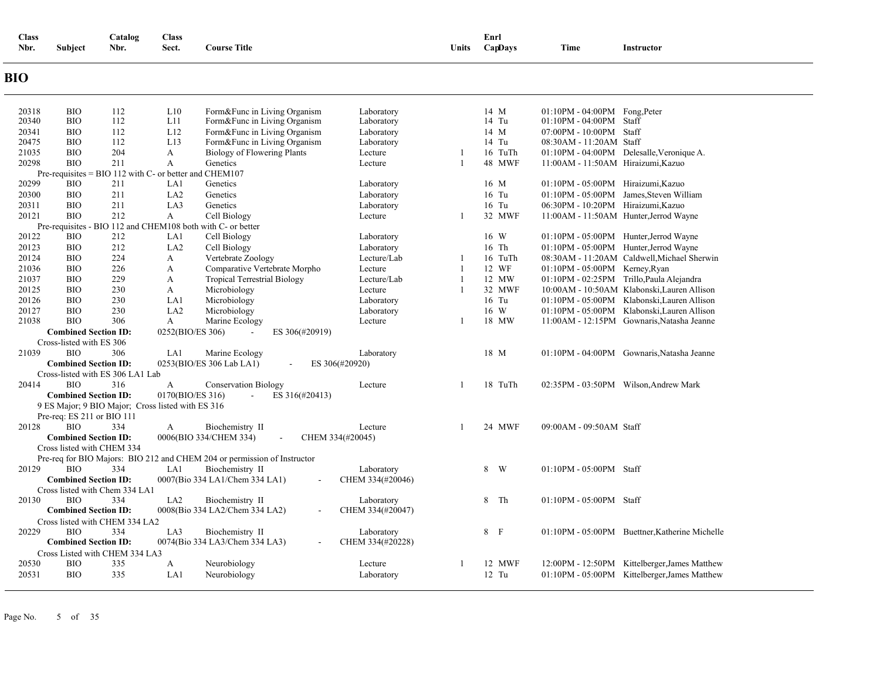| <b>Class</b><br>Nbr. | <b>Subject</b>              | Catalog<br>Nbr.                                        | <b>Class</b><br>Sect. | <b>Course Title</b>                                                      |                                | Units        | Enrl<br>CapDays | Time                               | Instructor                                     |
|----------------------|-----------------------------|--------------------------------------------------------|-----------------------|--------------------------------------------------------------------------|--------------------------------|--------------|-----------------|------------------------------------|------------------------------------------------|
| <b>BIO</b>           |                             |                                                        |                       |                                                                          |                                |              |                 |                                    |                                                |
| 20318                | <b>BIO</b>                  | 112                                                    | L10                   | Form&Func in Living Organism                                             | Laboratory                     |              | 14 M            | $01:10PM - 04:00PM$ Fong, Peter    |                                                |
| 20340                | <b>BIO</b>                  | 112                                                    | L11                   | Form&Func in Living Organism                                             | Laboratory                     |              | 14 Tu           | $01:10PM - 04:00PM$ Staff          |                                                |
| 20341                | <b>BIO</b>                  | 112                                                    | L12                   | Form&Func in Living Organism                                             | Laboratory                     |              | 14 M            | 07:00PM - 10:00PM Staff            |                                                |
| 20475                | <b>BIO</b>                  | 112                                                    | L13                   | Form&Func in Living Organism                                             | Laboratory                     |              | 14 Tu           | 08:30AM - 11:20AM Staff            |                                                |
| 21035                | <b>BIO</b>                  | 204                                                    | A                     | Biology of Flowering Plants                                              | Lecture                        | 1            | 16 TuTh         |                                    | 01:10PM - 04:00PM Delesalle, Veronique A.      |
| 20298                | <b>BIO</b>                  | 211                                                    | $\mathbf{A}$          | Genetics                                                                 | Lecture                        | $\mathbf{1}$ | 48 MWF          | 11:00AM - 11:50AM Hiraizumi, Kazuo |                                                |
|                      |                             | Pre-requisites = BIO 112 with C- or better and CHEM107 |                       |                                                                          |                                |              |                 |                                    |                                                |
| 20299                | <b>BIO</b>                  | 211                                                    | LA1                   | Genetics                                                                 | Laboratory                     |              | 16 M            | 01:10PM - 05:00PM Hiraizumi, Kazuo |                                                |
| 20300                | <b>BIO</b>                  | 211                                                    | LA <sub>2</sub>       | Genetics                                                                 | Laboratory                     |              | 16 Tu           |                                    | 01:10PM - 05:00PM James, Steven William        |
| 20311                | <b>BIO</b>                  | 211                                                    | LA3                   | Genetics                                                                 | Laboratory                     |              | 16 Tu           | 06:30PM - 10:20PM Hiraizumi, Kazuo |                                                |
| 20121                | <b>BIO</b>                  | 212                                                    | A                     | Cell Biology<br>with C- or better                                        | Lecture                        | 1            | 32 MWF          |                                    | 11:00AM - 11:50AM Hunter, Jerrod Wayne         |
| 20122                | <b>BIO</b>                  | Pre-requisites - BIO 112 and CHEM108 both<br>212       | LA1                   | Cell Biology                                                             | Laboratory                     |              | 16 W            |                                    | 01:10PM - 05:00PM Hunter, Jerrod Wayne         |
| 20123                | <b>BIO</b>                  | 212                                                    | LA <sub>2</sub>       | Cell Biology                                                             | Laboratory                     |              | 16 Th           |                                    | 01:10PM - 05:00PM Hunter, Jerrod Wayne         |
| 20124                | <b>BIO</b>                  | 224                                                    | A                     | Vertebrate Zoology                                                       | Lecture/Lab                    | 1            | 16 TuTh         |                                    | 08:30AM - 11:20AM Caldwell, Michael Sherwin    |
| 21036                | <b>BIO</b>                  | 226                                                    | A                     | Comparative Vertebrate Morpho                                            | Lecture                        | 1            | 12 WF           | 01:10PM - 05:00PM Kerney, Ryan     |                                                |
| 21037                | <b>BIO</b>                  | 229                                                    | A                     | <b>Tropical Terrestrial Biology</b>                                      | Lecture/Lab                    | $\mathbf{1}$ | 12 MW           |                                    | 01:10PM - 02:25PM Trillo, Paula Alejandra      |
| 20125                | <b>BIO</b>                  | 230                                                    | A                     | Microbiology                                                             | Lecture                        | 1            | 32 MWF          |                                    | 10:00AM - 10:50AM Klabonski, Lauren Allison    |
| 20126                | <b>BIO</b>                  | 230                                                    | LA1                   | Microbiology                                                             | Laboratory                     |              | 16 Tu           |                                    | 01:10PM - 05:00PM Klabonski, Lauren Allison    |
| 20127                | <b>BIO</b>                  | 230                                                    | LA <sub>2</sub>       | Microbiology                                                             | Laboratory                     |              | 16 W            |                                    | 01:10PM - 05:00PM Klabonski, Lauren Allison    |
| 21038                | <b>BIO</b>                  | 306                                                    | A                     | Marine Ecology                                                           | Lecture                        | 1            | 18 MW           |                                    | 11:00AM - 12:15PM Gownaris, Natasha Jeanne     |
|                      | <b>Combined Section ID:</b> |                                                        | 0252(BIO/ES 306)      | ES 306(#20919)                                                           |                                |              |                 |                                    |                                                |
|                      | Cross-listed with ES 306    |                                                        |                       |                                                                          |                                |              |                 |                                    |                                                |
| 21039                | <b>BIO</b>                  | 306                                                    | LA1                   | Marine Ecology                                                           | Laboratory                     |              | 18 M            |                                    | 01:10PM - 04:00PM Gownaris, Natasha Jeanne     |
|                      | <b>Combined Section ID:</b> |                                                        |                       | 0253(BIO/ES 306 Lab LA1)<br>ES 306(#20920)                               |                                |              |                 |                                    |                                                |
|                      |                             | Cross-listed with ES 306 LA1 Lab                       |                       |                                                                          |                                |              |                 |                                    |                                                |
| 20414                | <b>BIO</b>                  | 316                                                    | A                     | <b>Conservation Biology</b>                                              | Lecture                        | 1            | 18 TuTh         |                                    | 02:35PM - 03:50PM Wilson, Andrew Mark          |
|                      | <b>Combined Section ID:</b> |                                                        | 0170(BIO/ES 316)      | ES 316(#20413)<br>$\mathcal{L}_{\mathcal{A}}$                            |                                |              |                 |                                    |                                                |
|                      |                             | 9 ES Major; 9 BIO Major; Cross listed with ES 316      |                       |                                                                          |                                |              |                 |                                    |                                                |
|                      | Pre-req: ES 211 or BIO 111  |                                                        |                       |                                                                          |                                |              |                 |                                    |                                                |
| 20128                | <b>BIO</b>                  | 334                                                    | A                     | Biochemistry II                                                          | Lecture                        | $\mathbf{1}$ | 24 MWF          | 09:00AM - 09:50AM Staff            |                                                |
|                      | <b>Combined Section ID:</b> |                                                        |                       | 0006(BIO 334/CHEM 334)<br>CHEM 334(#20045)                               |                                |              |                 |                                    |                                                |
|                      | Cross listed with CHEM 334  |                                                        |                       |                                                                          |                                |              |                 |                                    |                                                |
|                      |                             |                                                        |                       | Pre-req for BIO Majors: BIO 212 and CHEM 204 or permission of Instructor |                                |              |                 |                                    |                                                |
| 20129                | <b>BIO</b>                  | 334                                                    | LA1                   | Biochemistry II                                                          | Laboratory                     |              | 8 W             | 01:10PM - 05:00PM Staff            |                                                |
|                      | <b>Combined Section ID:</b> |                                                        |                       | 0007(Bio 334 LA1/Chem 334 LA1)                                           | CHEM 334(#20046)               |              |                 |                                    |                                                |
| 20130                | <b>BIO</b>                  | Cross listed with Chem 334 LA1<br>334                  | LA <sub>2</sub>       |                                                                          |                                |              | 8 Th            | 01:10PM - 05:00PM Staff            |                                                |
|                      | <b>Combined Section ID:</b> |                                                        |                       | Biochemistry II<br>0008(Bio 334 LA2/Chem 334 LA2)                        | Laboratory<br>CHEM 334(#20047) |              |                 |                                    |                                                |
|                      |                             | Cross listed with CHEM 334 LA2                         |                       |                                                                          |                                |              |                 |                                    |                                                |
| 20229                | <b>BIO</b>                  | 334                                                    | LA3                   | Biochemistry II                                                          | Laboratory                     |              | 8 F             |                                    | 01:10PM - 05:00PM Buettner, Katherine Michelle |
|                      | <b>Combined Section ID:</b> |                                                        |                       | 0074(Bio 334 LA3/Chem 334 LA3)<br>$\sim$                                 | CHEM 334(#20228)               |              |                 |                                    |                                                |
|                      |                             | Cross Listed with CHEM 334 LA3                         |                       |                                                                          |                                |              |                 |                                    |                                                |
| 20530                | <b>BIO</b>                  | 335                                                    | A                     | Neurobiology                                                             | Lecture                        |              | 12 MWF          |                                    | 12:00PM - 12:50PM Kittelberger, James Matthew  |
| 20531                | <b>BIO</b>                  | 335                                                    | LA1                   | Neurobiology                                                             | Laboratory                     |              | 12 Tu           |                                    | 01:10PM - 05:00PM Kittelberger, James Matthew  |
|                      |                             |                                                        |                       |                                                                          |                                |              |                 |                                    |                                                |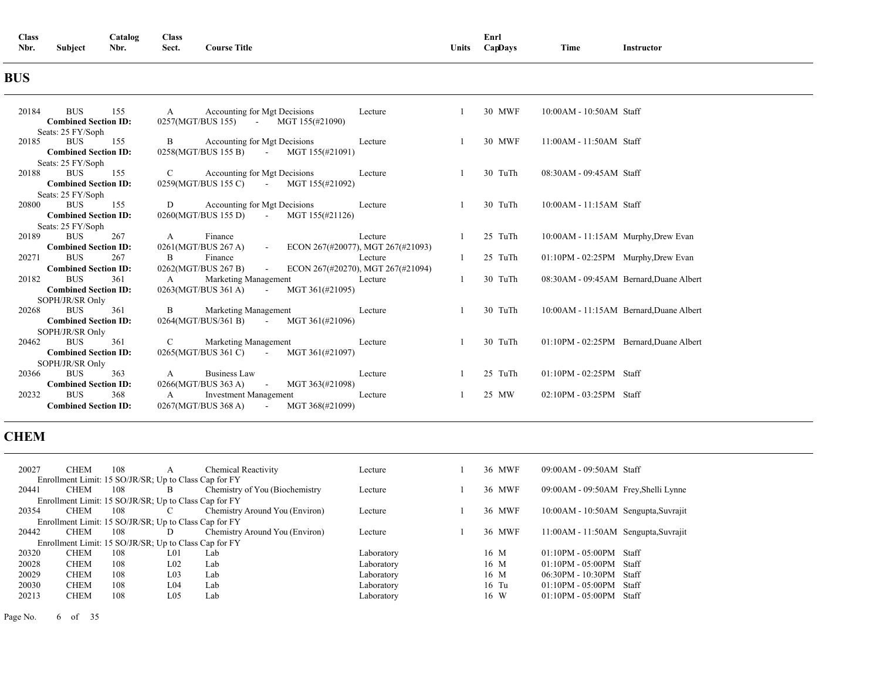| <b>Class</b> |                | Catalog | <b>Class</b><br>------ |                     |       | Enrl       |      |            |
|--------------|----------------|---------|------------------------|---------------------|-------|------------|------|------------|
| Nbr.         | <b>Subject</b> | Nbr.    | Sect.                  | <b>'ourse Title</b> | Units | $Cap$ Davs | Time | Instructor |

### **BUS**

| 20184<br><b>BUS</b><br>155                                | Accounting for Mgt Decisions<br>A<br>Lecture                                                             | 30 MWF  | $10:00AM - 10:50AM$ Staff               |
|-----------------------------------------------------------|----------------------------------------------------------------------------------------------------------|---------|-----------------------------------------|
| <b>Combined Section ID:</b><br>Seats: 25 FY/Soph          | 0257(MGT/BUS 155) - MGT 155(#21090)                                                                      |         |                                         |
| <b>BUS</b><br>155<br>20185                                | B<br>Accounting for Mgt Decisions<br>Lecture                                                             | 30 MWF  | $11:00AM - 11:50AM$ Staff               |
| <b>Combined Section ID:</b>                               | $0258(MGT/BUS 155 B)$ - MGT 155(#21091)                                                                  |         |                                         |
| Seats: 25 FY/Soph                                         |                                                                                                          |         |                                         |
| <b>BUS</b><br>20188<br>155                                | Accounting for Mgt Decisions<br>$\mathbf C$<br>Lecture                                                   | 30 TuTh | 08:30AM - 09:45AM Staff                 |
| <b>Combined Section ID:</b>                               | $0259(MGT/BUS 155 C)$ - MGT 155(#21092)                                                                  |         |                                         |
| Seats: 25 FY/Soph                                         |                                                                                                          |         |                                         |
| <b>BUS</b><br>20800<br>155                                | Accounting for Mgt Decisions<br>D<br>Lecture                                                             | 30 TuTh | 10:00AM - 11:15AM Staff                 |
| <b>Combined Section ID:</b>                               | 0260(MGT/BUS 155 D) -<br>MGT 155(#21126)                                                                 |         |                                         |
| Seats: 25 FY/Soph                                         |                                                                                                          |         |                                         |
| <b>BUS</b><br>20189<br>267<br><b>Combined Section ID:</b> | Finance<br>Lecture<br>A<br>0261(MGT/BUS 267 A)<br>ECON 267(#20077), MGT 267(#21093)<br>$\Delta \sim 100$ | 25 TuTh | 10:00AM - 11:15AM Murphy, Drew Evan     |
|                                                           |                                                                                                          |         |                                         |
| <b>BUS</b><br>267<br>20271                                | B<br>Finance<br>Lecture                                                                                  | 25 TuTh | 01:10PM - 02:25PM Murphy, Drew Evan     |
| <b>Combined Section ID:</b>                               | 0262(MGT/BUS 267 B)<br>ECON 267(#20270), MGT 267(#21094)<br>$\sim 100$                                   |         |                                         |
| <b>BUS</b><br>361<br>20182                                | Marketing Management<br>A<br>Lecture                                                                     | 30 TuTh | 08:30AM - 09:45AM Bernard, Duane Albert |
| <b>Combined Section ID:</b>                               | MGT 361(#21095)<br>$0263(MGT/BUS 361 A)$ -                                                               |         |                                         |
| SOPH/JR/SR Only                                           |                                                                                                          |         |                                         |
| <b>BUS</b><br>361<br>20268                                | Marketing Management<br>B<br>Lecture                                                                     | 30 TuTh | 10:00AM - 11:15AM Bernard, Duane Albert |
| <b>Combined Section ID:</b>                               | $0264(MGT/BUS/361 B)$ - MGT 361(#21096)                                                                  |         |                                         |
| SOPH/JR/SR Only                                           |                                                                                                          |         |                                         |
| <b>BUS</b><br>361<br>20462                                | Marketing Management<br>$\mathbf C$<br>Lecture                                                           | 30 TuTh | 01:10PM - 02:25PM Bernard, Duane Albert |
| <b>Combined Section ID:</b>                               | $0265(MGT/BUS 361 C)$ -<br>MGT 361(#21097)                                                               |         |                                         |
| SOPH/JR/SR Only                                           |                                                                                                          |         |                                         |
| <b>BUS</b><br>363<br>20366                                | <b>Business Law</b><br>$\mathbf{A}$<br>Lecture                                                           | 25 TuTh | 01:10PM - 02:25PM Staff                 |
| <b>Combined Section ID:</b>                               | MGT 363(#21098)<br>0266(MGT/BUS 363 A) -                                                                 |         |                                         |
| <b>BUS</b><br>368<br>20232                                | <b>Investment Management</b><br>$\mathbf{A}$<br>Lecture                                                  | 25 MW   | $02:10PM - 03:25PM$ Staff               |
| <b>Combined Section ID:</b>                               | $0267(MGT/BUS 368 A)$ MGT 368(#21099)                                                                    |         |                                         |

### **CHEM**

|                                                       | 20027 | <b>CHEM</b> | 108                                                   |                 | <b>Chemical Reactivity</b>     | Lecture    |  | 36 MWF  | $09:00AM - 09:50AM$ Staff            |       |
|-------------------------------------------------------|-------|-------------|-------------------------------------------------------|-----------------|--------------------------------|------------|--|---------|--------------------------------------|-------|
|                                                       |       |             | Enrollment Limit: 15 SO/JR/SR; Up to Class Cap for FY |                 |                                |            |  |         |                                      |       |
|                                                       | 20441 | <b>CHEM</b> | 108                                                   | В               | Chemistry of You (Biochemistry | Lecture    |  | 36 MWF  | 09:00AM - 09:50AM Frey, Shelli Lynne |       |
| Enrollment Limit: 15 SO/JR/SR; Up to Class Cap for FY |       |             |                                                       |                 |                                |            |  |         |                                      |       |
|                                                       | 20354 | <b>CHEM</b> | 108                                                   |                 | Chemistry Around You (Environ) | Lecture    |  | 36 MWF  | 10:00AM - 10:50AM Sengupta, Suvrajit |       |
|                                                       |       |             | Enrollment Limit: 15 SO/JR/SR; Up to Class Cap for FY |                 |                                |            |  |         |                                      |       |
|                                                       | 20442 | <b>CHEM</b> | 108                                                   | D               | Chemistry Around You (Environ) | Lecture    |  | 36 MWF  | 11:00AM - 11:50AM Sengupta, Suvrajit |       |
|                                                       |       |             | Enrollment Limit: 15 SO/JR/SR; Up to Class Cap for FY |                 |                                |            |  |         |                                      |       |
|                                                       | 20320 | <b>CHEM</b> | 108                                                   | LO1             | Lab                            | Laboratory |  | 16 M    | $01:10PM - 05:00PM$                  | Staff |
|                                                       | 20028 | <b>CHEM</b> | 108                                                   | $L_{02}$        | Lab                            | Laboratory |  | 16 M    | $01:10PM - 05:00PM$                  | Staff |
|                                                       | 20029 | <b>CHEM</b> | 108                                                   | L <sub>03</sub> | Lab                            | Laboratory |  | 16 M    | $06:30PM - 10:30PM$                  | Staff |
|                                                       | 20030 | <b>CHEM</b> | 108                                                   | L <sub>04</sub> | Lab                            | Laboratory |  | $16$ Tu | $01:10PM - 05:00PM$                  | Staff |
|                                                       | 20213 | <b>CHEM</b> | 108                                                   | L <sub>05</sub> | Lab                            | Laboratorv |  | 16 W    | $01:10PM - 05:00PM$                  | Staff |
|                                                       |       |             |                                                       |                 |                                |            |  |         |                                      |       |

Page No. 6 of 35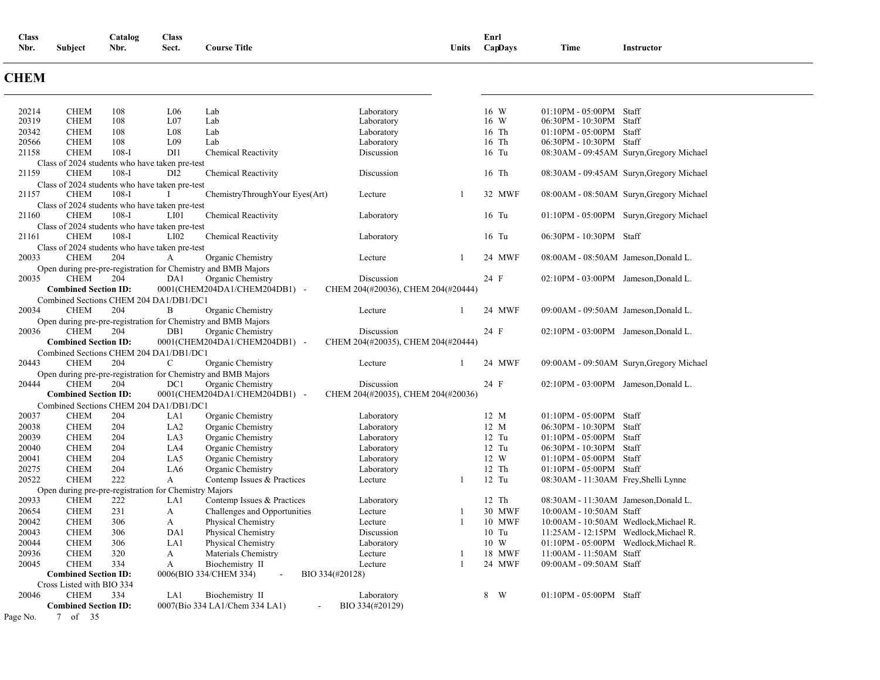| <b>Class</b> |                | Catalog | <b>Class</b> |                     |       | Enrl    |      |            |  |
|--------------|----------------|---------|--------------|---------------------|-------|---------|------|------------|--|
| Nbr.         | <b>Subject</b> | Nbr.    | Sect.        | <b>Course Title</b> | Units | CapDays | Time | Instructor |  |

### **CHEM**

| 20214    | <b>CHEM</b>                                                   | 108     | L <sub>06</sub>  | Lab                                                                                | Laboratory                                       |   | 16 W    | $01:10PM - 05:00PM$ Staff               |                                          |
|----------|---------------------------------------------------------------|---------|------------------|------------------------------------------------------------------------------------|--------------------------------------------------|---|---------|-----------------------------------------|------------------------------------------|
| 20319    | <b>CHEM</b>                                                   | 108     | L <sub>07</sub>  | Lab                                                                                | Laboratory                                       |   | 16 W    | 06:30PM - 10:30PM                       | Staff                                    |
| 20342    | <b>CHEM</b>                                                   | 108     | L <sub>08</sub>  | Lab                                                                                | Laboratory                                       |   | 16 Th   | 01:10PM - 05:00PM Staff                 |                                          |
| 20566    | <b>CHEM</b>                                                   | 108     | L <sub>09</sub>  | Lab                                                                                | Laboratory                                       |   | 16 Th   | 06:30PM - 10:30PM Staff                 |                                          |
| 21158    | <b>CHEM</b>                                                   | $108-I$ | DI1              | Chemical Reactivity                                                                | Discussion                                       |   | 16 Tu   |                                         | 08:30AM - 09:45AM Suryn, Gregory Michael |
| 21159    | Class of 2024 students who have taken pre-test<br><b>CHEM</b> | $108-I$ | DI <sub>2</sub>  | <b>Chemical Reactivity</b>                                                         | Discussion                                       |   | 16 Th   |                                         | 08:30AM - 09:45AM Suryn, Gregory Michael |
|          | Class of 2024 students who have taken pre-test                |         |                  |                                                                                    |                                                  |   |         |                                         |                                          |
| 21157    | <b>CHEM</b>                                                   | $108-I$ | $\mathbf{I}$     | ChemistryThroughYour Eyes(Art)                                                     | Lecture                                          | 1 | 32 MWF  |                                         | 08:00AM - 08:50AM Suryn, Gregory Michael |
|          | Class of 2024 students who have taken pre-test                |         |                  |                                                                                    |                                                  |   |         |                                         |                                          |
| 21160    | <b>CHEM</b>                                                   | $108-I$ | LI <sub>01</sub> | <b>Chemical Reactivity</b>                                                         | Laboratory                                       |   | 16 Tu   |                                         | 01:10PM - 05:00PM Suryn, Gregory Michael |
|          | Class of 2024 students who have taken pre-test                |         |                  |                                                                                    |                                                  |   |         |                                         |                                          |
| 21161    | <b>CHEM</b>                                                   | $108-I$ | LI <sub>02</sub> | Chemical Reactivity                                                                | Laboratory                                       |   | 16 Tu   | 06:30PM - 10:30PM Staff                 |                                          |
|          | Class of 2024 students who have taken pre-test                |         |                  |                                                                                    |                                                  |   |         |                                         |                                          |
| 20033    | <b>CHEM</b>                                                   | 204     | A                | Organic Chemistry                                                                  | Lecture                                          | 1 | 24 MWF  | 08:00AM - 08:50AM Jameson, Donald L.    |                                          |
|          |                                                               |         |                  | Open during pre-pre-registration for Chemistry and BMB Majors                      |                                                  |   |         |                                         |                                          |
| 20035    | <b>CHEM</b>                                                   | 204     | DA1              | Organic Chemistry<br>0001(CHEM204DA1/CHEM204DB1) -                                 | Discussion<br>CHEM 204(#20036), CHEM 204(#20444) |   | 24 F    | 02:10PM - 03:00PM Jameson, Donald L.    |                                          |
|          | <b>Combined Section ID:</b>                                   |         |                  |                                                                                    |                                                  |   |         |                                         |                                          |
| 20034    | Combined Sections CHEM 204 DA1/DB1/DC1<br><b>CHEM</b>         | 204     | B                | Organic Chemistry                                                                  | Lecture                                          | 1 | 24 MWF  | 09:00AM - 09:50AM Jameson, Donald L.    |                                          |
|          |                                                               |         |                  |                                                                                    |                                                  |   |         |                                         |                                          |
| 20036    | <b>CHEM</b>                                                   | 204     | DB1              | Open during pre-pre-registration for Chemistry and BMB Majors<br>Organic Chemistry | Discussion                                       |   | 24 F    | 02:10PM - 03:00PM Jameson, Donald L.    |                                          |
|          | <b>Combined Section ID:</b>                                   |         |                  | 0001(CHEM204DA1/CHEM204DB1) -                                                      | CHEM 204(#20035), CHEM 204(#20444)               |   |         |                                         |                                          |
|          | Combined Sections CHEM 204 DA1/DB1/DC1                        |         |                  |                                                                                    |                                                  |   |         |                                         |                                          |
| 20443    | <b>CHEM</b>                                                   | 204     | C                | Organic Chemistry                                                                  | Lecture                                          | 1 | 24 MWF  |                                         | 09:00AM - 09:50AM Suryn, Gregory Michael |
|          |                                                               |         |                  | Open during pre-pre-registration for Chemistry and BMB Majors                      |                                                  |   |         |                                         |                                          |
| 20444    | <b>CHEM</b>                                                   | 204     | DC1              | Organic Chemistry                                                                  | Discussion                                       |   | 24 F    | 02:10PM - 03:00PM Jameson, Donald L.    |                                          |
|          | <b>Combined Section ID:</b>                                   |         |                  | 0001(CHEM204DA1/CHEM204DB1) -                                                      | CHEM 204(#20035), CHEM 204(#20036)               |   |         |                                         |                                          |
|          | Combined Sections CHEM 204 DA1/DB1/DC1                        |         |                  |                                                                                    |                                                  |   |         |                                         |                                          |
| 20037    | <b>CHEM</b>                                                   | 204     | LA1              | Organic Chemistry                                                                  | Laboratory                                       |   | 12 M    | $01:10PM - 05:00PM$ Staff               |                                          |
| 20038    | <b>CHEM</b>                                                   | 204     | LA <sub>2</sub>  | Organic Chemistry                                                                  | Laboratory                                       |   | 12 M    | 06:30PM - 10:30PM Staff                 |                                          |
| 20039    | <b>CHEM</b>                                                   | 204     | LA3              | Organic Chemistry                                                                  | Laboratory                                       |   | 12 Tu   | 01:10PM - 05:00PM Staff                 |                                          |
| 20040    | <b>CHEM</b>                                                   | 204     | LA4              | Organic Chemistry                                                                  | Laboratory                                       |   | 12 Tu   | 06:30PM - 10:30PM Staff                 |                                          |
| 20041    | <b>CHEM</b>                                                   | 204     | LA5              | Organic Chemistry                                                                  | Laboratory                                       |   | 12 W    | 01:10PM - 05:00PM Staff                 |                                          |
| 20275    | <b>CHEM</b>                                                   | 204     | LA6              | Organic Chemistry                                                                  | Laboratory                                       |   | 12 Th   | 01:10PM - 05:00PM Staff                 |                                          |
| 20522    | <b>CHEM</b>                                                   | 222     | A                | Contemp Issues & Practices                                                         | Lecture                                          | 1 | 12 Tu   | 08:30AM - 11:30AM Frey, Shelli Lynne    |                                          |
|          | Open during pre-pre-registration for Chemistry Majors         |         |                  |                                                                                    |                                                  |   |         |                                         |                                          |
| 20933    | <b>CHEM</b>                                                   | 222     | LA1              | Contemp Issues & Practices                                                         | Laboratory                                       |   | 12 Th   | 08:30AM - 11:30AM Jameson, Donald L.    |                                          |
| 20654    | <b>CHEM</b>                                                   | 231     | A                | Challenges and Opportunities                                                       | Lecture                                          | 1 | 30 MWF  | 10:00AM - 10:50AM Staff                 |                                          |
| 20042    | <b>CHEM</b>                                                   | 306     | A                | Physical Chemistry                                                                 | Lecture                                          | 1 | 10 MWF  | 10:00 AM - 10:50 AM Wedlock, Michael R. |                                          |
| 20043    | <b>CHEM</b>                                                   | 306     | DA1              | Physical Chemistry                                                                 | Discussion                                       |   | $10$ Tu | 11:25AM - 12:15PM Wedlock, Michael R.   |                                          |
| 20044    | <b>CHEM</b>                                                   | 306     | LA1              | Physical Chemistry                                                                 | Laboratory                                       |   | 10 W    | 01:10PM - 05:00PM Wedlock, Michael R.   |                                          |
| 20936    | <b>CHEM</b>                                                   | 320     | A                | Materials Chemistry                                                                | Lecture                                          | 1 | 18 MWF  | 11:00AM - 11:50AM Staff                 |                                          |
| 20045    | <b>CHEM</b>                                                   | 334     | A                | Biochemistry II                                                                    | Lecture                                          | 1 | 24 MWF  | 09:00AM - 09:50AM Staff                 |                                          |
|          | <b>Combined Section ID:</b>                                   |         |                  | 0006(BIO 334/CHEM 334)<br>$\overline{\phantom{a}}$                                 | BIO 334(#20128)                                  |   |         |                                         |                                          |
|          | Cross Listed with BIO 334                                     |         |                  |                                                                                    |                                                  |   |         |                                         |                                          |
| 20046    | <b>CHEM</b>                                                   | 334     | LA1              | Biochemistry II                                                                    | Laboratory                                       |   | 8<br>W  | 01:10PM - 05:00PM Staff                 |                                          |
|          | <b>Combined Section ID:</b>                                   |         |                  | 0007(Bio 334 LA1/Chem 334 LA1)<br>$\sim$                                           | BIO 334(#20129)                                  |   |         |                                         |                                          |
| Page No. | $\tau$<br>of $35$                                             |         |                  |                                                                                    |                                                  |   |         |                                         |                                          |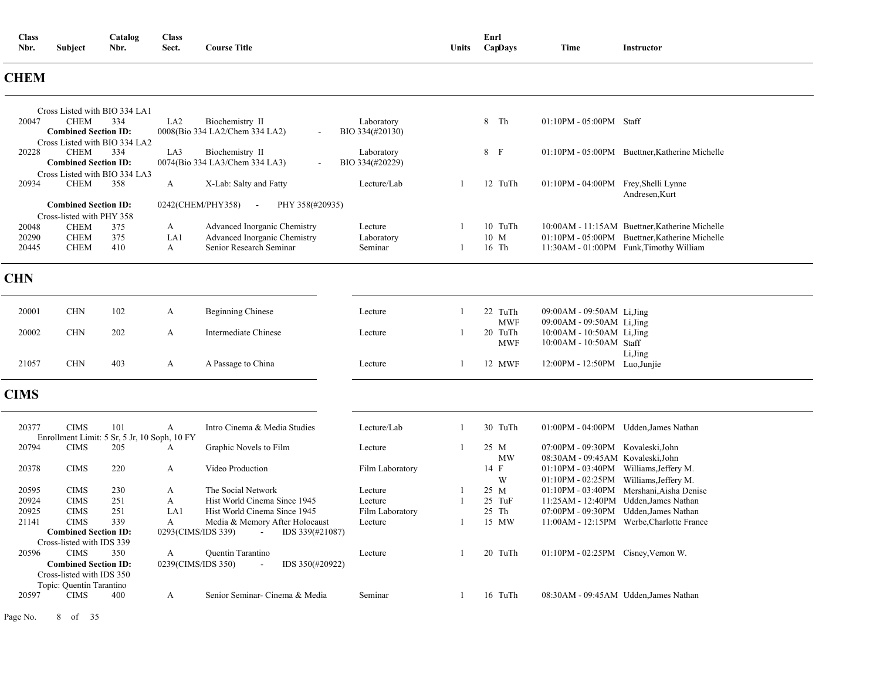| Nbr.        | Subject                                                  | Nbr.                                                | Sect.              | <b>Course Title</b>                                    |                               | Units          | CapDays               | Time                                                          | <b>Instructor</b>                              |
|-------------|----------------------------------------------------------|-----------------------------------------------------|--------------------|--------------------------------------------------------|-------------------------------|----------------|-----------------------|---------------------------------------------------------------|------------------------------------------------|
| <b>CHEM</b> |                                                          |                                                     |                    |                                                        |                               |                |                       |                                                               |                                                |
|             |                                                          | Cross Listed with BIO 334 LA1                       |                    |                                                        |                               |                |                       |                                                               |                                                |
| 20047       | <b>CHEM</b><br><b>Combined Section ID:</b>               | 334<br>Cross Listed with BIO 334 LA2                | LA <sub>2</sub>    | Biochemistry II<br>0008(Bio 334 LA2/Chem 334 LA2)      | Laboratory<br>BIO 334(#20130) |                | 8 Th                  | 01:10PM - 05:00PM Staff                                       |                                                |
| 20228       | <b>CHEM</b><br><b>Combined Section ID:</b>               | 334<br>Cross Listed with BIO 334 LA3                | LA3                | Biochemistry II<br>0074(Bio 334 LA3/Chem 334 LA3)      | Laboratory<br>BIO 334(#20229) |                | 8 F                   |                                                               | 01:10PM - 05:00PM Buettner, Katherine Michelle |
| 20934       | <b>CHEM</b>                                              | 358                                                 | $\boldsymbol{A}$   | X-Lab: Salty and Fatty                                 | Lecture/Lab                   | $\mathbf{1}$   | 12 TuTh               | $01:10\text{PM}$ - $04:00\text{PM}$                           | Frey, Shelli Lynne<br>Andresen, Kurt           |
|             | <b>Combined Section ID:</b><br>Cross-listed with PHY 358 |                                                     |                    | 0242(CHEM/PHY358)<br>PHY 358(#20935)<br>$\blacksquare$ |                               |                |                       |                                                               |                                                |
| 20048       | <b>CHEM</b>                                              | 375                                                 | A                  | Advanced Inorganic Chemistry                           | Lecture                       | 1              | 10 TuTh               |                                                               | 10:00AM - 11:15AM Buettner, Katherine Michelle |
| 20290       | <b>CHEM</b>                                              | 375                                                 | LA1                | Advanced Inorganic Chemistry                           | Laboratory                    |                | 10 M                  |                                                               | 01:10PM - 05:00PM Buettner, Katherine Michelle |
| 20445       | <b>CHEM</b>                                              | 410                                                 | $\mathbf{A}$       | Senior Research Seminar                                | Seminar                       | $\mathbf{1}$   | 16 Th                 |                                                               | 11:30AM - 01:00PM Funk, Timothy William        |
| <b>CHN</b>  |                                                          |                                                     |                    |                                                        |                               |                |                       |                                                               |                                                |
| 20001       | <b>CHN</b>                                               | 102                                                 | A                  | <b>Beginning Chinese</b>                               | Lecture                       | 1              | 22 TuTh               | 09:00AM - 09:50AM Li, Jing                                    |                                                |
| 20002       | <b>CHN</b>                                               | 202                                                 | A                  | Intermediate Chinese                                   | Lecture                       | 1              | <b>MWF</b><br>20 TuTh | 09:00AM - 09:50AM Li, Jing<br>10:00AM - 10:50AM Li, Jing      |                                                |
| 21057       | <b>CHN</b>                                               | 403                                                 | A                  | A Passage to China                                     | Lecture                       | 1              | <b>MWF</b><br>12 MWF  | 10:00AM - 10:50AM Staff<br>12:00PM - 12:50PM Luo, Junjie      | Li, Jing                                       |
|             |                                                          |                                                     |                    |                                                        |                               |                |                       |                                                               |                                                |
| <b>CIMS</b> |                                                          |                                                     |                    |                                                        |                               |                |                       |                                                               |                                                |
| 20377       | <b>CIMS</b>                                              | 101<br>Enrollment Limit: 5 Sr, 5 Jr, 10 Soph, 10 FY | A                  | Intro Cinema & Media Studies                           | Lecture/Lab                   | 1              | 30 TuTh               |                                                               | 01:00PM - 04:00PM Udden, James Nathan          |
| 20794       | <b>CIMS</b>                                              | 205                                                 | A                  | Graphic Novels to Film                                 | Lecture                       | $\overline{1}$ | 25 M<br>MW            | 07:00PM - 09:30PM<br>08:30AM - 09:45AM Kovaleski, John        | Kovaleski.John                                 |
| 20378       | <b>CIMS</b>                                              | 220                                                 | A                  | Video Production                                       | Film Laboratory               |                | 14 F<br>W             | 01:10PM - 03:40PM Williams, Jeffery M.<br>$01:10PM - 02:25PM$ | Williams, Jeffery M.                           |
| 20595       | <b>CIMS</b>                                              | 230                                                 | A                  | The Social Network                                     | Lecture                       | 1              | 25 M                  | $01:10PM - 03:40PM$                                           | Mershani, Aisha Denise                         |
| 20924       | <b>CIMS</b>                                              | 251                                                 | A                  | Hist World Cinema Since 1945                           | Lecture                       | 1              | 25 TuF                |                                                               | 11:25AM - 12:40PM Udden, James Nathan          |
| 20925       | <b>CIMS</b>                                              | 251                                                 | LA1                | Hist World Cinema Since 1945                           | Film Laboratory               |                | 25 Th                 |                                                               | 07:00PM - 09:30PM Udden, James Nathan          |
| 21141       | <b>CIMS</b>                                              | 339                                                 | A                  | Media & Memory After Holocaust                         | Lecture                       | 1              | 15 MW                 |                                                               | 11:00AM - 12:15PM Werbe, Charlotte France      |
|             | <b>Combined Section ID:</b>                              |                                                     | 0293(CIMS/IDS 339) | IDS 339(#21087)                                        |                               |                |                       |                                                               |                                                |
|             | Cross-listed with IDS 339                                |                                                     |                    |                                                        |                               |                |                       |                                                               |                                                |
| 20596       | <b>CIMS</b>                                              | 350                                                 | $\mathbf{A}$       | <b>Quentin Tarantino</b>                               | Lecture                       | 1              | 20 TuTh               | 01:10PM - 02:25PM Cisney, Vernon W.                           |                                                |
|             | <b>Combined Section ID:</b><br>Cross-listed with IDS 350 |                                                     | 0239(CIMS/IDS 350) | IDS 350(#20922)<br>$\sim$                              |                               |                |                       |                                                               |                                                |
| 20597       | Topic: Quentin Tarantino<br><b>CIMS</b>                  | 400                                                 | A                  | Senior Seminar- Cinema & Media                         | Seminar                       | 1              | 16 TuTh               |                                                               | 08:30AM - 09:45AM Udden, James Nathan          |

**Class Catalog Class Enrl**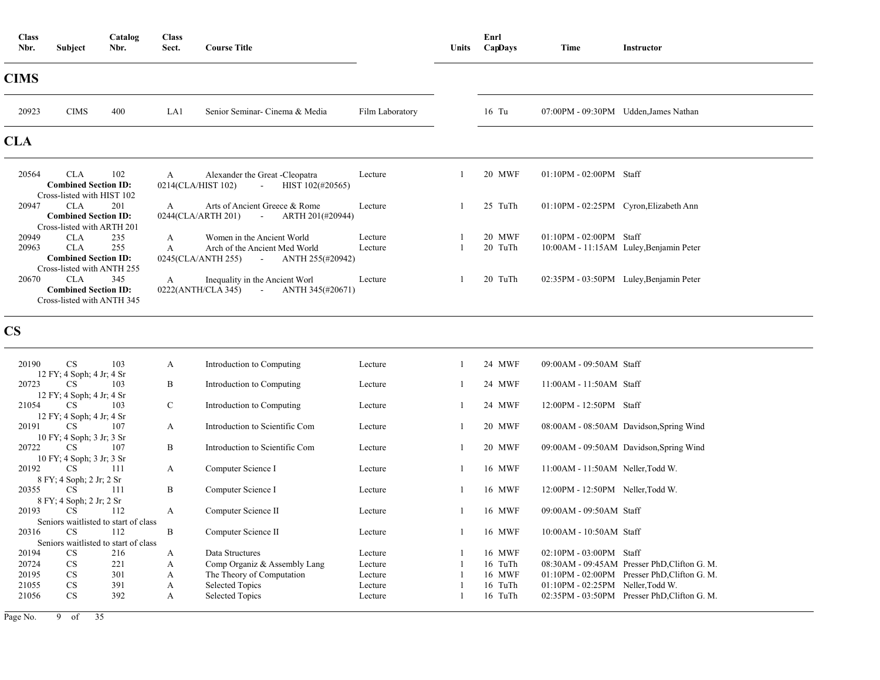| <b>Class</b><br>Nbr. | <b>Subject</b>                                                          | Catalog<br>Nbr. | <b>Class</b><br>Sect. | <b>Course Title</b>                                                       |                 | Units | Enrl<br>CapDays | Time                          | <b>Instructor</b>                       |
|----------------------|-------------------------------------------------------------------------|-----------------|-----------------------|---------------------------------------------------------------------------|-----------------|-------|-----------------|-------------------------------|-----------------------------------------|
| <b>CIMS</b>          |                                                                         |                 |                       |                                                                           |                 |       |                 |                               |                                         |
| 20923                | <b>CIMS</b>                                                             | 400             | LA1                   | Senior Seminar- Cinema & Media                                            | Film Laboratory |       | $16$ Tu         |                               | 07:00PM - 09:30PM Udden, James Nathan   |
| <b>CLA</b>           |                                                                         |                 |                       |                                                                           |                 |       |                 |                               |                                         |
| 20564                | <b>CLA</b><br><b>Combined Section ID:</b><br>Cross-listed with HIST 102 | 102             | A                     | Alexander the Great -Cleopatra<br>0214(CLA/HIST 102) - HIST 102(#20565)   | Lecture         |       | 20 MWF          | $01:10$ PM - $02:00$ PM Staff |                                         |
| 20947                | CLA<br><b>Combined Section ID:</b><br>Cross-listed with ARTH 201        | 201             | $\mathbf{A}$          | Arts of Ancient Greece & Rome<br>$0244$ (CLA/ARTH 201) - ARTH 201(#20944) | Lecture         |       | 25 TuTh         |                               | 01:10PM - 02:25PM Cyron, Elizabeth Ann  |
| 20949                | <b>CLA</b>                                                              | 235             | $\mathbf{A}$          | Women in the Ancient World                                                | Lecture         |       | 20 MWF          | $01:10$ PM - $02:00$ PM Staff |                                         |
| 20963                | CLA                                                                     | 255             | $\mathsf{A}$          | Arch of the Ancient Med World                                             | Lecture         |       | 20 TuTh         |                               | 10:00AM - 11:15AM Luley, Benjamin Peter |
|                      | <b>Combined Section ID:</b><br>Cross-listed with ANTH 255               |                 |                       | 0245(CLA/ANTH 255) - ANTH 255(#20942)                                     |                 |       |                 |                               |                                         |
| 20670                | CLA                                                                     | 345             | $\mathbf{A}$          | Inequality in the Ancient Worl                                            | Lecture         |       | 20 TuTh         |                               | 02:35PM - 03:50PM Luley, Benjamin Peter |
|                      | <b>Combined Section ID:</b><br>Cross-listed with ANTH 345               |                 |                       | $0222(ANTH/CLA\ 345)$ - ANTH $345(\text{\#}20671)$                        |                 |       |                 |                               |                                         |

**CS**

| 20190 | <b>CS</b>                 | 103                                  | A           | Introduction to Computing      | Lecture | 24 MWF  | 09:00AM - 09:50AM Staff                      |
|-------|---------------------------|--------------------------------------|-------------|--------------------------------|---------|---------|----------------------------------------------|
|       | 12 FY; 4 Soph; 4 Jr; 4 Sr |                                      |             |                                |         |         |                                              |
| 20723 | CS.                       | 103                                  | B           | Introduction to Computing      | Lecture | 24 MWF  | 11:00AM - 11:50AM Staff                      |
|       | 12 FY; 4 Soph; 4 Jr; 4 Sr |                                      |             |                                |         |         |                                              |
| 21054 | <b>CS</b>                 | 103                                  | $\mathbf C$ | Introduction to Computing      | Lecture | 24 MWF  | 12:00PM - 12:50PM Staff                      |
|       | 12 FY; 4 Soph; 4 Jr; 4 Sr |                                      |             |                                |         |         |                                              |
| 20191 | <b>CS</b>                 | 107                                  | A           | Introduction to Scientific Com | Lecture | 20 MWF  | 08:00AM - 08:50AM Davidson, Spring Wind      |
|       | 10 FY; 4 Soph; 3 Jr; 3 Sr |                                      |             |                                |         |         |                                              |
| 20722 | <b>CS</b>                 | 107                                  | B           | Introduction to Scientific Com | Lecture | 20 MWF  | 09:00AM - 09:50AM Davidson, Spring Wind      |
|       |                           |                                      |             |                                |         |         |                                              |
|       | 10 FY; 4 Soph; 3 Jr; 3 Sr |                                      |             |                                |         |         |                                              |
| 20192 | <b>CS</b>                 | 111                                  | A           | Computer Science I             | Lecture | 16 MWF  | 11:00AM - 11:50AM Neller, Todd W.            |
|       | 8 FY; 4 Soph; 2 Jr; 2 Sr  |                                      |             |                                |         |         |                                              |
| 20355 | <b>CS</b>                 | 111                                  | B           | Computer Science I             | Lecture | 16 MWF  | $12:00PM - 12:50PM$ Neller, Todd W.          |
|       | 8 FY; 4 Soph; 2 Jr; 2 Sr  |                                      |             |                                |         |         |                                              |
| 20193 | CS.                       | 112                                  | A           | Computer Science II            | Lecture | 16 MWF  | 09:00AM - 09:50AM Staff                      |
|       |                           | Seniors waitlisted to start of class |             |                                |         |         |                                              |
| 20316 | <b>CS</b>                 | 112                                  | B           | Computer Science II            | Lecture | 16 MWF  | 10:00AM - 10:50AM Staff                      |
|       |                           | Seniors waitlisted to start of class |             |                                |         |         |                                              |
| 20194 | <b>CS</b>                 | 216                                  | A           | Data Structures                | Lecture | 16 MWF  | $02:10PM - 03:00PM$ Staff                    |
| 20724 | <b>CS</b>                 | 221                                  | A           | Comp Organiz & Assembly Lang   | Lecture | 16 TuTh | 08:30AM - 09:45AM Presser PhD, Clifton G. M. |
| 20195 | <b>CS</b>                 | 301                                  | A           | The Theory of Computation      | Lecture | 16 MWF  | 01:10PM - 02:00PM Presser PhD, Clifton G. M. |
| 21055 | <b>CS</b>                 | 391                                  | A           | <b>Selected Topics</b>         | Lecture | 16 TuTh | $01:10$ PM - $02:25$ PM Neller, Todd W.      |
| 21056 | CS                        | 392                                  | A           | <b>Selected Topics</b>         | Lecture | 16 TuTh | 02:35PM - 03:50PM Presser PhD, Clifton G. M. |
|       |                           |                                      |             |                                |         |         |                                              |
|       |                           |                                      |             |                                |         |         |                                              |

Page No. 9 of 35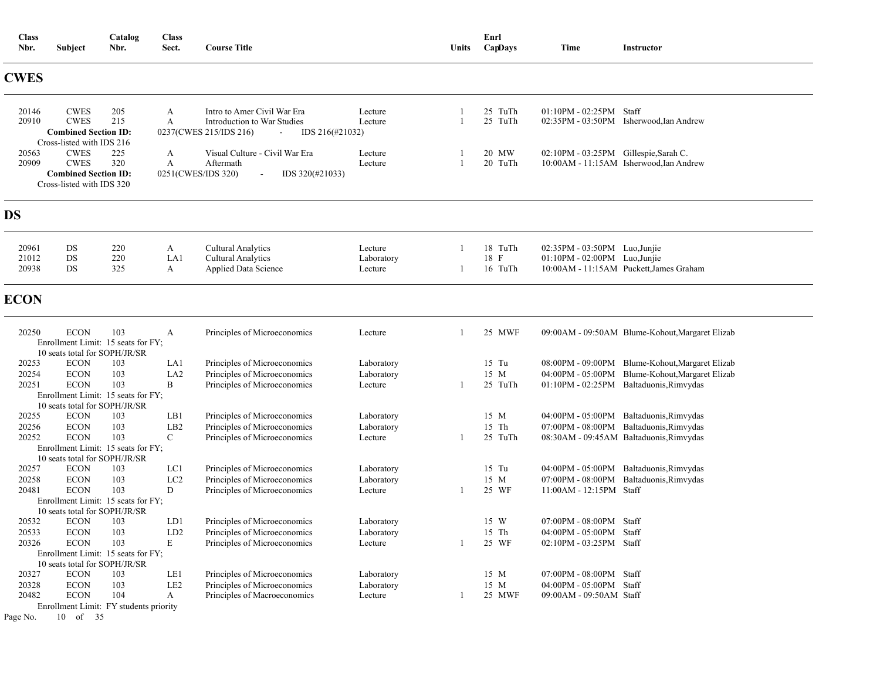| <b>Class</b><br>Nbr.                | Subject                                                                                                                                           | Catalog<br>Nbr.   | <b>Class</b><br>Sect.                       | <b>Course Title</b>                                                                                                                 |                                     | Units | Enrl<br>CapDays            | Time                                                                          | Instructor                                                                                                                                    |
|-------------------------------------|---------------------------------------------------------------------------------------------------------------------------------------------------|-------------------|---------------------------------------------|-------------------------------------------------------------------------------------------------------------------------------------|-------------------------------------|-------|----------------------------|-------------------------------------------------------------------------------|-----------------------------------------------------------------------------------------------------------------------------------------------|
| <b>CWES</b>                         |                                                                                                                                                   |                   |                                             |                                                                                                                                     |                                     |       |                            |                                                                               |                                                                                                                                               |
| 20146<br>20910                      | <b>CWES</b><br><b>CWES</b><br><b>Combined Section ID:</b><br>Cross-listed with IDS 216                                                            | 205<br>215        | A<br>A                                      | Intro to Amer Civil War Era<br>Introduction to War Studies<br>0237(CWES 215/IDS 216)<br>IDS 216(#21032)<br>$\overline{\phantom{a}}$ | Lecture<br>Lecture                  |       | 25 TuTh<br>25 TuTh         | $01:10PM - 02:25PM$ Staff                                                     | 02:35PM - 03:50PM Isherwood, Ian Andrew                                                                                                       |
| 20563<br>20909                      | <b>CWES</b><br><b>CWES</b><br><b>Combined Section ID:</b><br>Cross-listed with IDS 320                                                            | 225<br>320        | A<br>$\boldsymbol{A}$<br>0251(CWES/IDS 320) | Visual Culture - Civil War Era<br>Aftermath<br>$IDS$ 320(#21033)<br>$\blacksquare$                                                  | Lecture<br>Lecture                  |       | 20 MW<br>20 TuTh           | 02:10PM - 03:25PM Gillespie, Sarah C.                                         | 10:00AM - 11:15AM Isherwood, Ian Andrew                                                                                                       |
| <b>DS</b>                           |                                                                                                                                                   |                   |                                             |                                                                                                                                     |                                     |       |                            |                                                                               |                                                                                                                                               |
| 20961<br>21012<br>20938             | DS<br>DS<br>DS                                                                                                                                    | 220<br>220<br>325 | A<br>LA1<br>A                               | <b>Cultural Analytics</b><br><b>Cultural Analytics</b><br>Applied Data Science                                                      | Lecture<br>Laboratory<br>Lecture    |       | 18 TuTh<br>18 F<br>16 TuTh | $02:35PM - 03:50PM$ Luo, Junjie<br>01:10PM - 02:00PM Luo, Junjie              | 10:00AM - 11:15AM Puckett, James Graham                                                                                                       |
| <b>ECON</b>                         |                                                                                                                                                   |                   |                                             |                                                                                                                                     |                                     |       |                            |                                                                               |                                                                                                                                               |
| 20250                               | <b>ECON</b><br>Enrollment Limit: 15 seats for FY;<br>10 seats total for SOPH/JR/SR                                                                | 103               | А                                           | Principles of Microeconomics                                                                                                        | Lecture                             |       | 25 MWF                     |                                                                               | 09:00AM - 09:50AM Blume-Kohout, Margaret Elizab                                                                                               |
| 20253<br>20254<br>20251             | <b>ECON</b><br><b>ECON</b><br><b>ECON</b><br>Enrollment Limit: 15 seats for FY;                                                                   | 103<br>103<br>103 | LA1<br>LA <sub>2</sub><br>B                 | Principles of Microeconomics<br>Principles of Microeconomics<br>Principles of Microeconomics                                        | Laboratory<br>Laboratory<br>Lecture |       | $15$ Tu<br>15 M<br>25 TuTh |                                                                               | 08:00PM - 09:00PM Blume-Kohout, Margaret Elizab<br>04:00PM - 05:00PM Blume-Kohout, Margaret Elizab<br>01:10PM - 02:25PM Baltaduonis, Rimvydas |
| 20255<br>20256<br>20252             | 10 seats total for SOPH/JR/SR<br><b>ECON</b><br><b>ECON</b><br><b>ECON</b><br>Enrollment Limit: 15 seats for FY;                                  | 103<br>103<br>103 | LB1<br>LB <sub>2</sub><br>$\mathsf{C}$      | Principles of Microeconomics<br>Principles of Microeconomics<br>Principles of Microeconomics                                        | Laboratory<br>Laboratory<br>Lecture |       | 15 M<br>$15$ Th<br>25 TuTh |                                                                               | 04:00PM - 05:00PM Baltaduonis, Rimvydas<br>07:00PM - 08:00PM Baltaduonis, Rimvydas<br>08:30AM - 09:45AM Baltaduonis, Rimvydas                 |
| 20257<br>20258<br>20481             | 10 seats total for SOPH/JR/SR<br><b>ECON</b><br><b>ECON</b><br><b>ECON</b><br>Enrollment Limit: 15 seats for FY;<br>10 seats total for SOPH/JR/SR | 103<br>103<br>103 | LC1<br>LC <sub>2</sub><br>D                 | Principles of Microeconomics<br>Principles of Microeconomics<br>Principles of Microeconomics                                        | Laboratory<br>Laboratory<br>Lecture |       | $15$ Tu<br>15 M<br>25 WF   | 07:00PM - 08:00PM<br>11:00AM - 12:15PM Staff                                  | 04:00PM - 05:00PM Baltaduonis, Rimvydas<br>Baltaduonis, Rimvydas                                                                              |
| 20532<br>20533<br>20326             | <b>ECON</b><br><b>ECON</b><br><b>ECON</b><br>Enrollment Limit: 15 seats for FY;<br>10 seats total for SOPH/JR/SR                                  | 103<br>103<br>103 | LD1<br>LD2<br>E                             | Principles of Microeconomics<br>Principles of Microeconomics<br>Principles of Microeconomics                                        | Laboratory<br>Laboratory<br>Lecture |       | 15 W<br>15 Th<br>25 WF     | 07:00PM - 08:00PM Staff<br>04:00PM - 05:00PM Staff<br>02:10PM - 03:25PM Staff |                                                                                                                                               |
| 20327<br>20328<br>20482<br>Page No. | <b>ECON</b><br><b>ECON</b><br><b>ECON</b><br>Enrollment Limit: FY students priority<br>10 of 35                                                   | 103<br>103<br>104 | LE1<br>LE <sub>2</sub><br>A                 | Principles of Microeconomics<br>Principles of Microeconomics<br>Principles of Macroeconomics                                        | Laboratory<br>Laboratory<br>Lecture |       | 15 M<br>15 M<br>25 MWF     | 07:00PM - 08:00PM Staff<br>04:00PM - 05:00PM Staff<br>09:00AM - 09:50AM Staff |                                                                                                                                               |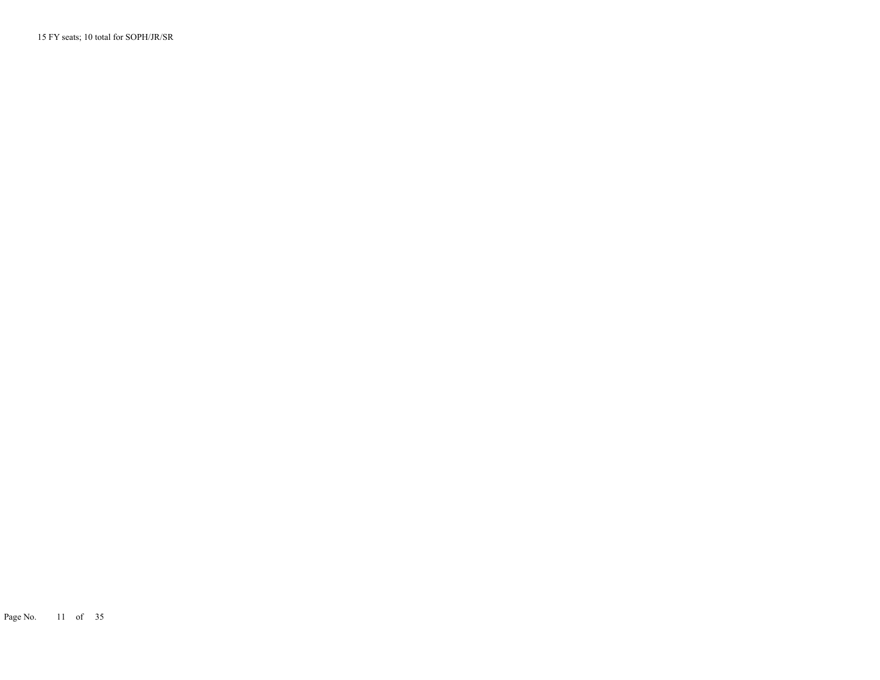15 FY seats; 10 total for SOPH/JR/SR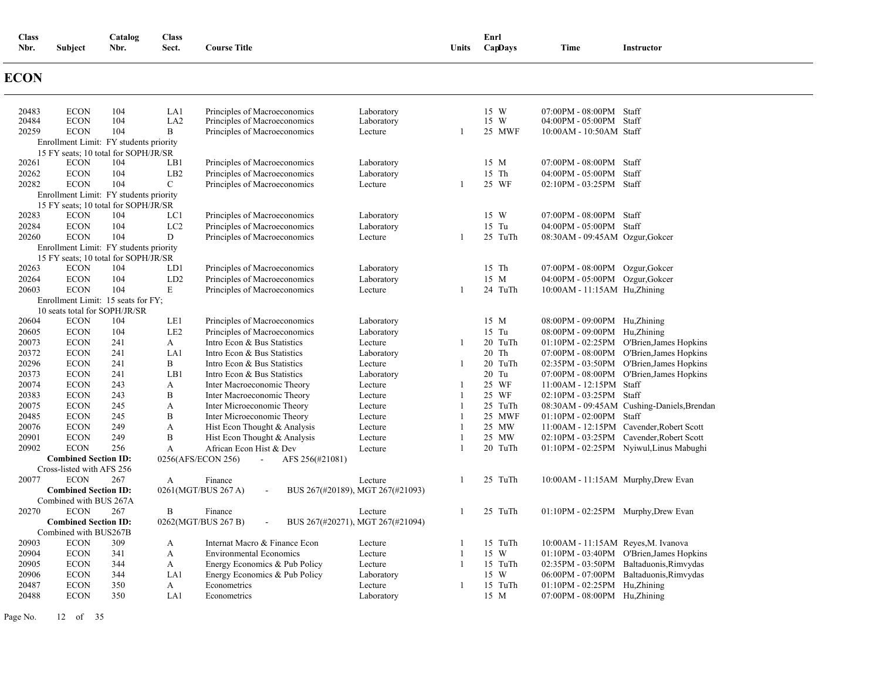| <b>Class</b><br>Nbr. | Subject                                  | Catalog<br>Nbr.                               | <b>Class</b><br>Sect. | <b>Course Title</b>                             |                                  | Units          | Enrl<br>CapDays | <b>Time</b>                         | Instructor                                 |
|----------------------|------------------------------------------|-----------------------------------------------|-----------------------|-------------------------------------------------|----------------------------------|----------------|-----------------|-------------------------------------|--------------------------------------------|
| <b>ECON</b>          |                                          |                                               |                       |                                                 |                                  |                |                 |                                     |                                            |
| 20483                | <b>ECON</b>                              | 104                                           | LA1                   | Principles of Macroeconomics                    | Laboratory                       |                | 15 W            | 07:00PM - 08:00PM Staff             |                                            |
| 20484                | <b>ECON</b>                              | 104                                           | LA <sub>2</sub><br>B  | Principles of Macroeconomics                    | Laboratory                       |                | 15 W            | 04:00PM - 05:00PM Staff             |                                            |
| 20259                | <b>ECON</b>                              | 104<br>Enrollment Limit: FY students priority |                       | Principles of Macroeconomics                    | Lecture                          |                | 25 MWF          | 10:00AM - 10:50AM Staff             |                                            |
|                      |                                          | 15 FY seats; 10 total for SOPH/JR/SR          |                       |                                                 |                                  |                |                 |                                     |                                            |
| 20261                | <b>ECON</b>                              | 104                                           | LB1                   | Principles of Macroeconomics                    | Laboratory                       |                | 15 M            | 07:00PM - 08:00PM Staff             |                                            |
| 20262                | <b>ECON</b>                              | 104                                           | LB <sub>2</sub>       | Principles of Macroeconomics                    | Laboratory                       |                | 15 Th           | 04:00PM - 05:00PM Staff             |                                            |
| 20282                | <b>ECON</b>                              | 104                                           | $\mathcal{C}$         | Principles of Macroeconomics                    | Lecture                          | $\overline{1}$ | 25 WF           | 02:10PM - 03:25PM Staff             |                                            |
|                      |                                          | Enrollment Limit: FY students priority        |                       |                                                 |                                  |                |                 |                                     |                                            |
|                      |                                          | 15 FY seats; 10 total for SOPH/JR/SR          |                       |                                                 |                                  |                |                 |                                     |                                            |
| 20283                | <b>ECON</b>                              | 104                                           | LC1                   | Principles of Macroeconomics                    | Laboratory                       |                | 15 W            | 07:00PM - 08:00PM Staff             |                                            |
| 20284                | <b>ECON</b>                              | 104                                           | LC <sub>2</sub>       | Principles of Macroeconomics                    | Laboratory                       |                | 15 Tu           | 04:00PM - 05:00PM Staff             |                                            |
| 20260                | <b>ECON</b>                              | 104                                           | D                     | Principles of Macroeconomics                    | Lecture                          | -1             | 25 TuTh         | 08:30AM - 09:45AM Ozgur, Gokcer     |                                            |
|                      |                                          | Enrollment Limit: FY students priority        |                       |                                                 |                                  |                |                 |                                     |                                            |
|                      |                                          | 15 FY seats; 10 total for SOPH/JR/SR          |                       |                                                 |                                  |                |                 |                                     |                                            |
| 20263                | <b>ECON</b>                              | 104                                           | LD1                   | Principles of Macroeconomics                    | Laboratory                       |                | 15 Th           | 07:00PM - 08:00PM Ozgur, Gokcer     |                                            |
| 20264<br>20603       | <b>ECON</b><br><b>ECON</b>               | 104<br>104                                    | LD <sub>2</sub><br>E  | Principles of Macroeconomics                    | Laboratory<br>Lecture            | -1             | 15 M<br>24 TuTh | 04:00PM - 05:00PM Ozgur, Gokcer     |                                            |
|                      |                                          | Enrollment Limit: 15 seats for FY;            |                       | Principles of Macroeconomics                    |                                  |                |                 | 10:00AM - 11:15AM Hu, Zhining       |                                            |
|                      |                                          | 10 seats total for SOPH/JR/SR                 |                       |                                                 |                                  |                |                 |                                     |                                            |
| 20604                | <b>ECON</b>                              | 104                                           | LE1                   | Principles of Macroeconomics                    | Laboratory                       |                | 15 M            | 08:00PM - 09:00PM Hu,Zhining        |                                            |
| 20605                | <b>ECON</b>                              | 104                                           | LE <sub>2</sub>       | Principles of Macroeconomics                    | Laboratory                       |                | 15 Tu           | 08:00PM - 09:00PM Hu,Zhining        |                                            |
| 20073                | <b>ECON</b>                              | 241                                           | $\mathbf{A}$          | Intro Econ & Bus Statistics                     | Lecture                          | -1             | 20 TuTh         |                                     | 01:10PM - 02:25PM O'Brien, James Hopkins   |
| 20372                | <b>ECON</b>                              | 241                                           | LA1                   | Intro Econ & Bus Statistics                     | Laboratory                       |                | 20 Th           |                                     | 07:00PM - 08:00PM O'Brien, James Hopkins   |
| 20296                | <b>ECON</b>                              | 241                                           | B                     | Intro Econ & Bus Statistics                     | Lecture                          | -1             | 20 TuTh         |                                     | 02:35PM - 03:50PM O'Brien, James Hopkins   |
| 20373                | <b>ECON</b>                              | 241                                           | LB1                   | Intro Econ & Bus Statistics                     | Laboratory                       |                | 20 Tu           |                                     | 07:00PM - 08:00PM O'Brien, James Hopkins   |
| 20074                | <b>ECON</b>                              | 243                                           | А                     | Inter Macroeconomic Theory                      | Lecture                          | -1             | 25 WF           | 11:00AM - 12:15PM Staff             |                                            |
| 20383                | <b>ECON</b>                              | 243                                           | B                     | Inter Macroeconomic Theory                      | Lecture                          | $\overline{1}$ | 25 WF           | 02:10PM - 03:25PM Staff             |                                            |
| 20075                | <b>ECON</b>                              | 245                                           | A                     | Inter Microeconomic Theory                      | Lecture                          | -1             | 25 TuTh         |                                     | 08:30AM - 09:45AM Cushing-Daniels, Brendan |
| 20485                | <b>ECON</b>                              | 245                                           | B                     | Inter Microeconomic Theory                      | Lecture                          | $\overline{1}$ | 25 MWF          | 01:10PM - 02:00PM Staff             |                                            |
| 20076                | <b>ECON</b>                              | 249                                           | A                     | Hist Econ Thought & Analysis                    | Lecture                          | $\overline{1}$ | 25 MW           |                                     | 11:00AM - 12:15PM Cavender, Robert Scott   |
| 20901                | <b>ECON</b>                              | 249                                           | B                     | Hist Econ Thought & Analysis                    | Lecture                          | $\overline{1}$ | 25 MW           |                                     | 02:10PM - 03:25PM Cavender, Robert Scott   |
| 20902                | <b>ECON</b>                              | 256                                           | A                     | African Econ Hist & Dev                         | Lecture                          | -1             | 20 TuTh         |                                     | 01:10PM - 02:25PM Nyiwul, Linus Mabughi    |
|                      | <b>Combined Section ID:</b>              |                                               |                       | 0256(AFS/ECON 256)<br>AFS 256(#21081)<br>$\sim$ |                                  |                |                 |                                     |                                            |
| 20077                | Cross-listed with AFS 256<br><b>ECON</b> | 267                                           | $\mathbf{A}$          | Finance                                         | Lecture                          | -1             | 25 TuTh         |                                     |                                            |
|                      | <b>Combined Section ID:</b>              |                                               |                       | 0261(MGT/BUS 267 A)<br>$\overline{\phantom{a}}$ | BUS 267(#20189), MGT 267(#21093) |                |                 | 10:00AM - 11:15AM Murphy, Drew Evan |                                            |
|                      | Combined with BUS 267A                   |                                               |                       |                                                 |                                  |                |                 |                                     |                                            |
| 20270                | <b>ECON</b>                              | 267                                           | B                     | Finance                                         | Lecture                          | $\overline{1}$ | 25 TuTh         | 01:10PM - 02:25PM Murphy, Drew Evan |                                            |
|                      | <b>Combined Section ID:</b>              |                                               |                       | 0262(MGT/BUS 267 B)                             | BUS 267(#20271), MGT 267(#21094) |                |                 |                                     |                                            |
|                      | Combined with BUS267B                    |                                               |                       |                                                 |                                  |                |                 |                                     |                                            |
| 20903                | <b>ECON</b>                              | 309                                           | A                     | Internat Macro & Finance Econ                   | Lecture                          | -1             | 15 TuTh         | 10:00AM - 11:15AM Reyes, M. Ivanova |                                            |
| 20904                | <b>ECON</b>                              | 341                                           | A                     | <b>Environmental Economics</b>                  | Lecture                          | $\overline{1}$ | 15 W            |                                     | 01:10PM - 03:40PM O'Brien, James Hopkins   |
| 20905                | <b>ECON</b>                              | 344                                           | A                     | Energy Economics & Pub Policy                   | Lecture                          | -1             | 15 TuTh         |                                     | 02:35PM - 03:50PM Baltaduonis, Rimvydas    |
| 20906                | <b>ECON</b>                              | 344                                           | LA1                   | Energy Economics & Pub Policy                   | Laboratory                       |                | 15 W            |                                     | 06:00PM - 07:00PM Baltaduonis, Rimvydas    |
| 20487                | <b>ECON</b>                              | 350                                           | A                     | Econometrics                                    | Lecture                          | $\mathbf{1}$   | 15 TuTh         | $01:10PM - 02:25PM$ Hu, Zhining     |                                            |
| 20488                | <b>ECON</b>                              | 350                                           | LA1                   | Econometrics                                    | Laboratory                       |                | 15 M            | 07:00PM - 08:00PM Hu, Zhining       |                                            |

Page No. 12 of 35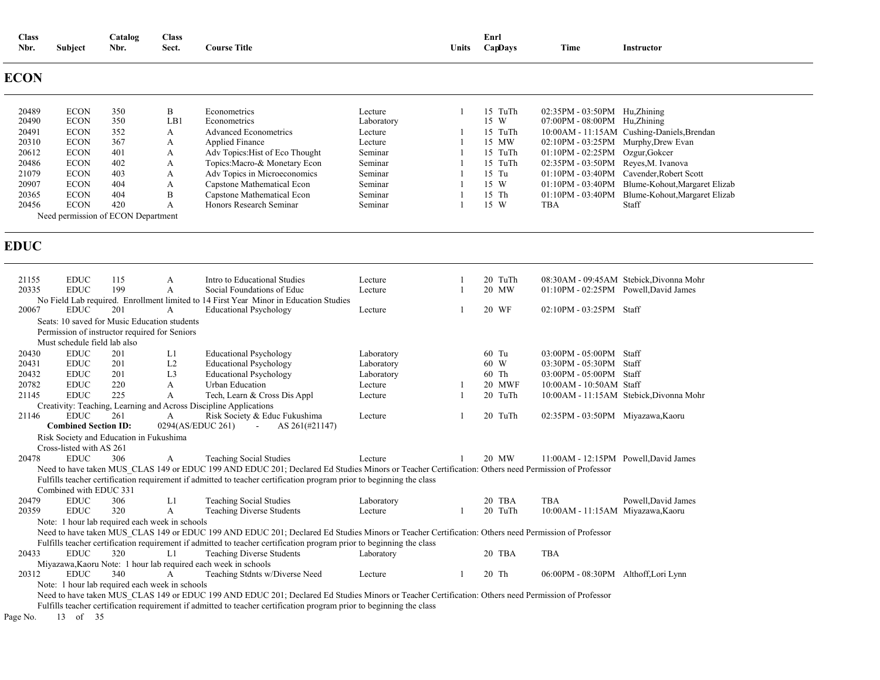| <b>Class</b><br>Nbr. | Subject                      | Catalog<br>Nbr.                                | <b>Class</b><br>Sect. | <b>Course Title</b>                                                                                                                                                                                                                                                        |                    | Units | Enrl<br>CapDays  | Time                                                       | Instructor                                      |
|----------------------|------------------------------|------------------------------------------------|-----------------------|----------------------------------------------------------------------------------------------------------------------------------------------------------------------------------------------------------------------------------------------------------------------------|--------------------|-------|------------------|------------------------------------------------------------|-------------------------------------------------|
| <b>ECON</b>          |                              |                                                |                       |                                                                                                                                                                                                                                                                            |                    |       |                  |                                                            |                                                 |
| 20489                | <b>ECON</b>                  | 350                                            | B                     | Econometrics                                                                                                                                                                                                                                                               | Lecture            | -1    | 15 TuTh          | $02:35PM - 03:50PM$ Hu, Zhining                            |                                                 |
| 20490                | <b>ECON</b>                  | 350                                            | LB1                   | Econometrics                                                                                                                                                                                                                                                               | Laboratory         |       | 15 W             | 07:00PM - 08:00PM Hu,Zhining                               |                                                 |
| 20491                | <b>ECON</b><br><b>ECON</b>   | 352<br>367                                     | A                     | <b>Advanced Econometrics</b>                                                                                                                                                                                                                                               | Lecture            |       | 15 TuTh<br>15 MW |                                                            | 10:00AM - 11:15AM Cushing-Daniels, Brendan      |
| 20310<br>20612       | <b>ECON</b>                  | 401                                            | А<br>А                | <b>Applied Finance</b><br>Adv Topics: Hist of Eco Thought                                                                                                                                                                                                                  | Lecture<br>Seminar |       | 15 TuTh          | 02:10PM - 03:25PM Murphy, Drew Evan<br>$01:10PM - 02:25PM$ | Ozgur, Gokcer                                   |
| 20486                | <b>ECON</b>                  | 402                                            | A                     | Topics: Macro-& Monetary Econ                                                                                                                                                                                                                                              | Seminar            |       | 15 TuTh          | 02:35PM - 03:50PM Reyes, M. Ivanova                        |                                                 |
| 21079                | <b>ECON</b>                  | 403                                            | А                     | Adv Topics in Microeconomics                                                                                                                                                                                                                                               | Seminar            |       | 15 Tu            | $01:10PM - 03:40PM$                                        | Cavender, Robert Scott                          |
| 20907                | <b>ECON</b>                  | 404                                            | A                     | Capstone Mathematical Econ                                                                                                                                                                                                                                                 | Seminar            |       | 15 W             |                                                            | 01:10PM - 03:40PM Blume-Kohout, Margaret Elizab |
| 20365                | <b>ECON</b>                  | 404                                            | B                     | Capstone Mathematical Econ                                                                                                                                                                                                                                                 | Seminar            |       | 15 Th            | $01:10PM - 03:40PM$                                        | Blume-Kohout, Margaret Elizab                   |
| 20456                | <b>ECON</b>                  | 420                                            | A                     | Honors Research Seminar                                                                                                                                                                                                                                                    | Seminar            |       | 15 W             | TBA                                                        | Staff                                           |
|                      |                              | Need permission of ECON Department             |                       |                                                                                                                                                                                                                                                                            |                    |       |                  |                                                            |                                                 |
| <b>EDUC</b>          |                              |                                                |                       |                                                                                                                                                                                                                                                                            |                    |       |                  |                                                            |                                                 |
| 21155                | <b>EDUC</b>                  | 115                                            |                       | Intro to Educational Studies                                                                                                                                                                                                                                               |                    |       | 20 TuTh          |                                                            | 08:30AM - 09:45AM Stebick, Divonna Mohr         |
| 20335                | <b>EDUC</b>                  | 199                                            | A<br>A                | Social Foundations of Educ                                                                                                                                                                                                                                                 | Lecture<br>Lecture | 1     | 20 MW            | 01:10PM - 02:25PM Powell, David James                      |                                                 |
|                      |                              |                                                |                       | No Field Lab required. Enrollment limited to 14 First Year Minor in Education Studies                                                                                                                                                                                      |                    |       |                  |                                                            |                                                 |
| 20067                | <b>EDUC</b>                  | 201                                            | A                     | <b>Educational Psychology</b>                                                                                                                                                                                                                                              | Lecture            |       | 20 WF            | 02:10PM - 03:25PM Staff                                    |                                                 |
|                      |                              | Seats: 10 saved for Music Education students   |                       |                                                                                                                                                                                                                                                                            |                    |       |                  |                                                            |                                                 |
|                      |                              | Permission of instructor required for Seniors  |                       |                                                                                                                                                                                                                                                                            |                    |       |                  |                                                            |                                                 |
|                      | Must schedule field lab also |                                                |                       |                                                                                                                                                                                                                                                                            |                    |       |                  |                                                            |                                                 |
| 20430                | <b>EDUC</b>                  | 201                                            | L1                    | <b>Educational Psychology</b>                                                                                                                                                                                                                                              | Laboratory         |       | 60 Tu            | 03:00PM - 05:00PM Staff                                    |                                                 |
| 20431                | <b>EDUC</b>                  | 201                                            | L2                    | <b>Educational Psychology</b>                                                                                                                                                                                                                                              | Laboratory         |       | 60 W             | 03:30PM - 05:30PM Staff                                    |                                                 |
| 20432                | <b>EDUC</b>                  | 201                                            | L <sub>3</sub>        | <b>Educational Psychology</b>                                                                                                                                                                                                                                              | Laboratory         |       | 60 Th            | 03:00PM - 05:00PM Staff                                    |                                                 |
| 20782                | <b>EDUC</b>                  | 220                                            | A                     | <b>Urban Education</b>                                                                                                                                                                                                                                                     | Lecture            |       | 20 MWF           | 10:00AM - 10:50AM Staff                                    |                                                 |
| 21145                | <b>EDUC</b>                  | 225                                            | A                     | Tech, Learn & Cross Dis Appl                                                                                                                                                                                                                                               | Lecture            |       | 20 TuTh          |                                                            | 10:00AM - 11:15AM Stebick, Divonna Mohr         |
|                      |                              |                                                |                       | Creativity: Teaching, Learning and Across Discipline Applications                                                                                                                                                                                                          |                    |       |                  |                                                            |                                                 |
| 21146                | <b>EDUC</b>                  | 261                                            | А                     | Risk Society & Educ Fukushima                                                                                                                                                                                                                                              | Lecture            |       | 20 TuTh          | 02:35PM - 03:50PM Miyazawa, Kaoru                          |                                                 |
|                      | <b>Combined Section ID:</b>  |                                                |                       | 0294(AS/EDUC 261)<br>$\sim$<br>AS 261(#21147)                                                                                                                                                                                                                              |                    |       |                  |                                                            |                                                 |
|                      |                              | Risk Society and Education in Fukushima        |                       |                                                                                                                                                                                                                                                                            |                    |       |                  |                                                            |                                                 |
|                      | Cross-listed with AS 261     |                                                |                       |                                                                                                                                                                                                                                                                            |                    |       |                  |                                                            |                                                 |
| 20478                | <b>EDUC</b>                  | 306                                            | A                     | <b>Teaching Social Studies</b>                                                                                                                                                                                                                                             | Lecture            | 1     | 20 MW            | 11:00AM - 12:15PM Powell, David James                      |                                                 |
|                      | Combined with EDUC 331       |                                                |                       | Need to have taken MUS CLAS 149 or EDUC 199 AND EDUC 201; Declared Ed Studies Minors or Teacher Certification: Others need Permission of Professor<br>Fulfills teacher certification requirement if admitted to teacher certification program prior to beginning the class |                    |       |                  |                                                            |                                                 |
| 20479                | <b>EDUC</b>                  | 306                                            | L1                    | <b>Teaching Social Studies</b>                                                                                                                                                                                                                                             | Laboratory         |       | 20 TBA           | TBA                                                        | Powell, David James                             |
| 20359                | <b>EDUC</b>                  | 320                                            | A                     | <b>Teaching Diverse Students</b>                                                                                                                                                                                                                                           | Lecture            | -1    | 20 TuTh          | 10:00AM - 11:15AM Miyazawa, Kaoru                          |                                                 |
|                      |                              | Note: 1 hour lab required each week in schools |                       |                                                                                                                                                                                                                                                                            |                    |       |                  |                                                            |                                                 |
|                      |                              |                                                |                       | Need to have taken MUS CLAS 149 or EDUC 199 AND EDUC 201; Declared Ed Studies Minors or Teacher Certification: Others need Permission of Professor                                                                                                                         |                    |       |                  |                                                            |                                                 |
|                      |                              |                                                |                       | Fulfills teacher certification requirement if admitted to teacher certification program prior to beginning the class                                                                                                                                                       |                    |       |                  |                                                            |                                                 |
| 20433                | <b>EDUC</b>                  | 320                                            | L1                    | Teaching Diverse Students                                                                                                                                                                                                                                                  | Laboratory         |       | 20 TBA           | TBA                                                        |                                                 |
|                      |                              |                                                |                       | Miyazawa, Kaoru Note: 1 hour lab required each week in schools                                                                                                                                                                                                             |                    |       |                  |                                                            |                                                 |
| 20312                | <b>EDUC</b>                  | 340                                            | A                     | Teaching Stdnts w/Diverse Need                                                                                                                                                                                                                                             | Lecture            |       | 20 Th            | 06:00PM - 08:30PM Althoff, Lori Lynn                       |                                                 |
|                      |                              | Note: 1 hour lab required each week in schools |                       |                                                                                                                                                                                                                                                                            |                    |       |                  |                                                            |                                                 |
|                      |                              |                                                |                       | Need to have taken MUS_CLAS 149 or EDUC 199 AND EDUC 201; Declared Ed Studies Minors or Teacher Certification: Others need Permission of Professor                                                                                                                         |                    |       |                  |                                                            |                                                 |
|                      |                              |                                                |                       | Fulfills teacher certification requirement if admitted to teacher certification program prior to beginning the class                                                                                                                                                       |                    |       |                  |                                                            |                                                 |
| Page No.             | 13 of 35                     |                                                |                       |                                                                                                                                                                                                                                                                            |                    |       |                  |                                                            |                                                 |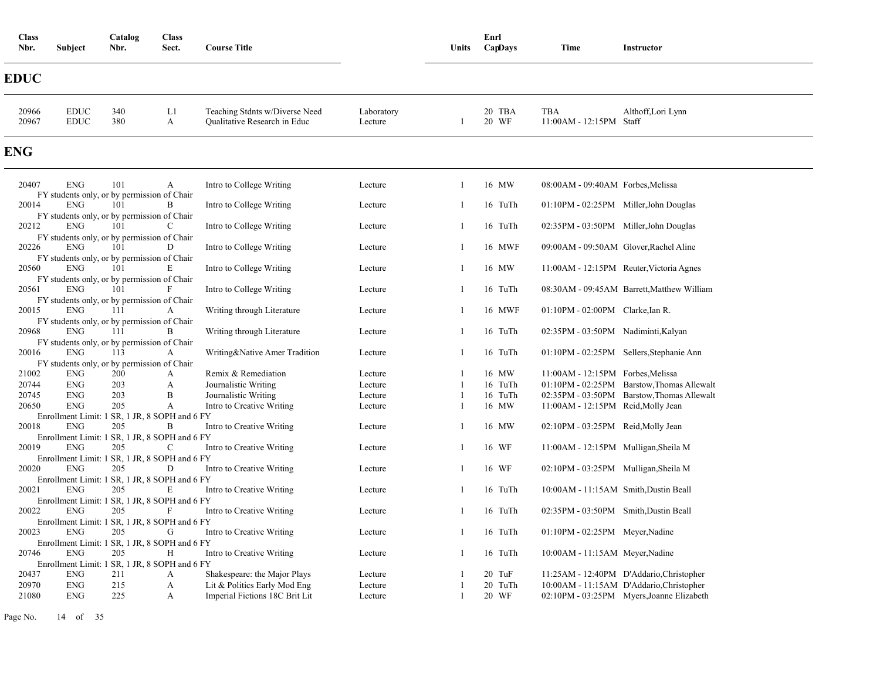| <b>Class</b><br>Nbr. | Subject                    | Catalog<br>Nbr.                                                                                   | <b>Class</b><br>Sect. | <b>Course Title</b>                                            |                       | Units | Enrl<br>CapDays | Time                                   | Instructor                                 |
|----------------------|----------------------------|---------------------------------------------------------------------------------------------------|-----------------------|----------------------------------------------------------------|-----------------------|-------|-----------------|----------------------------------------|--------------------------------------------|
| <b>EDUC</b>          |                            |                                                                                                   |                       |                                                                |                       |       |                 |                                        |                                            |
| 20966<br>20967       | <b>EDUC</b><br><b>EDUC</b> | 340<br>380                                                                                        | L1<br>$\mathbf{A}$    | Teaching Stdnts w/Diverse Need<br>Qualitative Research in Educ | Laboratory<br>Lecture |       | 20 TBA<br>20 WF | TBA<br>11:00AM - 12:15PM Staff         | Althoff, Lori Lynn                         |
| <b>ENG</b>           |                            |                                                                                                   |                       |                                                                |                       |       |                 |                                        |                                            |
| 20407                | <b>ENG</b>                 | 101<br>FY students only, or by permission of Chair                                                | A                     | Intro to College Writing                                       | Lecture               |       | 16 MW           | 08:00AM - 09:40AM Forbes, Melissa      |                                            |
| 20014                | <b>ENG</b>                 | 101                                                                                               | B                     | Intro to College Writing                                       | Lecture               |       | 16 TuTh         | 01:10PM - 02:25PM Miller, John Douglas |                                            |
| 20212                | <b>ENG</b>                 | FY students only, or by permission of Chair<br>101                                                | C                     | Intro to College Writing                                       | Lecture               | -1    | 16 TuTh         | 02:35PM - 03:50PM Miller, John Douglas |                                            |
| 20226                | <b>ENG</b>                 | FY students only, or by permission of Chair<br>101<br>FY students only, or by permission of Chair | D                     | Intro to College Writing                                       | Lecture               | -1    | 16 MWF          | 09:00AM - 09:50AM Glover, Rachel Aline |                                            |
| 20560                | <b>ENG</b>                 | 101                                                                                               | E                     | Intro to College Writing                                       | Lecture               | -1    | 16 MW           |                                        | 11:00 AM - 12:15 PM Reuter, Victoria Agnes |
| 20561                | <b>ENG</b>                 | FY students only, or by permission of Chair<br>101                                                | F                     | Intro to College Writing                                       | Lecture               |       | 16 TuTh         |                                        | 08:30AM - 09:45AM Barrett, Matthew William |
| 20015                | <b>ENG</b>                 | FY students only, or by permission of Chair<br>111                                                | A                     | Writing through Literature                                     | Lecture               | 1     | 16 MWF          | 01:10PM - 02:00PM Clarke, Ian R.       |                                            |
| 20968                | <b>ENG</b>                 | FY students only, or by permission of Chair<br>111                                                | B                     | Writing through Literature                                     | Lecture               |       | 16 TuTh         | 02:35PM - 03:50PM Nadiminti, Kalyan    |                                            |
| 20016                | <b>ENG</b>                 | FY students only, or by permission of Chair<br>113                                                | $\mathbf{A}$          | Writing&Native Amer Tradition                                  | Lecture               | -1    | 16 TuTh         |                                        | 01:10PM - 02:25PM Sellers, Stephanie Ann   |
| 21002                | <b>ENG</b>                 | FY students only, or by permission of Chair<br>200                                                | A                     | Remix & Remediation                                            | Lecture               |       | 16 MW           | 11:00AM - 12:15PM Forbes, Melissa      |                                            |
| 20744                | <b>ENG</b>                 | 203                                                                                               | A                     | Journalistic Writing                                           | Lecture               |       | 16 TuTh         | $01:10PM - 02:25PM$                    | Barstow, Thomas Allewalt                   |
| 20745                | <b>ENG</b>                 | 203                                                                                               | B                     | Journalistic Writing                                           | Lecture               |       | 16 TuTh         |                                        | 02:35PM - 03:50PM Barstow, Thomas Allewalt |
| 20650                | <b>ENG</b>                 | 205                                                                                               | A                     | Intro to Creative Writing                                      | Lecture               |       | 16 MW           | 11:00AM - 12:15PM Reid, Molly Jean     |                                            |
| 20018                | <b>ENG</b>                 | Enrollment Limit: 1 SR, 1 JR, 8 SOPH and 6 FY<br>205                                              | B                     | Intro to Creative Writing                                      | Lecture               |       | 16 MW           | 02:10PM - 03:25PM Reid, Molly Jean     |                                            |
| 20019                | <b>ENG</b>                 | Enrollment Limit: 1 SR, 1 JR, 8 SOPH and 6 FY<br>205                                              | C                     | Intro to Creative Writing                                      | Lecture               |       | 16 WF           | 11:00AM - 12:15PM Mulligan, Sheila M   |                                            |
|                      |                            | Enrollment Limit: 1 SR, 1 JR, 8 SOPH and 6 FY                                                     |                       |                                                                |                       |       |                 |                                        |                                            |
| 20020                | <b>ENG</b>                 | 205                                                                                               | D                     | Intro to Creative Writing                                      | Lecture               | -1    | 16 WF           | 02:10PM - 03:25PM Mulligan, Sheila M   |                                            |
|                      |                            | Enrollment Limit: 1 SR, 1 JR, 8 SOPH and 6 FY                                                     |                       |                                                                |                       |       |                 |                                        |                                            |
| 20021                | <b>ENG</b>                 | 205<br>Enrollment Limit: 1 SR, 1 JR, 8 SOPH and 6 FY                                              | E                     | Intro to Creative Writing                                      | Lecture               |       | 16 TuTh         | 10:00AM - 11:15AM Smith, Dustin Beall  |                                            |
| 20022                | <b>ENG</b>                 | 205                                                                                               | F                     | Intro to Creative Writing                                      | Lecture               | 1     | 16 TuTh         | 02:35PM - 03:50PM Smith, Dustin Beall  |                                            |
| 20023                | <b>ENG</b>                 | Enrollment Limit: 1 SR, 1 JR, 8 SOPH and 6 FY<br>205                                              | G                     | Intro to Creative Writing                                      | Lecture               |       | 16 TuTh         | 01:10PM - 02:25PM Meyer, Nadine        |                                            |
|                      |                            | Enrollment Limit: 1 SR, 1 JR, 8 SOPH and 6 FY                                                     |                       |                                                                |                       |       |                 |                                        |                                            |
| 20746                | <b>ENG</b>                 | 205<br>Enrollment Limit: 1 SR, 1 JR, 8 SOPH and 6 FY                                              | Н                     | Intro to Creative Writing                                      | Lecture               | 1     | 16 TuTh         | 10:00AM - 11:15AM Meyer, Nadine        |                                            |
| 20437                | <b>ENG</b>                 | 211                                                                                               | A                     | Shakespeare: the Major Plays                                   | Lecture               |       | 20 TuF          |                                        | 11:25AM - 12:40PM D'Addario, Christopher   |
| 20970                | <b>ENG</b>                 | 215                                                                                               | $\mathbf{A}$          | Lit & Politics Early Mod Eng                                   | Lecture               |       | 20 TuTh         |                                        | 10:00AM - 11:15AM D'Addario, Christopher   |
| 21080                | <b>ENG</b>                 | 225                                                                                               | A                     | Imperial Fictions 18C Brit Lit                                 | Lecture               | -1    | 20 WF           |                                        | 02:10PM - 03:25PM Myers, Joanne Elizabeth  |

Page No. 14 of 35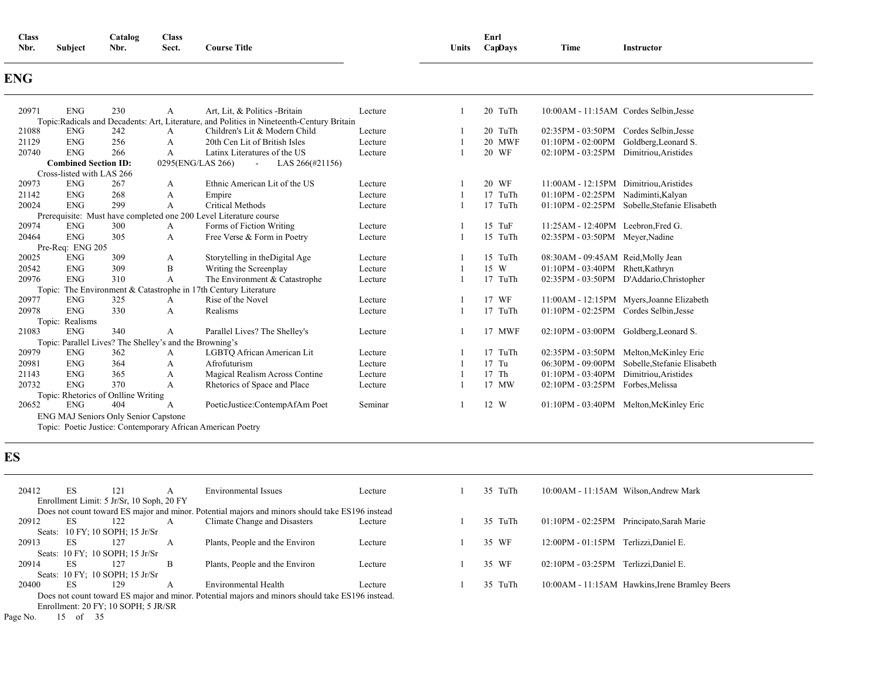| <b>Time</b><br><b>Course Title</b><br>Nbr.<br>Nbr.<br>Units<br>$\sim$<br><b>Subject</b><br>Sect.<br>CapDavs<br>Instructor<br>.<br>. | <b>Class</b> | Class<br>$\text{Catalog}$ |  |  | Enri |  |  |
|-------------------------------------------------------------------------------------------------------------------------------------|--------------|---------------------------|--|--|------|--|--|
|-------------------------------------------------------------------------------------------------------------------------------------|--------------|---------------------------|--|--|------|--|--|

### **ENG**

| 20971 | <b>ENG</b>                  | 230                                  | А                                                       | Art. Lit. & Politics - Britain                                                             | Lecture | 20 TuTh    | 10:00AM - 11:15AM Cordes Selbin, Jesse |                                               |
|-------|-----------------------------|--------------------------------------|---------------------------------------------------------|--------------------------------------------------------------------------------------------|---------|------------|----------------------------------------|-----------------------------------------------|
|       |                             |                                      |                                                         | Topic: Radicals and Decadents: Art, Literature, and Politics in Nineteenth-Century Britain |         |            |                                        |                                               |
| 21088 | <b>ENG</b>                  | 242                                  | A                                                       | Children's Lit & Modern Child                                                              | Lecture | 20 TuTh    | $02:35PM - 03:50PM$                    | Cordes Selbin, Jesse                          |
| 21129 | <b>ENG</b>                  | 256                                  | А                                                       | 20th Cen Lit of British Isles                                                              | Lecture | 20 MWF     | $01:10PM - 02:00PM$                    | Goldberg, Leonard S.                          |
| 20740 | <b>ENG</b>                  | 266                                  | A                                                       | Latinx Literatures of the US                                                               | Lecture | 20 WF      | $02:10PM - 03:25PM$                    | Dimitriou, Aristides                          |
|       | <b>Combined Section ID:</b> |                                      |                                                         | 0295(ENG/LAS 266)<br>LAS 266(#21156)<br>$\overline{\phantom{a}}$                           |         |            |                                        |                                               |
|       | Cross-listed with LAS 266   |                                      |                                                         |                                                                                            |         |            |                                        |                                               |
| 20973 | <b>ENG</b>                  | 267                                  | A                                                       | Ethnic American Lit of the US                                                              | Lecture | 20 WF      | $11:00AM - 12:15PM$                    | Dimitriou, Aristides                          |
| 21142 | <b>ENG</b>                  | 268                                  | А                                                       | Empire                                                                                     | Lecture | 17 TuTh    | $01:10PM - 02:25PM$                    | Nadiminti, Kalyan                             |
| 20024 | <b>ENG</b>                  | 299                                  | A                                                       | <b>Critical Methods</b>                                                                    | Lecture | TuTh<br>17 |                                        | 01:10PM - 02:25PM Sobelle, Stefanie Elisabeth |
|       |                             |                                      |                                                         | Prerequisite: Must have completed one 200 Level Literature course                          |         |            |                                        |                                               |
| 20974 | <b>ENG</b>                  | 300                                  | A                                                       | Forms of Fiction Writing                                                                   | Lecture | 15 TuF     | 11:25AM - 12:40PM Leebron, Fred G.     |                                               |
| 20464 | <b>ENG</b>                  | 305                                  | А                                                       | Free Verse & Form in Poetry                                                                | Lecture | 15 TuTh    | 02:35PM - 03:50PM Meyer, Nadine        |                                               |
|       | Pre-Req: ENG 205            |                                      |                                                         |                                                                                            |         |            |                                        |                                               |
| 20025 | <b>ENG</b>                  | 309                                  | А                                                       | Storytelling in the Digital Age                                                            | Lecture | 15 TuTh    | 08:30AM - 09:45AM Reid, Molly Jean     |                                               |
| 20542 | <b>ENG</b>                  | 309                                  | B                                                       | Writing the Screenplay                                                                     | Lecture | 15 W       | $01:10PM - 03:40PM$                    | Rhett, Kathryn                                |
| 20976 | <b>ENG</b>                  | 310                                  | A                                                       | The Environment & Catastrophe                                                              | Lecture | 17 TuTh    | 02:35PM - 03:50PM                      | D'Addario, Christopher                        |
|       |                             |                                      |                                                         | Topic: The Environment & Catastrophe in 17th Century Literature                            |         |            |                                        |                                               |
| 20977 | <b>ENG</b>                  | 325                                  | А                                                       | Rise of the Novel                                                                          | Lecture | 17 WF      |                                        | 11:00AM - 12:15PM Myers, Joanne Elizabeth     |
| 20978 | <b>ENG</b>                  | 330                                  | A                                                       | Realisms                                                                                   | Lecture | 17 TuTh    | 01:10PM - 02:25PM Cordes Selbin.Jesse  |                                               |
|       | Topic: Realisms             |                                      |                                                         |                                                                                            |         |            |                                        |                                               |
| 21083 | <b>ENG</b>                  | 340                                  | A                                                       | Parallel Lives? The Shelley's                                                              | Lecture | 17 MWF     | 02:10PM - 03:00PM Goldberg, Leonard S. |                                               |
|       |                             |                                      | Topic: Parallel Lives? The Shelley's and the Browning's |                                                                                            |         |            |                                        |                                               |
| 20979 | <b>ENG</b>                  | 362                                  | А                                                       | LGBTO African American Lit                                                                 | Lecture | 17 TuTh    | 02:35PM - 03:50PM                      | Melton, McKinley Eric                         |
| 20981 | <b>ENG</b>                  | 364                                  | А                                                       | Afrofuturism                                                                               | Lecture | $17$ Tu    | 06:30PM - 09:00PM                      | Sobelle.Stefanie Elisabeth                    |
| 21143 | <b>ENG</b>                  | 365                                  | А                                                       | Magical Realism Across Contine                                                             | Lecture | 17 Th      | $01:10PM - 03:40PM$                    | Dimitriou, Aristides                          |
| 20732 | <b>ENG</b>                  | 370                                  | A                                                       | Rhetorics of Space and Place                                                               | Lecture | 17 MW      | 02:10PM - 03:25PM                      | Forbes, Melissa                               |
|       |                             | Topic: Rhetorics of Onlline Writing  |                                                         |                                                                                            |         |            |                                        |                                               |
| 20652 | <b>ENG</b>                  | 404                                  | A                                                       | PoeticJustice:ContempAfAm Poet                                                             | Seminar | 12 W       |                                        | 01:10PM - 03:40PM Melton, McKinley Eric       |
|       |                             | ENG MAJ Seniors Only Senior Capstone |                                                         |                                                                                            |         |            |                                        |                                               |
|       |                             |                                      |                                                         | Topic: Poetic Justice: Contemporary African American Poetry                                |         |            |                                        |                                               |

## **ES**

| 20412 | ES. | 121                                       | А | Environmental Issues                                                                             | Lecture | 35 TuTh | 10:00AM - 11:15AM Wilson, Andrew Mark            |
|-------|-----|-------------------------------------------|---|--------------------------------------------------------------------------------------------------|---------|---------|--------------------------------------------------|
|       |     | Enrollment Limit: 5 Jr/Sr, 10 Soph, 20 FY |   |                                                                                                  |         |         |                                                  |
|       |     |                                           |   | Does not count toward ES major and minor. Potential majors and minors should take ES196 instead  |         |         |                                                  |
| 20912 | ES. | 122                                       | A | Climate Change and Disasters                                                                     | Lecture | 35 TuTh | 01:10PM - 02:25PM Principato, Sarah Marie        |
|       |     | Seats: 10 FY; 10 SOPH; 15 Jr/Sr           |   |                                                                                                  |         |         |                                                  |
| 20913 | ES. | 127                                       | A | Plants, People and the Environ                                                                   | Lecture | 35 WF   | 12:00PM - 01:15PM Terlizzi, Daniel E.            |
|       |     | Seats: 10 FY; 10 SOPH; 15 Jr/Sr           |   |                                                                                                  |         |         |                                                  |
|       |     |                                           |   |                                                                                                  |         |         |                                                  |
| 20914 | ES. | 127                                       | B | Plants, People and the Environ                                                                   | Lecture | 35 WF   | $02:10PM - 03:25PM$<br>Terlizzi.Daniel E.        |
|       |     | Seats: 10 FY; 10 SOPH; 15 Jr/Sr           |   |                                                                                                  |         |         |                                                  |
| 20400 | ES. | 129                                       | A | Environmental Health                                                                             | Lecture | 35 TuTh | 10:00 AM - 11:15 AM Hawkins, Irene Bramley Beers |
|       |     |                                           |   | Does not count toward ES major and minor. Potential majors and minors should take ES196 instead. |         |         |                                                  |
|       |     |                                           |   |                                                                                                  |         |         |                                                  |
|       |     | Enrollment: 20 FY; 10 SOPH; 5 JR/SR       |   |                                                                                                  |         |         |                                                  |

Page No. 15 of 35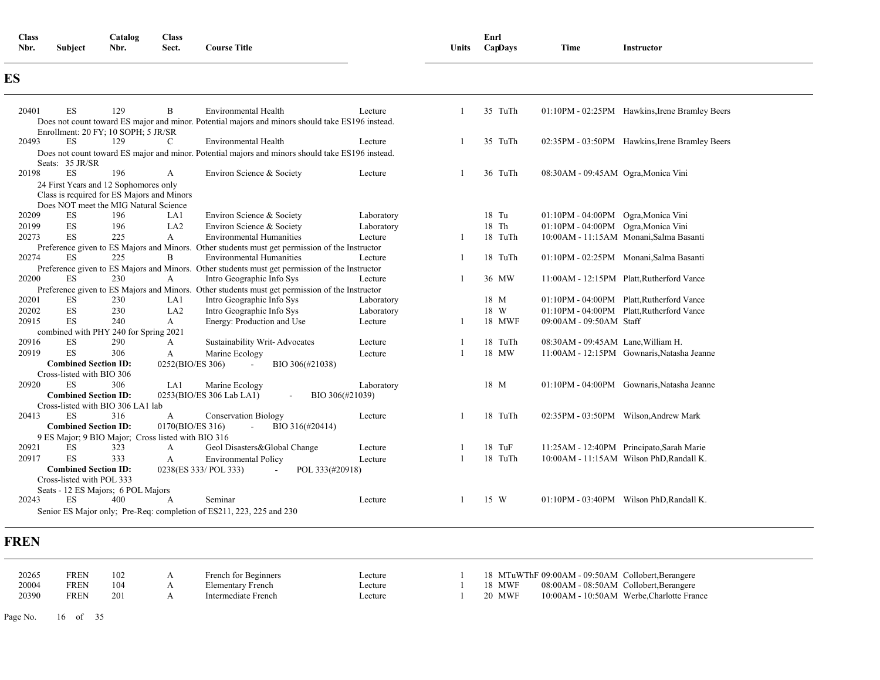| <b>Class</b><br>Nbr. | Subject | Catalog<br>Nbr. | <b>Class</b><br>Sect. | <b>Course Title</b> | Units | Enrl<br>CapDays | Time | Instructor |
|----------------------|---------|-----------------|-----------------------|---------------------|-------|-----------------|------|------------|
| ES                   |         |                 |                       |                     |       |                 |      |            |

| 20401 | <b>ES</b>                                                | 129                                        | B                                                  | Environmental Health                                                                             | Lecture         |              | 35 TuTh |                                     | 01:10PM - 02:25PM Hawkins, Irene Bramley Beers |
|-------|----------------------------------------------------------|--------------------------------------------|----------------------------------------------------|--------------------------------------------------------------------------------------------------|-----------------|--------------|---------|-------------------------------------|------------------------------------------------|
|       |                                                          |                                            |                                                    | Does not count toward ES major and minor. Potential majors and minors should take ES196 instead. |                 |              |         |                                     |                                                |
|       |                                                          | Enrollment: 20 FY; 10 SOPH; 5 JR/SR        |                                                    |                                                                                                  |                 |              |         |                                     |                                                |
| 20493 | ES                                                       | 129                                        | C                                                  | <b>Environmental Health</b>                                                                      | Lecture         |              | 35 TuTh |                                     | 02:35PM - 03:50PM Hawkins, Irene Bramley Beers |
|       |                                                          |                                            |                                                    | Does not count toward ES major and minor. Potential majors and minors should take ES196 instead. |                 |              |         |                                     |                                                |
|       | Seats: 35 JR/SR                                          |                                            |                                                    |                                                                                                  |                 |              |         |                                     |                                                |
| 20198 | <b>ES</b>                                                | 196                                        | A                                                  | Environ Science & Society                                                                        | Lecture         |              | 36 TuTh | 08:30AM - 09:45AM Ogra, Monica Vini |                                                |
|       |                                                          | 24 First Years and 12 Sophomores only      |                                                    |                                                                                                  |                 |              |         |                                     |                                                |
|       |                                                          | Class is required for ES Majors and Minors |                                                    |                                                                                                  |                 |              |         |                                     |                                                |
|       |                                                          | Does NOT meet the MIG Natural Science      |                                                    |                                                                                                  |                 |              |         |                                     |                                                |
| 20209 | ES                                                       | 196                                        | LA1                                                | Environ Science & Society                                                                        | Laboratory      |              | 18 Tu   | 01:10PM - 04:00PM Ogra, Monica Vini |                                                |
| 20199 | ES                                                       | 196                                        | LA <sub>2</sub>                                    | Environ Science & Society                                                                        | Laboratory      |              | 18 Th   | 01:10PM - 04:00PM Ogra, Monica Vini |                                                |
| 20273 | ES                                                       | 225                                        | A                                                  | <b>Environmental Humanities</b>                                                                  | Lecture         | -1           | 18 TuTh |                                     | 10:00AM - 11:15AM Monani, Salma Basanti        |
|       |                                                          |                                            |                                                    | Preference given to ES Majors and Minors. Other students must get permission of the Instructor   |                 |              |         |                                     |                                                |
| 20274 | ES                                                       | 225                                        | B                                                  | <b>Environmental Humanities</b>                                                                  | Lecture         |              | 18 TuTh |                                     | 01:10PM - 02:25PM Monani, Salma Basanti        |
|       |                                                          |                                            |                                                    | Preference given to ES Majors and Minors. Other students must get permission of the Instructor   |                 |              |         |                                     |                                                |
| 20200 | ES.                                                      | 230                                        | A                                                  | Intro Geographic Info Sys                                                                        | Lecture         |              | 36 MW   |                                     | 11:00AM - 12:15PM Platt, Rutherford Vance      |
|       |                                                          |                                            |                                                    | Preference given to ES Majors and Minors. Other students must get permission of the Instructor   |                 |              |         |                                     |                                                |
| 20201 | ES                                                       | 230                                        | LA1                                                | Intro Geographic Info Sys                                                                        | Laboratory      |              | 18 M    |                                     | 01:10PM - 04:00PM Platt, Rutherford Vance      |
| 20202 | ES                                                       | 230                                        | LA <sub>2</sub>                                    | Intro Geographic Info Sys                                                                        | Laboratory      |              | 18 W    |                                     | 01:10PM - 04:00PM Platt, Rutherford Vance      |
| 20915 | ES                                                       | 240                                        | A                                                  | Energy: Production and Use                                                                       | Lecture         | -1           | 18 MWF  | 09:00AM - 09:50AM Staff             |                                                |
|       |                                                          | combined with PHY 240 for Spring 2021      |                                                    |                                                                                                  |                 |              |         |                                     |                                                |
| 20916 | ES                                                       | 290                                        | A                                                  | Sustainability Writ-Advocates                                                                    | Lecture         |              | 18 TuTh | 08:30AM - 09:45AM Lane, William H.  |                                                |
| 20919 | <b>ES</b>                                                | 306                                        | A                                                  | Marine Ecology                                                                                   | Lecture         | $\mathbf{1}$ | 18 MW   |                                     | 11:00AM - 12:15PM Gownaris, Natasha Jeanne     |
|       | <b>Combined Section ID:</b>                              |                                            | 0252(BIO/ES 306)                                   | BIO 306(#21038)                                                                                  |                 |              |         |                                     |                                                |
|       | Cross-listed with BIO 306                                |                                            |                                                    |                                                                                                  |                 |              |         |                                     |                                                |
| 20920 | ES                                                       | 306                                        | LA1                                                | Marine Ecology                                                                                   | Laboratory      |              | 18 M    |                                     | 01:10PM - 04:00PM Gownaris, Natasha Jeanne     |
|       | <b>Combined Section ID:</b>                              |                                            |                                                    | 0253(BIO/ES 306 Lab LA1)<br>$\sim$                                                               | BIO 306(#21039) |              |         |                                     |                                                |
|       |                                                          | Cross-listed with BIO 306 LA1 lab          |                                                    |                                                                                                  |                 |              |         |                                     |                                                |
| 20413 | <b>ES</b>                                                | 316                                        | A                                                  | <b>Conservation Biology</b>                                                                      | Lecture         |              | 18 TuTh |                                     | 02:35PM - 03:50PM Wilson, Andrew Mark          |
|       | <b>Combined Section ID:</b>                              |                                            | 0170(BIO/ES 316)                                   | BIO 316(#20414)<br>$\sim$                                                                        |                 |              |         |                                     |                                                |
| 20921 | <b>ES</b>                                                | 323                                        | 9 ES Major; 9 BIO Major; Cross listed with BIO 316 | Geol Disasters&Global Change                                                                     |                 |              | 18 TuF  |                                     |                                                |
|       | <b>ES</b>                                                |                                            | A                                                  |                                                                                                  | Lecture         | $\mathbf{1}$ |         |                                     | 11:25AM - 12:40PM Principato, Sarah Marie      |
| 20917 |                                                          | 333                                        | A                                                  | <b>Environmental Policy</b>                                                                      | Lecture         |              | 18 TuTh |                                     | 10:00AM - 11:15AM Wilson PhD, Randall K.       |
|       | <b>Combined Section ID:</b><br>Cross-listed with POL 333 |                                            |                                                    | 0238(ES 333/ POL 333)<br>POL 333(#20918)<br>$\sim$                                               |                 |              |         |                                     |                                                |
|       |                                                          |                                            |                                                    |                                                                                                  |                 |              |         |                                     |                                                |
| 20243 | ES.                                                      | Seats - 12 ES Majors; 6 POL Majors<br>400  | $\mathsf{A}$                                       | Seminar                                                                                          | Lecture         |              | 15 W    |                                     | 01:10PM - 03:40PM Wilson PhD, Randall K.       |
|       |                                                          |                                            |                                                    | Senior ES Major only; Pre-Req: completion of ES211, 223, 225 and 230                             |                 |              |         |                                     |                                                |
|       |                                                          |                                            |                                                    |                                                                                                  |                 |              |         |                                     |                                                |

### **FREN**

| 20265 | FREN | 102             | French for Beginners | ∟ecture |        | 18 MTuWThF 09:00AM - 09:50AM Collobert, Berangere |                                             |
|-------|------|-----------------|----------------------|---------|--------|---------------------------------------------------|---------------------------------------------|
| 20004 | 7REN | 10 <sup>2</sup> | Elementary French    | ∟ecture | 18 MWF | 08:00AM - 08:50AM Collobert, Berangere            |                                             |
| 20390 | FREN |                 | Intermediate French  | ∟ecture | 20 MWF |                                                   | 10:00 AM - 10:50 AM Werbe, Charlotte France |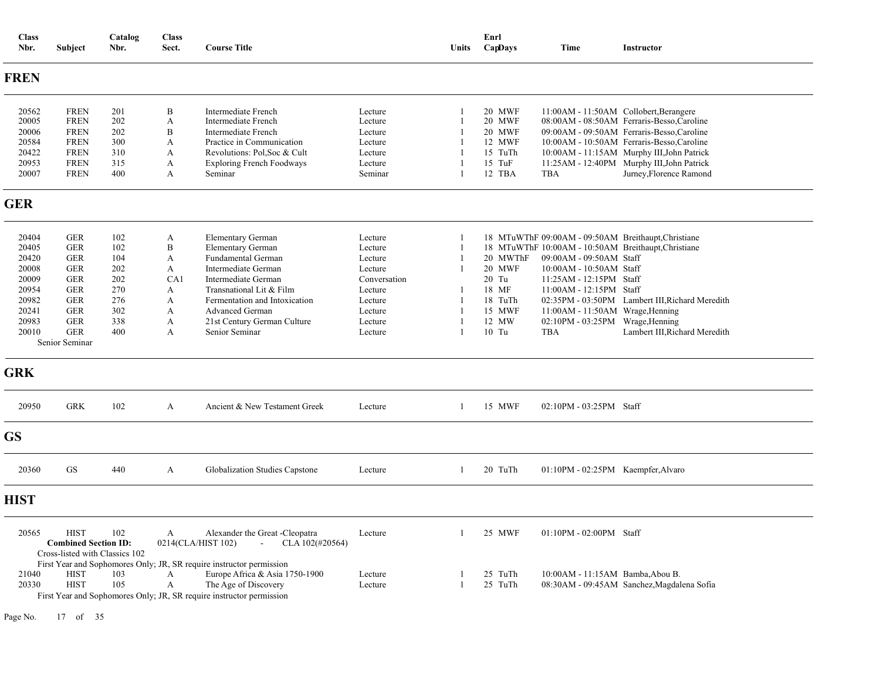| <b>Class</b><br>Nbr.                                                                                          | Subject                                                                                                                                                                  | Catalog<br>Nbr.                                                           | <b>Class</b><br>Sect.                            | <b>Course Title</b>                                                                                                                                                                                                                                              |                                                                                                                 | <b>Units</b>                                                             | Enrl<br>CapDays                                                                              | <b>Time</b>                                                                                                                                                                                    | <b>Instructor</b>                                                                                                                                                                                                             |
|---------------------------------------------------------------------------------------------------------------|--------------------------------------------------------------------------------------------------------------------------------------------------------------------------|---------------------------------------------------------------------------|--------------------------------------------------|------------------------------------------------------------------------------------------------------------------------------------------------------------------------------------------------------------------------------------------------------------------|-----------------------------------------------------------------------------------------------------------------|--------------------------------------------------------------------------|----------------------------------------------------------------------------------------------|------------------------------------------------------------------------------------------------------------------------------------------------------------------------------------------------|-------------------------------------------------------------------------------------------------------------------------------------------------------------------------------------------------------------------------------|
| <b>FREN</b>                                                                                                   |                                                                                                                                                                          |                                                                           |                                                  |                                                                                                                                                                                                                                                                  |                                                                                                                 |                                                                          |                                                                                              |                                                                                                                                                                                                |                                                                                                                                                                                                                               |
| 20562<br>20005<br>20006<br>20584<br>20422                                                                     | <b>FREN</b><br><b>FREN</b><br><b>FREN</b><br><b>FREN</b><br><b>FREN</b>                                                                                                  | 201<br>202<br>202<br>300<br>310                                           | B<br>A<br>B<br>A<br>A                            | Intermediate French<br>Intermediate French<br>Intermediate French<br>Practice in Communication<br>Revolutions: Pol, Soc & Cult                                                                                                                                   | Lecture<br>Lecture<br>Lecture<br>Lecture<br>Lecture                                                             | 1<br>1<br>1<br>-1                                                        | 20 MWF<br>20 MWF<br>20 MWF<br>12 MWF<br>15 TuTh                                              |                                                                                                                                                                                                | 11:00AM - 11:50AM Collobert, Berangere<br>08:00AM - 08:50AM Ferraris-Besso, Caroline<br>09:00AM - 09:50AM Ferraris-Besso, Caroline<br>10:00AM - 10:50AM Ferraris-Besso,Caroline<br>10:00AM - 11:15AM Murphy III, John Patrick |
| 20953<br>20007                                                                                                | <b>FREN</b><br><b>FREN</b>                                                                                                                                               | 315<br>400                                                                | A<br>A                                           | <b>Exploring French Foodways</b><br>Seminar                                                                                                                                                                                                                      | Lecture<br>Seminar                                                                                              | -1                                                                       | 15 TuF<br>12 TBA                                                                             | TBA                                                                                                                                                                                            | 11:25AM - 12:40PM Murphy III, John Patrick<br>Jurney, Florence Ramond                                                                                                                                                         |
| <b>GER</b>                                                                                                    |                                                                                                                                                                          |                                                                           |                                                  |                                                                                                                                                                                                                                                                  |                                                                                                                 |                                                                          |                                                                                              |                                                                                                                                                                                                |                                                                                                                                                                                                                               |
| 20404<br>20405<br>20420<br>20008<br>20009<br>20954<br>20982<br>20241<br>20983<br>20010<br><b>GRK</b><br>20950 | <b>GER</b><br><b>GER</b><br><b>GER</b><br><b>GER</b><br><b>GER</b><br><b>GER</b><br><b>GER</b><br><b>GER</b><br><b>GER</b><br><b>GER</b><br>Senior Seminar<br><b>GRK</b> | 102<br>102<br>104<br>202<br>202<br>270<br>276<br>302<br>338<br>400<br>102 | A<br>B<br>A<br>A<br>CA1<br>A<br>A<br>A<br>A<br>A | <b>Elementary German</b><br>Elementary German<br><b>Fundamental German</b><br>Intermediate German<br>Intermediate German<br>Transnational Lit & Film<br>Fermentation and Intoxication<br><b>Advanced German</b><br>21st Century German Culture<br>Senior Seminar | Lecture<br>Lecture<br>Lecture<br>Lecture<br>Conversation<br>Lecture<br>Lecture<br>Lecture<br>Lecture<br>Lecture | -1<br>-1<br>-1<br>$\mathbf{1}$<br>-1<br>$\overline{1}$<br>$\overline{1}$ | 20 MWThF<br><b>20 MWF</b><br>20 Tu<br>18 MF<br>18 TuTh<br>15 MWF<br>12 MW<br>10 Tu<br>15 MWF | 09:00AM - 09:50AM Staff<br>10:00AM - 10:50AM Staff<br>11:25AM - 12:15PM Staff<br>11:00AM - 12:15PM Staff<br>11:00AM - 11:50AM Wrage, Henning<br>02:10PM - 03:25PM Wrage, Henning<br><b>TBA</b> | 18 MTuWThF 09:00AM - 09:50AM Breithaupt, Christiane<br>18 MTuWThF 10:00AM - 10:50AM Breithaupt, Christiane<br>02:35PM - 03:50PM Lambert III, Richard Meredith<br>Lambert III, Richard Meredith                                |
|                                                                                                               |                                                                                                                                                                          |                                                                           | A                                                | Ancient & New Testament Greek                                                                                                                                                                                                                                    | Lecture                                                                                                         | -1                                                                       |                                                                                              | 02:10PM - 03:25PM Staff                                                                                                                                                                        |                                                                                                                                                                                                                               |
| <b>GS</b>                                                                                                     |                                                                                                                                                                          |                                                                           |                                                  |                                                                                                                                                                                                                                                                  |                                                                                                                 |                                                                          |                                                                                              |                                                                                                                                                                                                |                                                                                                                                                                                                                               |
| 20360                                                                                                         | GS                                                                                                                                                                       | 440                                                                       | A                                                | Globalization Studies Capstone                                                                                                                                                                                                                                   | Lecture                                                                                                         | $\mathbf{1}$                                                             | 20 TuTh                                                                                      | 01:10PM - 02:25PM Kaempfer, Alvaro                                                                                                                                                             |                                                                                                                                                                                                                               |
| <b>HIST</b>                                                                                                   |                                                                                                                                                                          |                                                                           |                                                  |                                                                                                                                                                                                                                                                  |                                                                                                                 |                                                                          |                                                                                              |                                                                                                                                                                                                |                                                                                                                                                                                                                               |
| 20565                                                                                                         | <b>HIST</b><br><b>Combined Section ID:</b><br>Cross-listed with Classics 102                                                                                             | 102                                                                       | A                                                | Alexander the Great -Cleopatra<br>CLA 102(#20564)<br>0214(CLA/HIST 102)<br>$\sim$                                                                                                                                                                                | Lecture                                                                                                         | $\mathbf{1}$                                                             | 25 MWF                                                                                       | 01:10PM - 02:00PM Staff                                                                                                                                                                        |                                                                                                                                                                                                                               |
| 21040<br>20330                                                                                                | <b>HIST</b><br><b>HIST</b>                                                                                                                                               | 103<br>105                                                                | A<br>A                                           | First Year and Sophomores Only; JR, SR require instructor permission<br>Europe Africa & Asia 1750-1900<br>The Age of Discovery<br>First Year and Sophomores Only; JR, SR require instructor permission                                                           | Lecture<br>Lecture                                                                                              | $\overline{1}$                                                           | 25 TuTh<br>25 TuTh                                                                           | 10:00AM - 11:15AM Bamba, Abou B.                                                                                                                                                               | 08:30AM - 09:45AM Sanchez, Magdalena Sofia                                                                                                                                                                                    |

Page No. 17 of 35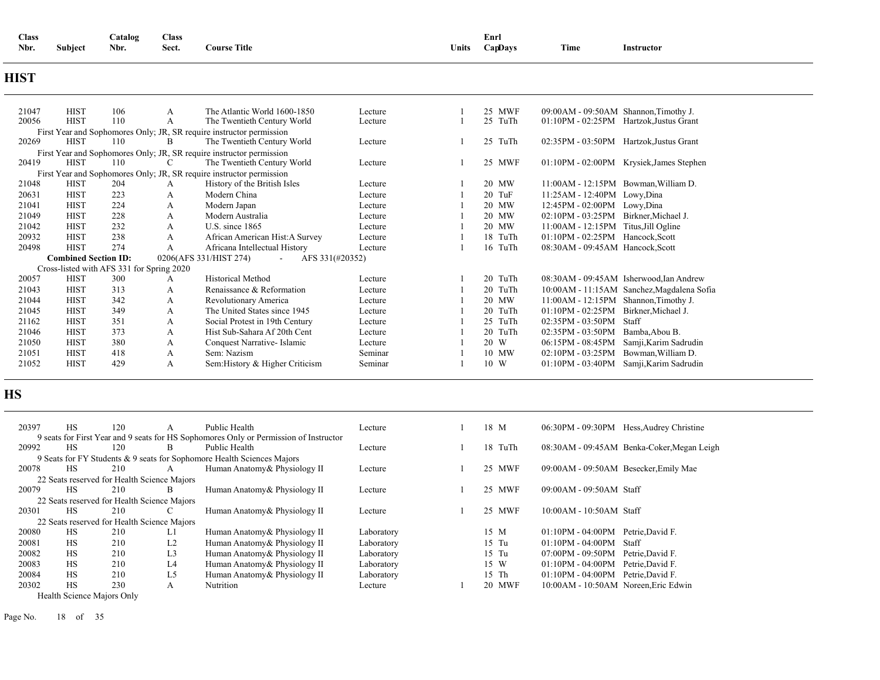| Class |                | $\sim$<br>$\mathcal{L}$ atalog | <b>Class</b> |                     |              | $\sim$<br>Enrl |      |            |
|-------|----------------|--------------------------------|--------------|---------------------|--------------|----------------|------|------------|
| Nbr.  | <b>Subject</b> | Nbr.                           | Sect.        | <b>Course Title</b> | <b>Units</b> | CapDavs        | Time | Instructor |

### **HIST**

| 21047 | <b>HIST</b>                 | 106 | A                                         | The Atlantic World 1600-1850                                         | Lecture | 25 MWF         | 09:00AM - 09:50AM Shannon, Timothy J.  |                                         |
|-------|-----------------------------|-----|-------------------------------------------|----------------------------------------------------------------------|---------|----------------|----------------------------------------|-----------------------------------------|
| 20056 | <b>HIST</b>                 | 110 | А                                         | The Twentieth Century World                                          | Lecture | 25<br>TuTh     | $01:10PM - 02:25PM$                    | Hartzok, Justus Grant                   |
|       |                             |     |                                           | First Year and Sophomores Only; JR, SR require instructor permission |         |                |                                        |                                         |
| 20269 | <b>HIST</b>                 | 110 | B                                         | The Twentieth Century World                                          | Lecture | TuTh<br>25     | 02:35PM - 03:50PM                      | Hartzok, Justus Grant                   |
|       |                             |     |                                           | First Year and Sophomores Only; JR, SR require instructor permission |         |                |                                        |                                         |
| 20419 | <b>HIST</b>                 | 110 | C                                         | The Twentieth Century World                                          | Lecture | 25 MWF         | 01:10PM - 02:00PM                      | Krysiek, James Stephen                  |
|       |                             |     |                                           | First Year and Sophomores Only; JR, SR require instructor permission |         |                |                                        |                                         |
| 21048 | <b>HIST</b>                 | 204 | А                                         | History of the British Isles                                         | Lecture | 20 MW          | $11:00AM - 12:15PM$ Bowman, William D. |                                         |
| 20631 | <b>HIST</b>                 | 223 | А                                         | Modern China                                                         | Lecture | 20<br>TuF      | 11:25AM - 12:40PM                      | Lowy, Dina                              |
| 21041 | <b>HIST</b>                 | 224 | A                                         | Modern Japan                                                         | Lecture | 20<br>MW       | 12:45PM - 02:00PM                      | Lowy, Dina                              |
| 21049 | <b>HIST</b>                 | 228 | A                                         | Modern Australia                                                     | Lecture | 20<br>MW       | $02:10PM - 03:25PM$                    | Birkner, Michael J.                     |
| 21042 | <b>HIST</b>                 | 232 | A                                         | U.S. since $1865$                                                    | Lecture | 20 MW          | 11:00AM - 12:15PM                      | Titus, Jill Ogline                      |
| 20932 | <b>HIST</b>                 | 238 | A                                         | African American Hist: A Survey                                      | Lecture | 18 TuTh        | $01:10PM - 02:25PM$                    | Hancock, Scott                          |
| 20498 | <b>HIST</b>                 | 274 | A                                         | Africana Intellectual History                                        | Lecture | 16 TuTh        | 08:30AM - 09:45AM Hancock, Scott       |                                         |
|       | <b>Combined Section ID:</b> |     |                                           | AFS 331(#20352)<br>0206(AFS 331/HIST 274)<br>$\sim$                  |         |                |                                        |                                         |
|       |                             |     | Cross-listed with AFS 331 for Spring 2020 |                                                                      |         |                |                                        |                                         |
| 20057 | <b>HIST</b>                 | 300 | А                                         | <b>Historical Method</b>                                             | Lecture | TuTh<br>20     |                                        | 08:30AM - 09:45AM Isherwood, Ian Andrew |
| 21043 | <b>HIST</b>                 | 313 | А                                         | Renaissance & Reformation                                            | Lecture | 20<br>TuTh     | $10:00AM - 11:15AM$                    | Sanchez, Magdalena Sofia                |
| 21044 | <b>HIST</b>                 | 342 | А                                         | Revolutionary America                                                | Lecture | 20<br>MW       | 11:00AM - 12:15PM                      | Shannon, Timothy J.                     |
| 21045 | <b>HIST</b>                 | 349 | A                                         | The United States since 1945                                         | Lecture | 20<br>TuTh     | $01:10PM - 02:25PM$                    | Birkner, Michael J.                     |
| 21162 | <b>HIST</b>                 | 351 | А                                         | Social Protest in 19th Century                                       | Lecture | 25<br>TuTh     | $02:35PM - 03:50PM$                    | Staff                                   |
| 21046 | <b>HIST</b>                 | 373 | А                                         | Hist Sub-Sahara Af 20th Cent                                         | Lecture | 20<br>TuTh     | $02:35PM - 03:50PM$                    | Bamba, Abou B.                          |
| 21050 | <b>HIST</b>                 | 380 | A                                         | Conquest Narrative-Islamic                                           | Lecture | 20<br>W        | 06:15PM - 08:45PM                      | Samji, Karim Sadrudin                   |
| 21051 | <b>HIST</b>                 | 418 | А                                         | Sem: Nazism                                                          | Seminar | 10 MW          | $02:10PM - 03:25PM$                    | Bowman, William D.                      |
| 21052 | <b>HIST</b>                 | 429 | А                                         | Sem: History & Higher Criticism                                      | Seminar | $10 \text{ W}$ | $01:10PM - 03:40PM$                    | Samji, Karim Sadrudin                   |
|       |                             |     |                                           |                                                                      |         |                |                                        |                                         |

### **HS**

| 20397 | <b>HS</b> | 120                                         |                | Public Health                                                                         | Lecture    | 18 M             | 06:30PM - 09:30PM                     | Hess, Audrey Christine                     |
|-------|-----------|---------------------------------------------|----------------|---------------------------------------------------------------------------------------|------------|------------------|---------------------------------------|--------------------------------------------|
|       |           |                                             |                | 9 seats for First Year and 9 seats for HS Sophomores Only or Permission of Instructor |            |                  |                                       |                                            |
| 20992 | <b>HS</b> | 120                                         | <sub>R</sub>   | Public Health                                                                         | Lecture    | 18<br>TuTh       |                                       | 08:30AM - 09:45AM Benka-Coker, Megan Leigh |
|       |           |                                             |                | 9 Seats for FY Students & 9 seats for Sophomore Health Sciences Majors                |            |                  |                                       |                                            |
| 20078 | <b>HS</b> | 210                                         | A              | Human Anatomy & Physiology II                                                         | Lecture    | MWF<br>25        | 09:00AM - 09:50AM Besecker, Emily Mae |                                            |
|       |           | 22 Seats reserved for Health Science Majors |                |                                                                                       |            |                  |                                       |                                            |
| 20079 | <b>HS</b> | 210                                         | B.             | Human Anatomy & Physiology II                                                         | Lecture    | 25 MWF           | $09:00AM - 09:50AM$ Staff             |                                            |
|       |           | 22 Seats reserved for Health Science Majors |                |                                                                                       |            |                  |                                       |                                            |
| 20301 | HS        | 210                                         |                | Human Anatomy & Physiology II                                                         | Lecture    | 25<br>MWF        | 10:00AM - 10:50AM Staff               |                                            |
|       |           | 22 Seats reserved for Health Science Majors |                |                                                                                       |            |                  |                                       |                                            |
| 20080 | HS        | 210                                         | Ll             | Human Anatomy & Physiology II                                                         | Laboratory | 15 M             | $01:10PM - 04:00PM$                   | Petrie.David F.                            |
| 20081 | <b>HS</b> | 210                                         | L2             | Human Anatomy & Physiology II                                                         | Laboratory | 15 Tu            | $01:10PM - 04:00PM$                   | Staff                                      |
| 20082 | <b>HS</b> | 210                                         | L <sub>3</sub> | Human Anatomy & Physiology II                                                         | Laboratory | 15 Tu            | $07:00PM - 09:50PM$                   | Petrie.David F.                            |
| 20083 | <b>HS</b> | 210                                         | L4             | Human Anatomy & Physiology II                                                         | Laboratory | 15 W             | $01:10PM - 04:00PM$                   | Petrie.David F.                            |
| 20084 | HS        | 210                                         | L5             | Human Anatomy & Physiology II                                                         | Laboratory | 15 Th            | $01:10PM - 04:00PM$                   | Petrie.David F.                            |
| 20302 | HS        | 230                                         | А              | Nutrition                                                                             | Lecture    | <b>MWF</b><br>20 | 10:00AM - 10:50AM Noreen.Eric Edwin   |                                            |
|       |           |                                             |                |                                                                                       |            |                  |                                       |                                            |

Health Science Majors Only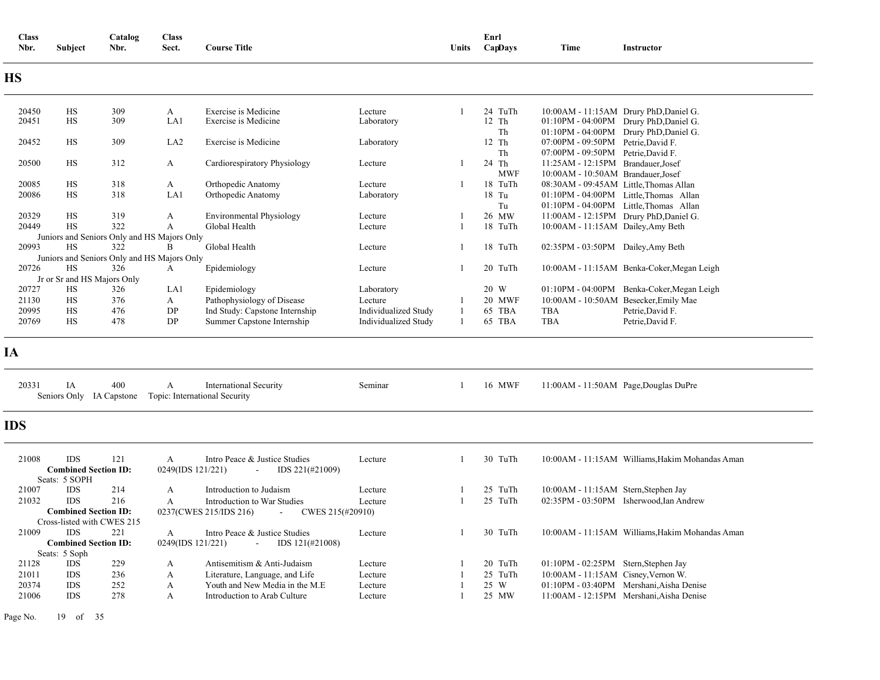| <b>Class</b><br>Nbr. | Subject                                   | Catalog<br>Nbr.                             | <b>Class</b><br>Sect.  | <b>Course Title</b>                                            |                      | Units          | Enrl<br>CapDays       | Time                                                                         | Instructor                                      |
|----------------------|-------------------------------------------|---------------------------------------------|------------------------|----------------------------------------------------------------|----------------------|----------------|-----------------------|------------------------------------------------------------------------------|-------------------------------------------------|
| <b>HS</b>            |                                           |                                             |                        |                                                                |                      |                |                       |                                                                              |                                                 |
| 20450                | HS                                        | 309                                         | A                      | Exercise is Medicine                                           | Lecture              |                | 24 TuTh               |                                                                              | 10:00AM - 11:15AM Drury PhD, Daniel G.          |
| 20451                | HS                                        | 309                                         | LA1                    | Exercise is Medicine                                           | Laboratory           |                | 12 Th                 |                                                                              | 01:10PM - 04:00PM Drury PhD, Daniel G.          |
|                      |                                           |                                             |                        |                                                                |                      |                | Th                    |                                                                              | 01:10PM - 04:00PM Drury PhD, Daniel G.          |
| 20452                | HS                                        | 309                                         | LA <sub>2</sub>        | Exercise is Medicine                                           | Laboratory           |                | 12 Th                 | 07:00PM - 09:50PM Petrie, David F.                                           |                                                 |
|                      |                                           |                                             |                        |                                                                |                      |                | Th                    | 07:00PM - 09:50PM Petrie, David F.                                           |                                                 |
| 20500                | HS                                        | 312                                         | A                      | Cardiorespiratory Physiology                                   | Lecture              | -1             | 24 Th                 | 11:25AM - 12:15PM Brandauer, Josef                                           |                                                 |
| 20085                | HS                                        | 318                                         | A                      |                                                                | Lecture              | $\mathbf{1}$   | <b>MWF</b><br>18 TuTh | 10:00AM - 10:50AM Brandauer, Josef<br>08:30AM - 09:45AM Little, Thomas Allan |                                                 |
| 20086                | <b>HS</b>                                 | 318                                         | LA1                    | Orthopedic Anatomy<br>Orthopedic Anatomy                       | Laboratory           |                | 18 Tu                 |                                                                              | 01:10PM - 04:00PM Little.Thomas Allan           |
|                      |                                           |                                             |                        |                                                                |                      |                | Tu                    |                                                                              | 01:10PM - 04:00PM Little, Thomas Allan          |
| 20329                | HS                                        | 319                                         | A                      | Environmental Physiology                                       | Lecture              |                | 26 MW                 |                                                                              | 11:00AM - 12:15PM Drury PhD, Daniel G.          |
| 20449                | HS                                        | 322                                         | A                      | Global Health                                                  | Lecture              | $\mathbf{1}$   | 18 TuTh               | 10:00AM - 11:15AM Dailey, Amy Beth                                           |                                                 |
|                      |                                           | Juniors and Seniors Only and HS Majors Only |                        |                                                                |                      |                |                       |                                                                              |                                                 |
| 20993                | <b>HS</b>                                 | 322                                         | B                      | Global Health                                                  | Lecture              | -1             | 18 TuTh               | 02:35PM - 03:50PM Dailey, Amy Beth                                           |                                                 |
|                      |                                           | Juniors and Seniors Only and HS Majors Only |                        |                                                                |                      |                |                       |                                                                              |                                                 |
| 20726                | <b>HS</b>                                 | 326                                         | A                      | Epidemiology                                                   | Lecture              | -1             | 20 TuTh               |                                                                              | 10:00AM - 11:15AM Benka-Coker, Megan Leigh      |
|                      | Jr or Sr and HS Majors Only               |                                             |                        |                                                                |                      |                |                       |                                                                              |                                                 |
| 20727                | HS                                        | 326                                         | LA1                    | Epidemiology                                                   | Laboratory           |                | 20 W                  |                                                                              | 01:10PM - 04:00PM Benka-Coker, Megan Leigh      |
| 21130                | <b>HS</b>                                 | 376                                         | $\mathbf{A}$           | Pathophysiology of Disease                                     | Lecture              |                | <b>20 MWF</b>         |                                                                              | 10:00AM - 10:50AM Besecker, Emily Mae           |
| 20995                | HS                                        | 476                                         | DP                     | Ind Study: Capstone Internship                                 | Individualized Study |                | 65 TBA                | <b>TBA</b>                                                                   | Petrie, David F.                                |
| 20769                | HS                                        | 478                                         | DP                     | Summer Capstone Internship                                     | Individualized Study | -1             | 65 TBA                | <b>TBA</b>                                                                   | Petrie, David F.                                |
| <b>IA</b>            |                                           |                                             |                        |                                                                |                      |                |                       |                                                                              |                                                 |
| 20331                | IA<br>Seniors Only IA Capstone            | 400                                         | A                      | <b>International Security</b><br>Topic: International Security | Seminar              | -1             | 16 MWF                |                                                                              | 11:00AM - 11:50AM Page, Douglas DuPre           |
| <b>IDS</b>           |                                           |                                             |                        |                                                                |                      |                |                       |                                                                              |                                                 |
| 21008                | <b>IDS</b><br><b>Combined Section ID:</b> | 121                                         | A<br>0249(IDS 121/221) | Intro Peace & Justice Studies<br>IDS 221(#21009)<br>$\sim$     | Lecture              | $\overline{1}$ | 30 TuTh               |                                                                              | 10:00AM - 11:15AM Williams, Hakim Mohandas Aman |
|                      | Seats: 5 SOPH                             |                                             |                        |                                                                |                      |                |                       |                                                                              |                                                 |
| 21007                | <b>IDS</b>                                | 214                                         | $\mathbf{A}$           | Introduction to Judaism                                        | Lecture              | -1             | 25 TuTh               | 10:00AM - 11:15AM Stern, Stephen Jay                                         |                                                 |
| 21032                | <b>IDS</b>                                | 216                                         | $\boldsymbol{A}$       | Introduction to War Studies                                    | Lecture              | 1              | 25 TuTh               |                                                                              | 02:35PM - 03:50PM Isherwood.Ian Andrew          |
|                      | <b>Combined Section ID:</b>               |                                             |                        | 0237(CWES 215/IDS 216)<br>CWES 215(#20910)<br>÷.               |                      |                |                       |                                                                              |                                                 |
|                      | Cross-listed with CWES 215                |                                             |                        |                                                                |                      |                |                       |                                                                              |                                                 |
| 21009                | <b>IDS</b>                                | 221                                         | A                      | Intro Peace & Justice Studies                                  | Lecture              | 1              | 30 TuTh               |                                                                              | 10:00AM - 11:15AM Williams, Hakim Mohandas Aman |
|                      | <b>Combined Section ID:</b>               |                                             | 0249(IDS 121/221)      | IDS 121(#21008)                                                |                      |                |                       |                                                                              |                                                 |
| 21128                | Seats: 5 Soph<br><b>IDS</b>               | 229                                         | A                      | Antisemitism & Anti-Judaism                                    | Lecture              |                | 20 TuTh               | 01:10PM - 02:25PM Stern, Stephen Jay                                         |                                                 |
| 21011                | <b>IDS</b>                                | 236                                         | A                      | Literature, Language, and Life                                 | Lecture              |                | 25 TuTh               | 10:00AM - 11:15AM Cisney, Vernon W.                                          |                                                 |
| 20374                | <b>IDS</b>                                | 252                                         | A                      | Youth and New Media in the M.E                                 | Lecture              |                | 25 W                  |                                                                              | 01:10PM - 03:40PM Mershani, Aisha Denise        |
| 21006                | IDS                                       | 278                                         | A                      | Introduction to Arab Culture                                   | Lecture              |                | 25 MW                 |                                                                              | 11:00AM - 12:15PM Mershani, Aisha Denise        |
|                      |                                           |                                             |                        |                                                                |                      |                |                       |                                                                              |                                                 |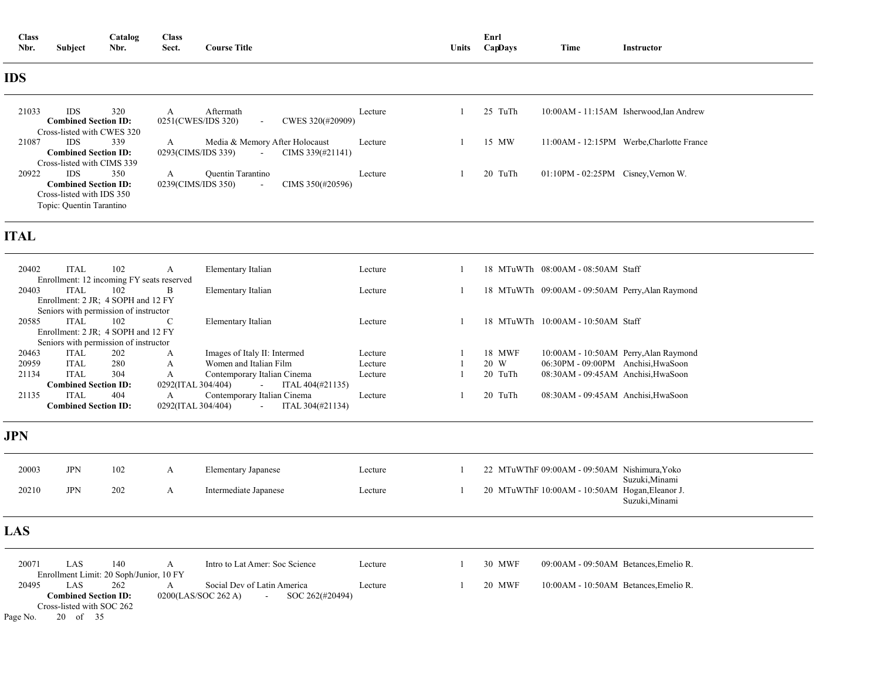| <b>Class</b> |                | <b>Catalog</b> | <b>Class</b> |                     |       | Enrl    |      |                 |  |
|--------------|----------------|----------------|--------------|---------------------|-------|---------|------|-----------------|--|
| Nbr.         | <b>Subject</b> | Nbr.           | Sect.        | <b>Course Title</b> | Units | CapDays | Time | Instructor<br>. |  |

### **IDS**

| 21033<br>320<br><b>IDS</b><br><b>Combined Section ID:</b> | Aftermath<br>A<br>0251(CWES/IDS 320)<br>CWES 320(#20909)<br>$\sim$ | Lecture | 25 TuTh | 10:00 AM - 11:15 AM Isherwood, Ian Andrew |
|-----------------------------------------------------------|--------------------------------------------------------------------|---------|---------|-------------------------------------------|
| Cross-listed with CWES 320                                |                                                                    |         |         |                                           |
| 21087<br>339<br><b>IDS</b>                                | Media & Memory After Holocaust<br>A                                | Lecture | 15 MW   | 11:00AM - 12:15PM Werbe.Charlotte France  |
| <b>Combined Section ID:</b>                               | 0293(CIMS/IDS 339)<br>CIMS $339(\text{\#}21141)$<br>$\sim$         |         |         |                                           |
| Cross-listed with CIMS 339                                |                                                                    |         |         |                                           |
| 20922<br><b>IDS</b><br>350                                | <b>Quentin Tarantino</b><br>A                                      | Lecture | 20 TuTh | $01:10PM - 02:25PM$ Cisney, Vernon W.     |
| <b>Combined Section ID:</b>                               | CIMS 350(#20596)<br>0239(CIMS/IDS 350)<br>$\sim$                   |         |         |                                           |
| Cross-listed with IDS 350                                 |                                                                    |         |         |                                           |
| Topic: Quentin Tarantino                                  |                                                                    |         |         |                                           |

### **ITAL**

| 20402                              | <b>ITAL</b>                           | 102 | А                                         | Elementary Italian           |                  | Lecture |      |         | 18 MTuWTh 08:00AM - 08:50AM Staff               |  |
|------------------------------------|---------------------------------------|-----|-------------------------------------------|------------------------------|------------------|---------|------|---------|-------------------------------------------------|--|
|                                    |                                       |     | Enrollment: 12 incoming FY seats reserved |                              |                  |         |      |         |                                                 |  |
| 20403                              | <b>ITAL</b>                           | 102 | B                                         | Elementary Italian           |                  | Lecture |      |         | 18 MTuWTh 09:00AM - 09:50AM Perry, Alan Raymond |  |
|                                    | Enrollment: 2 JR: 4 SOPH and 12 FY    |     |                                           |                              |                  |         |      |         |                                                 |  |
|                                    | Seniors with permission of instructor |     |                                           |                              |                  |         |      |         |                                                 |  |
| 20585                              | <b>ITAL</b>                           | 102 | C                                         | Elementary Italian           |                  | Lecture |      |         | 18 MTuWTh 10:00AM - 10:50AM Staff               |  |
| Enrollment: 2 JR; 4 SOPH and 12 FY |                                       |     |                                           |                              |                  |         |      |         |                                                 |  |
|                                    | Seniors with permission of instructor |     |                                           |                              |                  |         |      |         |                                                 |  |
| 20463                              | <b>ITAL</b>                           | 202 | A                                         | Images of Italy II: Intermed |                  | Lecture |      | 18 MWF  | 10:00 AM - 10:50 AM Perry, Alan Raymond         |  |
| 20959                              | <b>ITAL</b>                           | 280 | A                                         | Women and Italian Film       |                  | Lecture | 20 W |         | 06:30PM - 09:00PM Anchisi, HwaSoon              |  |
| 21134                              | <b>ITAL</b>                           | 304 | A                                         | Contemporary Italian Cinema  |                  | Lecture |      | 20 TuTh | 08:30AM - 09:45AM Anchisi, HwaSoon              |  |
|                                    | <b>Combined Section ID:</b>           |     | 0292(ITAL 304/404)                        | $\sim$                       | ITAL 404(#21135) |         |      |         |                                                 |  |
| 21135                              | <b>ITAL</b>                           | 404 | A                                         | Contemporary Italian Cinema  |                  | Lecture |      | 20 TuTh | 08:30AM - 09:45AM Anchisi, HwaSoon              |  |
|                                    | $\cap$ ombined Section ID:            |     | 0292(ITAL 304/404)                        | $\sim$                       | ITAL 304(#21134) |         |      |         |                                                 |  |

### **JPN**

| 20003 | <b>JPN</b> | 102 | <b>Elementary Japanese</b> | Lecture | 22 MTuWThF 09:00AM - 09:50AM Nishimura, Yoko<br>Suzuki, Minami   |
|-------|------------|-----|----------------------------|---------|------------------------------------------------------------------|
| 20210 | JPN        | 202 | Intermediate Japanese      | Lecture | 20 MTuWThF 10:00AM - 10:50AM Hogan, Eleanor J.<br>Suzuki, Minami |

### **LAS**

| 20071    | LAS                                     | 140 | Intro to Lat Amer: Soc Science    |                 | Lecture | 30 MWF | 09:00AM - 09:50AM Betances, Emelio R. |
|----------|-----------------------------------------|-----|-----------------------------------|-----------------|---------|--------|---------------------------------------|
|          | Enrollment Limit: 20 Soph/Junior, 10 FY |     |                                   |                 |         |        |                                       |
| 20495    | LAS                                     | 262 | Social Dev of Latin America       |                 | Lecture | 20 MWF | 10:00AM - 10:50AM Betances, Emelio R. |
|          | Combined Section ID: \                  |     | 0200(LAS/SOC 262 A)<br>$\sim$ $-$ | SOC 262(#20494) |         |        |                                       |
|          | Cross-listed with SOC 262               |     |                                   |                 |         |        |                                       |
| Page No. | 20 of 35                                |     |                                   |                 |         |        |                                       |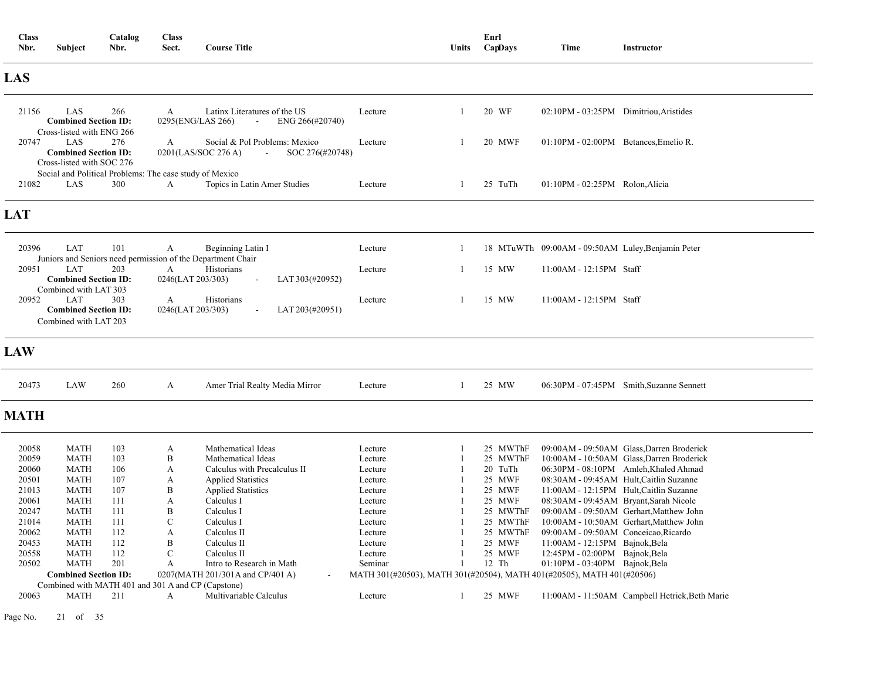| <b>Class</b><br>Nbr. | Subject                                                                              | Catalog<br>Nbr. | <b>Class</b><br>Sect.             | <b>Course Title</b>                                                               |                                                                        | Units        | Enrl<br>CapDays      | Time                                              | <b>Instructor</b>                              |
|----------------------|--------------------------------------------------------------------------------------|-----------------|-----------------------------------|-----------------------------------------------------------------------------------|------------------------------------------------------------------------|--------------|----------------------|---------------------------------------------------|------------------------------------------------|
| LAS                  |                                                                                      |                 |                                   |                                                                                   |                                                                        |              |                      |                                                   |                                                |
| 21156                | LAS<br><b>Combined Section ID:</b><br>Cross-listed with ENG 266                      | 266             | $\mathbf{A}$<br>0295(ENG/LAS 266) | Latinx Literatures of the US<br>ENG 266(#20740)<br>$\overline{a}$                 | Lecture                                                                | 1            | 20 WF                | 02:10PM - 03:25PM Dimitriou, Aristides            |                                                |
| 20747                | LAS<br><b>Combined Section ID:</b><br>Cross-listed with SOC 276                      | 276             | $\mathbf{A}$                      | Social & Pol Problems: Mexico<br>0201(LAS/SOC 276 A)<br>SOC 276(#20748)<br>$\sim$ | Lecture                                                                | 1            | 20 MWF               | 01:10PM - 02:00PM Betances, Emelio R.             |                                                |
| 21082                | Social and Political Problems: The case study of Mexico<br>LAS                       | 300             | A                                 | Topics in Latin Amer Studies                                                      | Lecture                                                                | -1           | 25 TuTh              | 01:10PM - 02:25PM Rolon, Alicia                   |                                                |
| <b>LAT</b>           |                                                                                      |                 |                                   |                                                                                   |                                                                        |              |                      |                                                   |                                                |
| 20396                | LAT                                                                                  | 101             | A                                 | Beginning Latin I<br>Juniors and Seniors need permission of the Department Chair  | Lecture                                                                | -1           |                      | 18 MTuWTh 09:00AM - 09:50AM Luley, Benjamin Peter |                                                |
| 20951                | <b>LAT</b><br><b>Combined Section ID:</b>                                            | 203             | A<br>0246(LAT 203/303)            | Historians<br>LAT 303(#20952)<br>J.                                               | Lecture                                                                | -1           | 15 MW                | $11:00AM - 12:15PM$ Staff                         |                                                |
| 20952                | Combined with LAT 303<br>LAT<br><b>Combined Section ID:</b><br>Combined with LAT 203 | 303             | $\mathbf{A}$<br>0246(LAT 203/303) | Historians<br>LAT 203(#20951)                                                     | Lecture                                                                | 1            | 15 MW                | $11:00AM - 12:15PM$ Staff                         |                                                |
| <b>LAW</b>           |                                                                                      |                 |                                   |                                                                                   |                                                                        |              |                      |                                                   |                                                |
| 20473                | LAW                                                                                  | 260             | A                                 | Amer Trial Realty Media Mirror                                                    | Lecture                                                                | -1           | 25 MW                |                                                   | 06:30PM - 07:45PM Smith, Suzanne Sennett       |
| <b>MATH</b>          |                                                                                      |                 |                                   |                                                                                   |                                                                        |              |                      |                                                   |                                                |
| 20058                | <b>MATH</b>                                                                          | 103             | A                                 | Mathematical Ideas                                                                | Lecture                                                                | 1            | 25 MWThF             |                                                   | 09:00AM - 09:50AM Glass, Darren Broderick      |
| 20059                | <b>MATH</b>                                                                          | 103             | B                                 | Mathematical Ideas                                                                | Lecture                                                                |              | 25 MWThF             |                                                   | 10:00AM - 10:50AM Glass, Darren Broderick      |
| 20060                | <b>MATH</b>                                                                          | 106             | A                                 | Calculus with Precalculus II                                                      | Lecture                                                                |              | 20 TuTh              |                                                   | 06:30PM - 08:10PM Amleh, Khaled Ahmad          |
| 20501                | <b>MATH</b>                                                                          | 107             | A                                 | <b>Applied Statistics</b>                                                         | Lecture                                                                |              | 25 MWF               | 08:30AM - 09:45AM Hult, Caitlin Suzanne           |                                                |
| 21013                | <b>MATH</b>                                                                          | 107             | B                                 | <b>Applied Statistics</b>                                                         | Lecture                                                                |              | 25 MWF               | 11:00AM - 12:15PM Hult, Caitlin Suzanne           |                                                |
| 20061                | <b>MATH</b>                                                                          | 111             | A                                 | Calculus I                                                                        | Lecture                                                                |              | 25 MWF               | 08:30AM - 09:45AM Bryant, Sarah Nicole            |                                                |
| 20247                | <b>MATH</b>                                                                          | 111             | B                                 | Calculus I                                                                        | Lecture                                                                |              | 25 MWThF             |                                                   | 09:00AM - 09:50AM Gerhart, Matthew John        |
| 21014<br>20062       | <b>MATH</b><br><b>MATH</b>                                                           | 111<br>112      | $\mathbf C$<br>A                  | Calculus I<br>Calculus II                                                         | Lecture<br>Lecture                                                     |              | 25 MWThF<br>25 MWThF | 09:00AM - 09:50AM Conceicao, Ricardo              | 10:00AM - 10:50AM Gerhart, Matthew John        |
| 20453                | <b>MATH</b>                                                                          | 112             | B                                 | Calculus II                                                                       | Lecture                                                                |              | 25 MWF               | 11:00AM - 12:15PM Bajnok, Bela                    |                                                |
| 20558                | <b>MATH</b>                                                                          | 112             | $\mathbf C$                       | Calculus II                                                                       | Lecture                                                                | $\mathbf{1}$ | 25 MWF               | 12:45PM - 02:00PM Bajnok, Bela                    |                                                |
| 20502                | <b>MATH</b>                                                                          | 201             | A                                 | Intro to Research in Math                                                         | Seminar                                                                |              | 12 Th                | $01:10PM - 03:40PM$ Bajnok, Bela                  |                                                |
|                      | <b>Combined Section ID:</b>                                                          |                 |                                   | 0207(MATH 201/301A and CP/401 A)                                                  | МАТН 301(#20503), МАТН 301(#20504), МАТН 401(#20505), МАТН 401(#20506) |              |                      |                                                   |                                                |
|                      | Combined with MATH 401 and 301 A and CP (Capstone)                                   |                 |                                   |                                                                                   |                                                                        |              |                      |                                                   |                                                |
| 20063                | <b>MATH</b>                                                                          | 211             | A                                 | Multivariable Calculus                                                            | Lecture                                                                | -1           | 25 MWF               |                                                   | 11:00AM - 11:50AM Campbell Hetrick, Beth Marie |

Page No. 21 of 35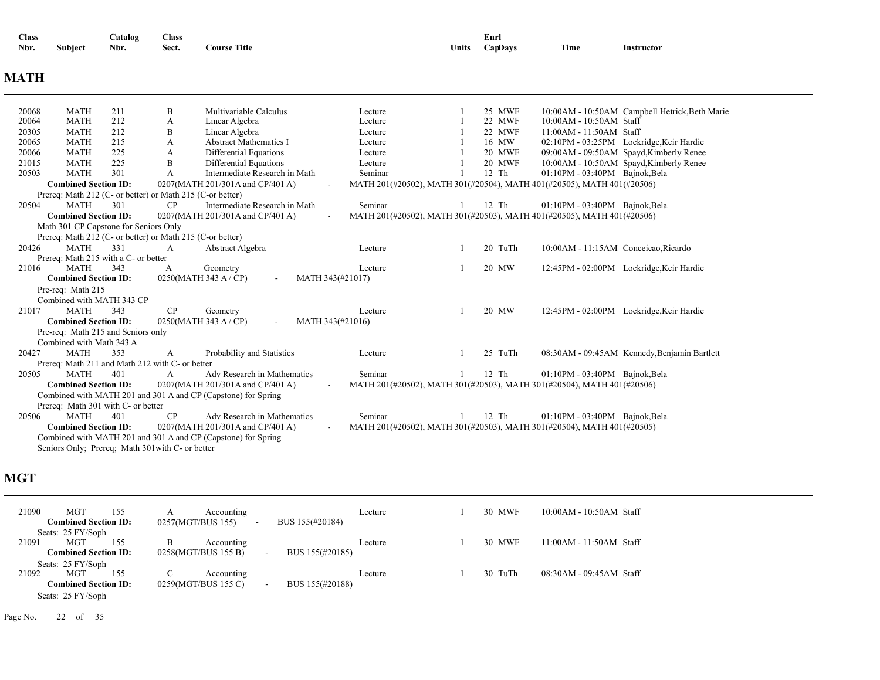| <b>Class</b> |                     | `atalog | Class |                     |       | Enrl           |      |            |  |
|--------------|---------------------|---------|-------|---------------------|-------|----------------|------|------------|--|
| Nbr.         | $\cdots$<br>Subject | Nbr.    | Sect. | <b>Course Title</b> | Units | <b>CanDavs</b> | Time | Instructor |  |

### **MATH**

| 20068 | <b>MATH</b>                           | 211 | B                                                         | Multivariable Calculus                                        | Lecture          | 25 MWF        |                                                                        | 10:00AM - 10:50AM Campbell Hetrick, Beth Marie |
|-------|---------------------------------------|-----|-----------------------------------------------------------|---------------------------------------------------------------|------------------|---------------|------------------------------------------------------------------------|------------------------------------------------|
| 20064 | <b>MATH</b>                           | 212 | А                                                         | Linear Algebra                                                | Lecture          | 22 MWF        | 10:00AM - 10:50AM Staff                                                |                                                |
| 20305 | <b>MATH</b>                           | 212 | B                                                         | Linear Algebra                                                | Lecture          | 22 MWF        | 11:00AM - 11:50AM Staff                                                |                                                |
| 20065 | <b>MATH</b>                           | 215 | А                                                         | <b>Abstract Mathematics I</b>                                 | Lecture          | 16 MW         |                                                                        | 02:10PM - 03:25PM Lockridge, Keir Hardie       |
| 20066 | <b>MATH</b>                           | 225 | A                                                         | Differential Equations                                        | Lecture          | <b>20 MWF</b> |                                                                        | 09:00AM - 09:50AM Spayd, Kimberly Renee        |
| 21015 | <b>MATH</b>                           | 225 | B                                                         | Differential Equations                                        | Lecture          | 20 MWF        |                                                                        | 10:00AM - 10:50AM Spayd, Kimberly Renee        |
| 20503 | <b>MATH</b>                           | 301 | А                                                         | Intermediate Research in Math                                 | Seminar          | $12$ Th       | $01:10$ PM - $03:40$ PM Bajnok, Bela                                   |                                                |
|       | <b>Combined Section ID:</b>           |     |                                                           | 0207(MATH 201/301A and CP/401 A)                              |                  |               | MATH 201(#20502), MATH 301(#20504), MATH 401(#20505), MATH 401(#20506) |                                                |
|       |                                       |     | Prereq: Math 212 (C- or better) or Math 215 (C-or better) |                                                               |                  |               |                                                                        |                                                |
| 20504 | <b>MATH</b>                           | 301 | CP                                                        | Intermediate Research in Math                                 | Seminar          | 12 Th         | $01:10$ PM - $03:40$ PM Bajnok, Bela                                   |                                                |
|       | <b>Combined Section ID:</b>           |     |                                                           | 0207(MATH 201/301A and CP/401 A)                              |                  |               | MATH 201(#20502), MATH 301(#20503), MATH 401(#20505), MATH 401(#20506) |                                                |
|       | Math 301 CP Capstone for Seniors Only |     |                                                           |                                                               |                  |               |                                                                        |                                                |
|       |                                       |     | Prereq: Math 212 (C- or better) or Math 215 (C-or better) |                                                               |                  |               |                                                                        |                                                |
| 20426 | <b>MATH</b>                           | 331 | A                                                         | Abstract Algebra                                              | Lecture          | 20 TuTh       | 10:00AM - 11:15AM Conceicao, Ricardo                                   |                                                |
|       | Prereq: Math 215 with a C- or better  |     |                                                           |                                                               |                  |               |                                                                        |                                                |
| 21016 | <b>MATH</b>                           | 343 | A                                                         | Geometry                                                      | Lecture          | 20 MW         |                                                                        | 12:45PM - 02:00PM Lockridge, Keir Hardie       |
|       | <b>Combined Section ID:</b>           |     |                                                           | 0250(MATH 343 A / CP)<br>$\overline{\phantom{a}}$             | MATH 343(#21017) |               |                                                                        |                                                |
|       | Pre-req: Math 215                     |     |                                                           |                                                               |                  |               |                                                                        |                                                |
|       | Combined with MATH 343 CP             |     |                                                           |                                                               |                  |               |                                                                        |                                                |
| 21017 | <b>MATH</b>                           | 343 | CP                                                        | Geometry                                                      | Lecture          | 20 MW         |                                                                        | 12:45PM - 02:00PM Lockridge, Keir Hardie       |
|       | <b>Combined Section ID:</b>           |     |                                                           |                                                               |                  |               |                                                                        |                                                |
|       |                                       |     |                                                           | 0250(MATH 343 A / CP)                                         | MATH 343(#21016) |               |                                                                        |                                                |
|       | Pre-req: Math 215 and Seniors only    |     |                                                           |                                                               |                  |               |                                                                        |                                                |
|       | Combined with Math 343 A              |     |                                                           |                                                               |                  |               |                                                                        |                                                |
| 20427 | <b>MATH</b>                           | 353 | А                                                         | Probability and Statistics                                    | Lecture          | 25 TuTh       |                                                                        | 08:30AM - 09:45AM Kennedy, Benjamin Bartlett   |
|       |                                       |     | Prereq: Math 211 and Math 212 with C- or better           |                                                               |                  |               |                                                                        |                                                |
| 20505 | <b>MATH</b>                           | 401 | A                                                         | Adv Research in Mathematics                                   | Seminar          | $12$ Th       | $01:10$ PM - $03:40$ PM Bajnok, Bela                                   |                                                |
|       | <b>Combined Section ID:</b>           |     |                                                           | 0207(MATH 201/301A and CP/401 A)                              |                  |               | MATH 201(#20502), MATH 301(#20503), MATH 301(#20504), MATH 401(#20506) |                                                |
|       |                                       |     |                                                           | Combined with MATH 201 and 301 A and CP (Capstone) for Spring |                  |               |                                                                        |                                                |
|       | Prereq: Math 301 with C- or better    |     |                                                           |                                                               |                  |               |                                                                        |                                                |
| 20506 | <b>MATH</b>                           | 401 | CP                                                        | Adv Research in Mathematics                                   | Seminar          | $12$ Th       | $01:10$ PM - $03:40$ PM Bajnok, Bela                                   |                                                |
|       | <b>Combined Section ID:</b>           |     |                                                           | 0207(MATH 201/301A and CP/401 A)                              |                  |               | MATH 201(#20502), MATH 301(#20503), MATH 301(#20504), MATH 401(#20505) |                                                |
|       |                                       |     |                                                           | Combined with MATH 201 and 301 A and CP (Capstone) for Spring |                  |               |                                                                        |                                                |
|       |                                       |     | Seniors Only; Prereq; Math 301 with C- or better          |                                                               |                  |               |                                                                        |                                                |

### **MGT**

| 21090 | MGT                         | 155 |   | Accounting          |                           | Lecture | 30 MWF  | 10:00AM - 10:50AM Staff   |
|-------|-----------------------------|-----|---|---------------------|---------------------------|---------|---------|---------------------------|
|       | <b>Combined Section ID:</b> |     |   | 0257(MGT/BUS 155)   | BUS 155(#20184)<br>٠      |         |         |                           |
|       | Seats: 25 FY/Soph           |     |   |                     |                           |         |         |                           |
| 21091 | <b>MGT</b>                  | 155 | B | Accounting          |                           | Lecture | 30 MWF  | $11:00AM - 11:50AM$ Staff |
|       | <b>Combined Section ID:</b> |     |   | 0258(MGT/BUS 155 B) | BUS 155(#20185)<br>$\sim$ |         |         |                           |
|       | Seats: 25 FY/Soph           |     |   |                     |                           |         |         |                           |
| 21092 | <b>MGT</b>                  | 155 | C | Accounting          |                           | Lecture | 30 TuTh | 08:30AM - 09:45AM Staff   |
|       | <b>Combined Section ID:</b> |     |   | 0259(MGT/BUS 155 C) | BUS 155(#20188)<br>$\sim$ |         |         |                           |
|       | Seats: 25 FY/Soph           |     |   |                     |                           |         |         |                           |

Page No. 22 of 35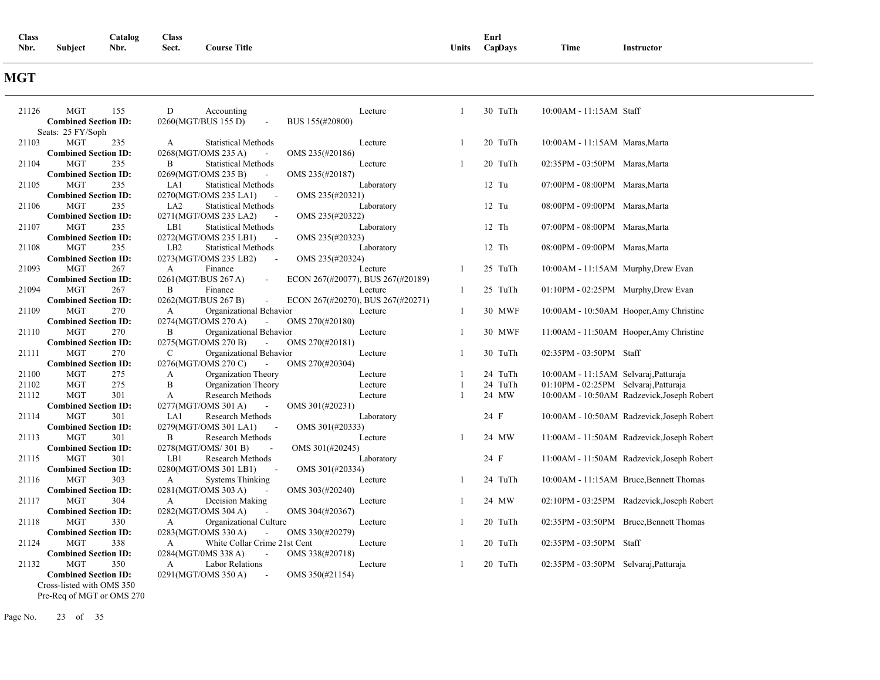| Class |         | Catalog | Class |                     |       | Enrl    |      |            |
|-------|---------|---------|-------|---------------------|-------|---------|------|------------|
| Nbr.  | Subject | Nbr.    | Sect. | <b>Course Title</b> | Units | CapDays | Time | Instructor |

### **MGT**

| <b>MGT</b><br>21126         | D<br>155<br>Accounting                               | Lecture                           |              | 30 TuTh | 10:00AM - 11:15AM Staff                    |
|-----------------------------|------------------------------------------------------|-----------------------------------|--------------|---------|--------------------------------------------|
| <b>Combined Section ID:</b> | 0260(MGT/BUS 155 D)                                  | BUS 155(#20800)                   |              |         |                                            |
| Seats: 25 FY/Soph           |                                                      |                                   |              |         |                                            |
| 21103<br><b>MGT</b>         | 235<br><b>Statistical Methods</b><br>$\mathbf{A}$    | Lecture                           | -1           | 20 TuTh | 10:00AM - 11:15AM Maras, Marta             |
| <b>Combined Section ID:</b> | 0268(MGT/OMS 235 A)                                  | OMS 235(#20186)                   |              |         |                                            |
| 21104<br><b>MGT</b>         | 235<br>B<br><b>Statistical Methods</b>               | Lecture                           |              | 20 TuTh | 02:35PM - 03:50PM Maras, Marta             |
| <b>Combined Section ID:</b> | 0269(MGT/OMS 235 B)<br>$\overline{\phantom{a}}$      | OMS 235(#20187)                   |              |         |                                            |
| 21105<br>MGT                | 235<br>LA1<br><b>Statistical Methods</b>             | Laboratory                        |              | $12$ Tu | 07:00PM - 08:00PM Maras, Marta             |
| <b>Combined Section ID:</b> | 0270(MGT/OMS 235 LA1)                                | OMS 235(#20321)                   |              |         |                                            |
| <b>MGT</b><br>21106         | 235<br>LA <sub>2</sub><br><b>Statistical Methods</b> | Laboratory                        |              | $12$ Tu | 08:00PM - 09:00PM Maras, Marta             |
| <b>Combined Section ID:</b> | 0271(MGT/OMS 235 LA2)                                | OMS 235(#20322)                   |              |         |                                            |
| 21107<br><b>MGT</b>         | 235<br>LB1<br><b>Statistical Methods</b>             | Laboratory                        |              | $12$ Th | 07:00PM - 08:00PM Maras, Marta             |
| <b>Combined Section ID:</b> | 0272(MGT/OMS 235 LB1)                                | OMS 235(#20323)                   |              |         |                                            |
| 21108<br><b>MGT</b>         | 235<br>LB <sub>2</sub><br><b>Statistical Methods</b> | Laboratory                        |              | 12 Th   | 08:00PM - 09:00PM Maras, Marta             |
| <b>Combined Section ID:</b> | 0273(MGT/OMS 235 LB2)                                | OMS 235(#20324)                   |              |         |                                            |
| 21093<br><b>MGT</b>         | 267<br>$\mathbf{A}$<br>Finance                       | Lecture                           | -1           | 25 TuTh | 10:00AM - 11:15AM Murphy, Drew Evan        |
| <b>Combined Section ID:</b> | 0261(MGT/BUS 267 A)<br>$\sim$                        | ECON 267(#20077), BUS 267(#20189) |              |         |                                            |
| 21094<br>MGT                | 267<br>B<br>Finance                                  | Lecture                           | -1           | 25 TuTh | 01:10PM - 02:25PM Murphy, Drew Evan        |
| <b>Combined Section ID:</b> | 0262(MGT/BUS 267 B)<br>$\overline{\phantom{a}}$      | ECON 267(#20270), BUS 267(#20271) |              |         |                                            |
| <b>MGT</b><br>21109         | 270<br>Organizational Behavior<br>A                  | Lecture                           | 1            | 30 MWF  | 10:00AM - 10:50AM Hooper, Amy Christine    |
| <b>Combined Section ID:</b> | 0274(MGT/OMS 270 A)<br>$\sim$                        | OMS 270(#20180)                   |              |         |                                            |
| <b>MGT</b><br>21110         | 270<br>B<br>Organizational Behavior                  | Lecture                           | $\mathbf{1}$ | 30 MWF  | 11:00AM - 11:50AM Hooper, Amy Christine    |
| <b>Combined Section ID:</b> | 0275(MGT/OMS 270 B)                                  | OMS 270(#20181)                   |              |         |                                            |
| 21111<br><b>MGT</b>         | 270<br>C<br>Organizational Behavior                  | Lecture                           | -1           | 30 TuTh | 02:35PM - 03:50PM Staff                    |
| <b>Combined Section ID:</b> | 0276(MGT/OMS 270 C)                                  | OMS 270(#20304)                   |              |         |                                            |
| 21100<br><b>MGT</b>         | 275<br>Organization Theory<br>А                      | Lecture                           |              | 24 TuTh | 10:00AM - 11:15AM Selvaraj, Patturaja      |
| <b>MGT</b><br>21102         | 275<br>B<br>Organization Theory                      | Lecture                           |              | 24 TuTh | 01:10PM - 02:25PM Selvaraj, Patturaja      |
| 21112<br><b>MGT</b>         | 301<br>А<br>Research Methods                         | Lecture                           | -1           | 24 MW   | 10:00AM - 10:50AM Radzevick, Joseph Robert |
| <b>Combined Section ID:</b> | 0277(MGT/OMS 301 A)                                  | OMS 301(#20231)                   |              |         |                                            |
| 21114<br><b>MGT</b>         | 301<br>LA1<br>Research Methods                       | Laboratory                        |              | 24 F    | 10:00AM - 10:50AM Radzevick, Joseph Robert |
| <b>Combined Section ID:</b> | 0279(MGT/OMS 301 LA1)                                | OMS 301(#20333)                   |              |         |                                            |
| <b>MGT</b><br>21113         | 301<br>B<br>Research Methods                         | Lecture                           | 1            | 24 MW   | 11:00AM - 11:50AM Radzevick, Joseph Robert |
| <b>Combined Section ID:</b> | 0278(MGT/OMS/301B)<br>$\ddot{\phantom{a}}$           | OMS 301(#20245)                   |              |         |                                            |
| 21115<br><b>MGT</b>         | 301<br>LB1<br>Research Methods                       | Laboratory                        |              | 24 F    | 11:00AM - 11:50AM Radzevick, Joseph Robert |
| <b>Combined Section ID:</b> | 0280(MGT/OMS 301 LB1)                                | OMS 301(#20334)                   |              |         |                                            |
| 21116<br><b>MGT</b>         | 303<br><b>Systems Thinking</b><br>А                  | Lecture                           | -1           | 24 TuTh | 10:00AM - 11:15AM Bruce, Bennett Thomas    |
| <b>Combined Section ID:</b> | 0281(MGT/OMS 303 A)                                  | OMS 303(#20240)                   |              |         |                                            |
| 21117<br><b>MGT</b>         | 304<br>Decision Making<br>A                          | Lecture                           | $\mathbf{1}$ | 24 MW   | 02:10PM - 03:25PM Radzevick, Joseph Robert |
| <b>Combined Section ID:</b> | 0282(MGT/OMS 304 A)<br>$\sim$                        | OMS 304(#20367)                   |              |         |                                            |
| 21118<br><b>MGT</b>         | 330<br>Organizational Culture<br>A                   | Lecture                           | -1           | 20 TuTh | 02:35PM - 03:50PM Bruce, Bennett Thomas    |
| <b>Combined Section ID:</b> | 0283(MGT/OMS 330 A)                                  | OMS 330(#20279)                   |              |         |                                            |
| 21124<br><b>MGT</b>         | 338<br>A<br>White Collar Crime 21st Cent             | Lecture                           | $\mathbf{1}$ | 20 TuTh | 02:35PM - 03:50PM Staff                    |
| <b>Combined Section ID:</b> | 0284(MGT/0MS 338 A)<br>$\overline{\phantom{a}}$      | OMS 338(#20718)                   |              |         |                                            |
| 21132<br><b>MGT</b>         | 350<br><b>Labor Relations</b><br>A                   | Lecture                           | $\mathbf{1}$ | 20 TuTh | 02:35PM - 03:50PM Selvaraj, Patturaja      |
| <b>Combined Section ID:</b> | 0291(MGT/OMS 350 A)<br>$\sim$                        | OMS 350(#21154)                   |              |         |                                            |
| Cross-listed with OMS 350   |                                                      |                                   |              |         |                                            |

Pre-Req of MGT or OMS 270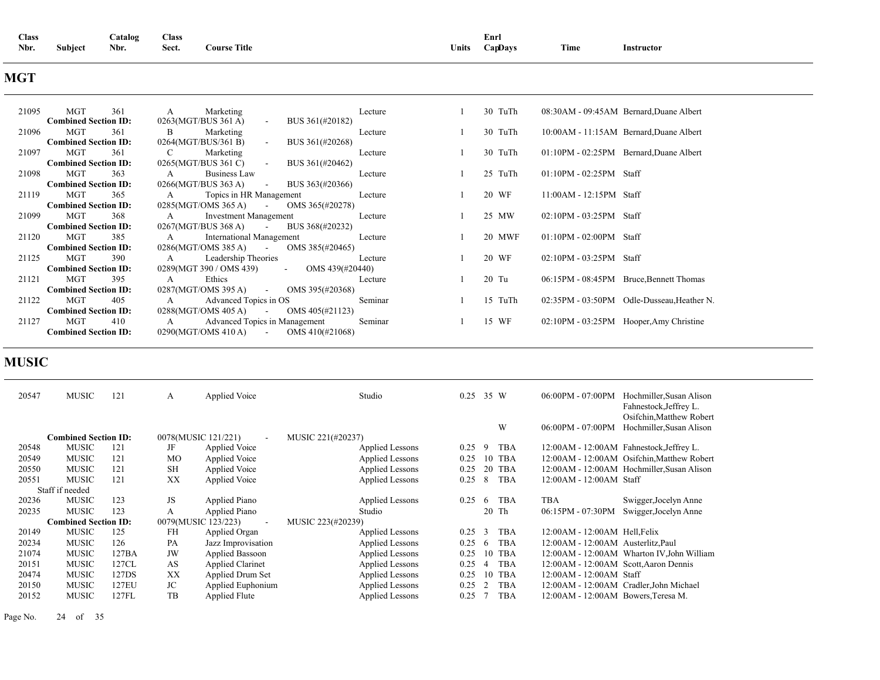| <b>Class</b>           | <b>Catalog</b> | Class |                     |       | Enr     |      |                 |
|------------------------|----------------|-------|---------------------|-------|---------|------|-----------------|
| <b>Subject</b><br>Nbr. | Nbr.           | Sect. | <b>Course Title</b> | Units | CapDays | Time | Instructor<br>. |

## **MGT**

| 21095 | MGT<br>361                  | Marketing<br>$A \quad \alpha$                      | Lecture | 30 TuTh |                           | 08:30AM - 09:45AM Bernard, Duane Albert    |
|-------|-----------------------------|----------------------------------------------------|---------|---------|---------------------------|--------------------------------------------|
|       | <b>Combined Section ID:</b> | 0263(MGT/BUS 361 A)<br>- BUS $361(\text{\#}20182)$ |         |         |                           |                                            |
| 21096 | MGT<br>361                  | $\mathbf{B}$<br>Marketing                          | Lecture | 30 TuTh |                           | 10:00AM - 11:15AM Bernard, Duane Albert    |
|       | <b>Combined Section ID:</b> | 0264(MGT/BUS/361 B)<br>- BUS $361(\text{\#}20268)$ |         |         |                           |                                            |
| 21097 | MGT<br>361                  | Marketing<br>$\mathbf{C}$                          | Lecture | 30 TuTh |                           | 01:10PM - 02:25PM Bernard, Duane Albert    |
|       | <b>Combined Section ID:</b> | $0265(MGT/BUS 361 C)$ - BUS $361(\text{\#}20462)$  |         |         |                           |                                            |
| 21098 | MGT<br>363                  | <b>Business Law</b><br>$\overline{A}$              | Lecture | 25 TuTh | $01:10PM - 02:25PM$ Staff |                                            |
|       | <b>Combined Section ID:</b> | $0266(MGT/BUS 363 A)$ - BUS 363(#20366)            |         |         |                           |                                            |
| 21119 | MGT<br>365                  | A Topics in HR Management                          | Lecture | 20 WF   | $11:00AM - 12:15PM$ Staff |                                            |
|       | <b>Combined Section ID:</b> | $0285(MGT/OMS 365 A)$ - OMS 365(#20278)            |         |         |                           |                                            |
| 21099 | MGT<br>368                  | $\mathbf{A}$<br>Investment Management              | Lecture | 25 MW   | $02:10PM - 03:25PM$ Staff |                                            |
|       | <b>Combined Section ID:</b> | $0267(MGT/BUS 368 A)$ - BUS 368(#20232)            |         |         |                           |                                            |
| 21120 | MGT<br>385                  | $\mathbf A$<br><b>International Management</b>     | Lecture | 20 MWF  | $01:10PM - 02:00PM$ Staff |                                            |
|       | <b>Combined Section ID:</b> | $0286(MGT/OMS 385 A)$ - OMS 385(#20465)            |         |         |                           |                                            |
| 21125 | MGT<br>390                  | A Leadership Theories                              | Lecture | 20 WF   | $02:10PM - 03:25PM$ Staff |                                            |
|       | <b>Combined Section ID:</b> | $0289(MGT\,390 / OMS\,439)$ - OMS 439(#20440)      |         |         |                           |                                            |
| 21121 | MGT<br>395                  | Ethics<br>$A \quad \alpha$                         | Lecture | $20$ Tu |                           | 06:15PM - 08:45PM Bruce, Bennett Thomas    |
|       | <b>Combined Section ID:</b> | $0287(MGT/OMS 395 A)$ - OMS 395(#20368)            |         |         |                           |                                            |
| 21122 | MGT<br>405                  | A Advanced Topics in OS                            | Seminar | 15 TuTh |                           | 02:35PM - 03:50PM Odle-Dusseau, Heather N. |
|       | <b>Combined Section ID:</b> | $0288(MGT/OMS 405 A)$ - OMS 405(#21123)            |         |         |                           |                                            |
| 21127 | MGT<br>410                  | A Advanced Topics in Management                    | Seminar | 15 WF   |                           | 02:10PM - 03:25PM Hooper, Amy Christine    |
|       | <b>Combined Section ID:</b> | $0290(MGT/OMS 410 A)$ - OMS 410(#21068)            |         |         |                           |                                            |

## **MUSIC**

| 20547 | MUSIC                       | 121   | А         | Applied Voice                 | Studio                 | 0.25 | 35 W           |            | 06:00PM - 07:00PM                     | Hochmiller, Susan Alison<br>Fahnestock, Jeffrey L.<br>Osifchin, Matthew Robert |
|-------|-----------------------------|-------|-----------|-------------------------------|------------------------|------|----------------|------------|---------------------------------------|--------------------------------------------------------------------------------|
|       |                             |       |           |                               |                        |      |                | W          | 06:00PM - 07:00PM                     | Hochmiller, Susan Alison                                                       |
|       | <b>Combined Section ID:</b> |       |           | 0078(MUSIC 121/221)<br>$\sim$ | MUSIC 221(#20237)      |      |                |            |                                       |                                                                                |
| 20548 | <b>MUSIC</b>                | 121   | JF        | Applied Voice                 | Applied Lessons        | 0.25 | -9             | <b>TBA</b> |                                       | 12:00AM - 12:00AM Fahnestock, Jeffrey L.                                       |
| 20549 | <b>MUSIC</b>                | 121   | <b>MO</b> | <b>Applied Voice</b>          | Applied Lessons        | 0.25 | 10             | TBA        |                                       | 12:00 AM - 12:00 AM Osifchin, Matthew Robert                                   |
| 20550 | <b>MUSIC</b>                | 121   | <b>SH</b> | <b>Applied Voice</b>          | Applied Lessons        | 0.25 | 20             | <b>TBA</b> |                                       | 12:00 AM - 12:00 AM Hochmiller, Susan Alison                                   |
| 20551 | MUSIC                       | 121   | XX        | Applied Voice                 | <b>Applied Lessons</b> | 0.25 | 8              | <b>TBA</b> | 12:00 AM - 12:00 AM Staff             |                                                                                |
|       | Staff if needed             |       |           |                               |                        |      |                |            |                                       |                                                                                |
| 20236 | <b>MUSIC</b>                | 123   | JS        | Applied Piano                 | <b>Applied Lessons</b> | 0.25 | 6              | <b>TBA</b> | <b>TBA</b>                            | Swigger, Jocelyn Anne                                                          |
| 20235 | <b>MUSIC</b>                | 123   | A         | Applied Piano                 | Studio                 |      |                | $20$ Th    | 06:15PM - 07:30PM                     | Swigger, Jocelyn Anne                                                          |
|       | <b>Combined Section ID:</b> |       |           | 0079(MUSIC 123/223)<br>$\sim$ | MUSIC 223(#20239)      |      |                |            |                                       |                                                                                |
| 20149 | MUSIC                       | 125   | FH        | Applied Organ                 | Applied Lessons        | 0.25 | 3              | <b>TBA</b> | $12:00AM - 12:00AM$ Hell, Felix       |                                                                                |
| 20234 | <b>MUSIC</b>                | 126   | PA        | Jazz Improvisation            | Applied Lessons        | 0.25 | 6              | <b>TBA</b> | 12:00AM - 12:00AM Austerlitz, Paul    |                                                                                |
| 21074 | <b>MUSIC</b>                | 127BA | JW        | <b>Applied Bassoon</b>        | Applied Lessons        | 0.25 | 10             | <b>TBA</b> |                                       | 12:00AM - 12:00AM Wharton IV, John William                                     |
| 20151 | <b>MUSIC</b>                | 127CL | AS        | Applied Clarinet              | Applied Lessons        | 0.25 | $\overline{4}$ | <b>TBA</b> | 12:00AM - 12:00AM Scott, Aaron Dennis |                                                                                |
| 20474 | <b>MUSIC</b>                | 127DS | XX        | Applied Drum Set              | Applied Lessons        | 0.25 | 10             | <b>TBA</b> | 12:00 AM - 12:00 AM Staff             |                                                                                |
| 20150 | MUSIC                       | 127EU | JC        | Applied Euphonium             | Applied Lessons        | 0.25 |                | <b>TBA</b> |                                       | 12:00AM - 12:00AM Cradler, John Michael                                        |
| 20152 | <b>MUSIC</b>                | 127FL | TB        | <b>Applied Flute</b>          | <b>Applied Lessons</b> | 0.25 |                | <b>TBA</b> | 12:00AM - 12:00AM Bowers, Teresa M.   |                                                                                |

Page No. 24 of 35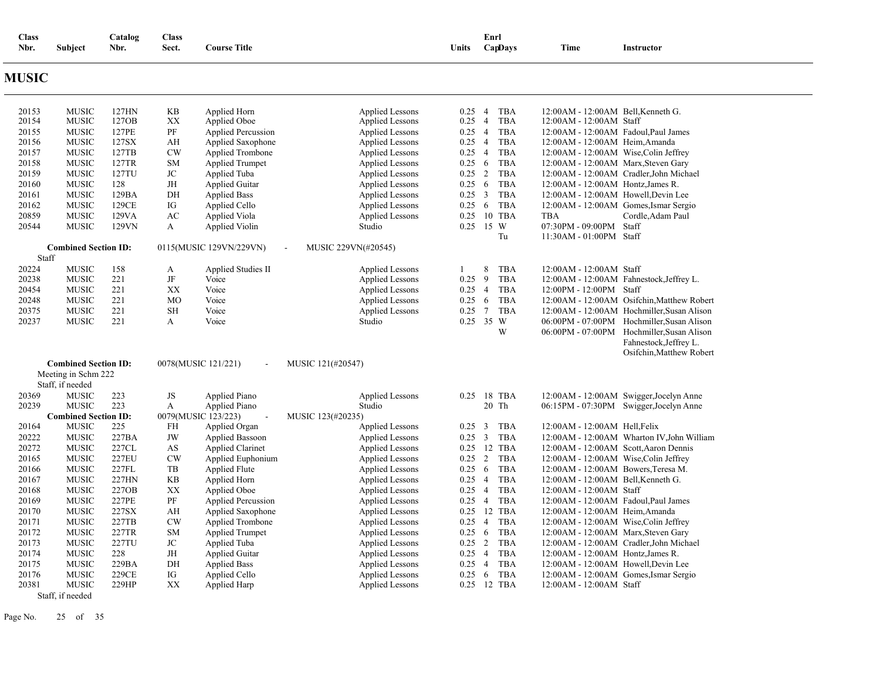| <b>Class</b><br>Nbr. | Subject                          | Catalog<br>Nbr. | <b>Class</b><br>Sect. | <b>Course Title</b>                             |                                                  | Units                  | Enrl            | CapDays                  | Time                                    | <b>Instructor</b>                                                                                                  |
|----------------------|----------------------------------|-----------------|-----------------------|-------------------------------------------------|--------------------------------------------------|------------------------|-----------------|--------------------------|-----------------------------------------|--------------------------------------------------------------------------------------------------------------------|
| <b>MUSIC</b>         |                                  |                 |                       |                                                 |                                                  |                        |                 |                          |                                         |                                                                                                                    |
| 20153                | <b>MUSIC</b>                     | 127HN           | KB                    | Applied Horn                                    | <b>Applied Lessons</b>                           | 0.25                   | $\overline{4}$  | TBA                      | 12:00 AM - 12:00 AM Bell, Kenneth G.    |                                                                                                                    |
| 20154                | <b>MUSIC</b>                     | 127OB           | XX                    | Applied Oboe                                    | <b>Applied Lessons</b>                           | 0.25                   | $\overline{4}$  | <b>TBA</b>               | 12:00 AM - 12:00 AM Staff               |                                                                                                                    |
| 20155                | <b>MUSIC</b>                     | 127PE           | PF                    | <b>Applied Percussion</b>                       | <b>Applied Lessons</b>                           | $0.25 \quad 4$         |                 | <b>TBA</b>               | 12:00 AM - 12:00 AM Fadoul, Paul James  |                                                                                                                    |
| 20156                | <b>MUSIC</b>                     | 127SX           | AH                    | Applied Saxophone                               | <b>Applied Lessons</b>                           | $0.25$ 4               |                 | <b>TBA</b>               | 12:00AM - 12:00AM Heim, Amanda          |                                                                                                                    |
| 20157                | <b>MUSIC</b>                     | 127TB           | CW                    | <b>Applied Trombone</b>                         | <b>Applied Lessons</b>                           | $0.25$ 4               |                 | <b>TBA</b>               | 12:00AM - 12:00AM Wise, Colin Jeffrey   |                                                                                                                    |
| 20158<br>20159       | <b>MUSIC</b><br><b>MUSIC</b>     | 127TR<br>127TU  | <b>SM</b><br>JC       | <b>Applied Trumpet</b><br>Applied Tuba          | <b>Applied Lessons</b><br><b>Applied Lessons</b> | 0.25<br>$0.25 \quad 2$ | 6               | <b>TBA</b><br><b>TBA</b> | 12:00AM - 12:00AM Marx, Steven Gary     | 12:00AM - 12:00AM Cradler, John Michael                                                                            |
| 20160                | <b>MUSIC</b>                     | 128             | JH                    | <b>Applied Guitar</b>                           | <b>Applied Lessons</b>                           | 0.25                   | 6               | <b>TBA</b>               | 12:00AM - 12:00AM Hontz, James R.       |                                                                                                                    |
| 20161                | <b>MUSIC</b>                     | 129BA           | DH                    | <b>Applied Bass</b>                             | <b>Applied Lessons</b>                           | 0.25                   | $\overline{3}$  | <b>TBA</b>               | 12:00AM - 12:00AM Howell, Devin Lee     |                                                                                                                    |
| 20162                | <b>MUSIC</b>                     | 129CE           | IG                    | Applied Cello                                   | <b>Applied Lessons</b>                           | 0.25                   | - 6             | TBA                      | 12:00 AM - 12:00 AM Gomes, Ismar Sergio |                                                                                                                    |
| 20859                | <b>MUSIC</b>                     | 129VA           | AC                    | Applied Viola                                   | <b>Applied Lessons</b>                           | 0.25                   |                 | 10 TBA                   | TBA                                     | Cordle, Adam Paul                                                                                                  |
| 20544                | <b>MUSIC</b>                     | 129VN           | A                     | Applied Violin                                  | Studio                                           | 0.25                   |                 | 15 W                     | 07:30PM - 09:00PM Staff                 |                                                                                                                    |
|                      |                                  |                 |                       |                                                 |                                                  |                        |                 | Tu                       | 11:30AM - 01:00PM Staff                 |                                                                                                                    |
|                      | <b>Combined Section ID:</b>      |                 |                       | 0115(MUSIC 129VN/229VN)                         | MUSIC 229VN(#20545)                              |                        |                 |                          |                                         |                                                                                                                    |
| Staff                |                                  |                 |                       |                                                 |                                                  |                        |                 |                          |                                         |                                                                                                                    |
| 20224                | <b>MUSIC</b>                     | 158             | A                     | Applied Studies II                              | <b>Applied Lessons</b>                           | $\mathbf{1}$           | 8               | TBA                      | 12:00AM - 12:00AM Staff                 |                                                                                                                    |
| 20238                | <b>MUSIC</b>                     | 221             | $\rm{JF}$             | Voice                                           | <b>Applied Lessons</b>                           | 0.25                   | 9               | <b>TBA</b>               |                                         | 12:00AM - 12:00AM Fahnestock, Jeffrey L.                                                                           |
| 20454                | <b>MUSIC</b>                     | 221             | XX                    | Voice                                           | <b>Applied Lessons</b>                           | $0.25 \quad 4$         |                 | <b>TBA</b>               | 12:00PM - 12:00PM Staff                 |                                                                                                                    |
| 20248                | <b>MUSIC</b>                     | 221             | MO                    | Voice                                           | <b>Applied Lessons</b>                           | 0.25                   | 6               | <b>TBA</b>               |                                         | 12:00AM - 12:00AM Osifchin, Matthew Robert                                                                         |
| 20375                | <b>MUSIC</b>                     | 221             | SH                    | Voice                                           | <b>Applied Lessons</b>                           | $0.25$ 7               |                 | <b>TBA</b>               |                                         | 12:00AM - 12:00AM Hochmiller, Susan Alison                                                                         |
| 20237                | <b>MUSIC</b>                     | 221             | A                     | Voice                                           | Studio                                           | $0.25$ 35 W            |                 | W                        |                                         | 06:00PM - 07:00PM Hochmiller, Susan Alison<br>06:00PM - 07:00PM Hochmiller, Susan Alison<br>Fahnestock, Jeffrey L. |
|                      |                                  |                 |                       |                                                 |                                                  |                        |                 |                          |                                         | Osifchin, Matthew Robert                                                                                           |
|                      | <b>Combined Section ID:</b>      |                 |                       | 0078(MUSIC 121/221)<br>$\blacksquare$           | MUSIC 121(#20547)                                |                        |                 |                          |                                         |                                                                                                                    |
|                      | Meeting in Schm 222              |                 |                       |                                                 |                                                  |                        |                 |                          |                                         |                                                                                                                    |
| 20369                | Staff, if needed<br><b>MUSIC</b> | 223             | JS                    | Applied Piano                                   | <b>Applied Lessons</b>                           | 0.25                   |                 | 18 TBA                   |                                         | 12:00 AM - 12:00 AM Swigger, Jocelyn Anne                                                                          |
| 20239                | <b>MUSIC</b>                     | 223             | A                     | Applied Piano                                   | Studio                                           |                        |                 | 20 Th                    |                                         | 06:15PM - 07:30PM Swigger, Jocelyn Anne                                                                            |
|                      | <b>Combined Section ID:</b>      |                 |                       | 0079(MUSIC 123/223)<br>$\overline{\phantom{a}}$ | MUSIC 123(#20235)                                |                        |                 |                          |                                         |                                                                                                                    |
| 20164                | <b>MUSIC</b>                     | 225             | FH                    | Applied Organ                                   | <b>Applied Lessons</b>                           | 0.25 3 TBA             |                 |                          | 12:00AM - 12:00AM Hell, Felix           |                                                                                                                    |
| 20222                | <b>MUSIC</b>                     | 227BA           | JW                    | <b>Applied Bassoon</b>                          | <b>Applied Lessons</b>                           | 0.25 3 TBA             |                 |                          |                                         | 12:00AM - 12:00AM Wharton IV, John William                                                                         |
| 20272                | <b>MUSIC</b>                     | 227CL           | AS                    | <b>Applied Clarinet</b>                         | <b>Applied Lessons</b>                           | 0.25 12 TBA            |                 |                          | 12:00 AM - 12:00 AM Scott, Aaron Dennis |                                                                                                                    |
| 20165                | <b>MUSIC</b>                     | 227EU           | <b>CW</b>             | Applied Euphonium                               | <b>Applied Lessons</b>                           | 0.25 2 TBA             |                 |                          | 12:00AM - 12:00AM Wise, Colin Jeffrey   |                                                                                                                    |
| 20166                | <b>MUSIC</b>                     | 227FL           | TB                    | <b>Applied Flute</b>                            | <b>Applied Lessons</b>                           | 0.25                   | $6\phantom{.0}$ | <b>TBA</b>               | 12:00AM - 12:00AM Bowers, Teresa M.     |                                                                                                                    |
| 20167                | <b>MUSIC</b>                     | 227HN           | KB                    | Applied Horn                                    | <b>Applied Lessons</b>                           | $0.25$ 4               |                 | <b>TBA</b>               | 12:00AM - 12:00AM Bell, Kenneth G.      |                                                                                                                    |
| 20168                | <b>MUSIC</b>                     | 227OB           | XX                    | Applied Oboe                                    | <b>Applied Lessons</b>                           | $0.25 \quad 4$         |                 | <b>TBA</b>               | 12:00AM - 12:00AM Staff                 |                                                                                                                    |
| 20169                | <b>MUSIC</b>                     | 227PE           | PF                    | <b>Applied Percussion</b>                       | <b>Applied Lessons</b>                           | 0.25                   | $\overline{4}$  | <b>TBA</b>               | 12:00 AM - 12:00 AM Fadoul, Paul James  |                                                                                                                    |
| 20170                | <b>MUSIC</b>                     | 227SX           | AH                    | Applied Saxophone                               | <b>Applied Lessons</b>                           | 0.25 12 TBA            |                 |                          | 12:00AM - 12:00AM Heim, Amanda          |                                                                                                                    |
| 20171                | <b>MUSIC</b>                     | 227TB           | CW                    | <b>Applied Trombone</b>                         | <b>Applied Lessons</b>                           | 0.25                   |                 | 4 TBA                    | 12:00AM - 12:00AM Wise, Colin Jeffrey   |                                                                                                                    |
| 20172                | <b>MUSIC</b>                     | 227TR           | <b>SM</b>             | <b>Applied Trumpet</b>                          | <b>Applied Lessons</b>                           | 0.25                   | $6\phantom{.0}$ | <b>TBA</b>               | 12:00AM - 12:00AM Marx, Steven Gary     |                                                                                                                    |
| 20173                | <b>MUSIC</b>                     | 227TU           | $\rm JC$              | Applied Tuba                                    | <b>Applied Lessons</b>                           | 0.25 2 TBA             |                 |                          |                                         | 12:00AM - 12:00AM Cradler, John Michael                                                                            |
| 20174                | <b>MUSIC</b>                     | 228             | JH                    | <b>Applied Guitar</b>                           | <b>Applied Lessons</b>                           | $0.25 \quad 4$         |                 | <b>TBA</b>               | 12:00 AM - 12:00 AM Hontz, James R.     |                                                                                                                    |
| 20175                | <b>MUSIC</b>                     | 229BA           | DH                    | <b>Applied Bass</b>                             | <b>Applied Lessons</b>                           | $0.25$ 4               |                 | <b>TBA</b>               | 12:00AM - 12:00AM Howell, Devin Lee     |                                                                                                                    |
| 20176                | <b>MUSIC</b>                     | 229CE           | IG                    | Applied Cello                                   | <b>Applied Lessons</b>                           | 0.25                   | 6               | <b>TBA</b>               | 12:00 AM - 12:00 AM Gomes, Ismar Sergio |                                                                                                                    |
| 20381                | <b>MUSIC</b>                     | 229HP           | XX                    | Applied Harp                                    | <b>Applied Lessons</b>                           | 0.25 12 TBA            |                 |                          | 12:00AM - 12:00AM Staff                 |                                                                                                                    |
|                      | Staff, if needed                 |                 |                       |                                                 |                                                  |                        |                 |                          |                                         |                                                                                                                    |

Page No. 25 of 35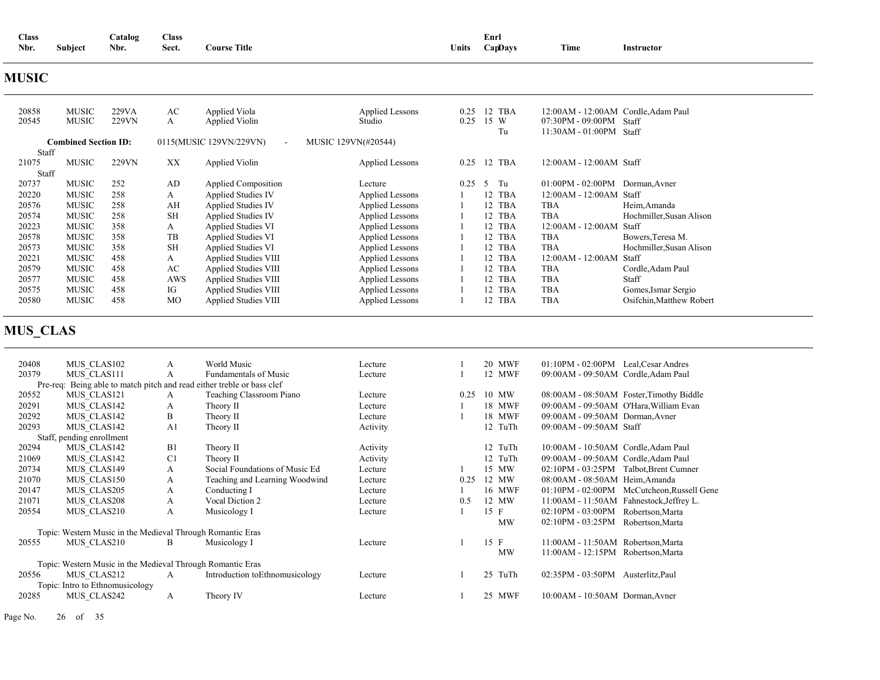| <b>Class</b> |                     | <b>Catalog</b> | Class |                     |              | --<br>Enrl     |                           |            |
|--------------|---------------------|----------------|-------|---------------------|--------------|----------------|---------------------------|------------|
| Nbr.         | $\cdots$<br>Subiect | Nbr.           | Sect. | <b>Course Title</b> | <b>Jnits</b> | <b>CanDavs</b> | <b>CONTRACTOR</b><br>Lîme | Instructor |

### **MUSIC**

| 20858<br>20545 | <b>MUSIC</b><br><b>MUSIC</b> | 229VA<br>229VN | AC<br>A   | Applied Viola<br>Applied Violin   | Applied Lessons<br>Studio | 0.25<br>0.25 | 12 TBA<br>15 W<br>Tu | 12:00 AM - 12:00 AM Cordle, Adam Paul<br>07:30PM - 09:00PM Staff<br>11:30AM - 01:00PM Staff |                          |
|----------------|------------------------------|----------------|-----------|-----------------------------------|---------------------------|--------------|----------------------|---------------------------------------------------------------------------------------------|--------------------------|
|                | <b>Combined Section ID:</b>  |                |           | 0115(MUSIC 129VN/229VN)<br>$\sim$ | MUSIC 129VN(#20544)       |              |                      |                                                                                             |                          |
| Staff          |                              |                |           |                                   |                           |              |                      |                                                                                             |                          |
| 21075          | MUSIC                        | 229VN          | XX        | Applied Violin                    | Applied Lessons           | 0.25         | 12 TBA               | 12:00 AM - 12:00 AM Staff                                                                   |                          |
| Staff          |                              |                |           |                                   |                           |              |                      |                                                                                             |                          |
| 20737          | <b>MUSIC</b>                 | 252            | AD        | <b>Applied Composition</b>        | Lecture                   | 0.25         | 5 Tu                 | $01:00PM - 02:00PM$                                                                         | Dorman, Avner            |
| 20220          | <b>MUSIC</b>                 | 258            | A         | <b>Applied Studies IV</b>         | Applied Lessons           |              | 12 TBA               | 12:00 AM - 12:00 AM Staff                                                                   |                          |
| 20576          | <b>MUSIC</b>                 | 258            | AH        | <b>Applied Studies IV</b>         | Applied Lessons           |              | 12 TBA               | <b>TBA</b>                                                                                  | Heim, Amanda             |
| 20574          | <b>MUSIC</b>                 | 258            | <b>SH</b> | <b>Applied Studies IV</b>         | Applied Lessons           |              | 12 TBA               | TBA                                                                                         | Hochmiller, Susan Alison |
| 20223          | <b>MUSIC</b>                 | 358            | A         | Applied Studies VI                | Applied Lessons           |              | 12 TBA               | 12:00 AM - 12:00 AM                                                                         | Staff                    |
| 20578          | <b>MUSIC</b>                 | 358            | TB        | Applied Studies VI                | Applied Lessons           |              | 12 TBA               | <b>TBA</b>                                                                                  | Bowers, Teresa M.        |
| 20573          | <b>MUSIC</b>                 | 358            | <b>SH</b> | Applied Studies VI                | Applied Lessons           |              | 12 TBA               | <b>TBA</b>                                                                                  | Hochmiller, Susan Alison |
| 20221          | MUSIC                        | 458            | A         | Applied Studies VIII              | Applied Lessons           |              | 12 TBA               | 12:00AM - 12:00AM                                                                           | Staff                    |
| 20579          | <b>MUSIC</b>                 | 458            | AC        | Applied Studies VIII              | Applied Lessons           |              | 12 TBA               | <b>TBA</b>                                                                                  | Cordle, Adam Paul        |
| 20577          | <b>MUSIC</b>                 | 458            | AWS       | Applied Studies VIII              | Applied Lessons           |              | 12 TBA               | <b>TBA</b>                                                                                  | Staff                    |
| 20575          | <b>MUSIC</b>                 | 458            | IG        | Applied Studies VIII              | Applied Lessons           |              | 12 TBA               | <b>TBA</b>                                                                                  | Gomes, Ismar Sergio      |
| 20580          | <b>MUSIC</b>                 | 458            | <b>MO</b> | Applied Studies VIII              | <b>Applied Lessons</b>    |              | 12 TBA               | <b>TBA</b>                                                                                  | Osifchin, Matthew Robert |

# **MUS\_CLAS**

| 20408 | MUS CLAS102                                                            | А              | World Music                     | Lecture  |      | <b>20 MWF</b> | $01:10PM - 02:00PM$                 | Leal, Cesar Andres                       |
|-------|------------------------------------------------------------------------|----------------|---------------------------------|----------|------|---------------|-------------------------------------|------------------------------------------|
| 20379 | MUS CLAS111                                                            | A              | <b>Fundamentals of Music</b>    | Lecture  |      | 12 MWF        | 09:00AM - 09:50AM Cordle, Adam Paul |                                          |
|       | Pre-req: Being able to match pitch and read either treble or bass clef |                |                                 |          |      |               |                                     |                                          |
| 20552 | MUS CLAS121                                                            | A              | Teaching Classroom Piano        | Lecture  | 0.25 | 10 MW         |                                     | 08:00AM - 08:50AM Foster, Timothy Biddle |
| 20291 | MUS CLAS142                                                            | A              | Theory II                       | Lecture  |      | 18 MWF        |                                     | 09:00AM - 09:50AM O'Hara, William Evan   |
| 20292 | MUS CLAS142                                                            | B              | Theory II                       | Lecture  |      | 18 MWF        | 09:00AM - 09:50AM Dorman, Avner     |                                          |
| 20293 | MUS CLAS142                                                            | A <sub>1</sub> | Theory II                       | Activity |      | 12 TuTh       | 09:00AM - 09:50AM Staff             |                                          |
|       | Staff, pending enrollment                                              |                |                                 |          |      |               |                                     |                                          |
| 20294 | MUS CLAS142                                                            | B1             | Theory II                       | Activity |      | 12 TuTh       | 10:00AM - 10:50AM Cordle, Adam Paul |                                          |
| 21069 | MUS CLAS142                                                            | C <sub>1</sub> | Theory II                       | Activity |      | 12 TuTh       | 09:00AM - 09:50AM Cordle, Adam Paul |                                          |
| 20734 | MUS CLAS149                                                            | A              | Social Foundations of Music Ed  | Lecture  |      | 15 MW         | $02:10PM - 03:25PM$                 | Talbot, Brent Cumner                     |
| 21070 | MUS CLAS150                                                            | A              | Teaching and Learning Woodwind  | Lecture  | 0.25 | 12 MW         | 08:00AM - 08:50AM Heim, Amanda      |                                          |
| 20147 | MUS CLAS205                                                            | А              | Conducting I                    | Lecture  |      | 16 MWF        | $01:10PM - 02:00PM$                 | McCutcheon,Russell Gene                  |
| 21071 | MUS CLAS208                                                            | A              | Vocal Diction 2                 | Lecture  | 0.5  | 12 MW         |                                     | 11:00AM - 11:50AM Fahnestock, Jeffrey L. |
| 20554 | MUS CLAS210                                                            | А              | Musicology I                    | Lecture  |      | $15$ F        | $02:10PM - 03:00PM$                 | Robertson, Marta                         |
|       |                                                                        |                |                                 |          |      | <b>MW</b>     | $02:10PM - 03:25PM$                 | Robertson, Marta                         |
|       | Topic: Western Music in the Medieval Through Romantic Eras             |                |                                 |          |      |               |                                     |                                          |
| 20555 | MUS CLAS210                                                            | B              | Musicology I                    | Lecture  |      | 15 F          | 11:00AM - 11:50AM Robertson, Marta  |                                          |
|       |                                                                        |                |                                 |          |      | <b>MW</b>     | 11:00AM - 12:15PM Robertson, Marta  |                                          |
|       | Topic: Western Music in the Medieval Through Romantic Eras             |                |                                 |          |      |               |                                     |                                          |
| 20556 | MUS CLAS212                                                            | A              | Introduction to Ethnomusicology | Lecture  |      | 25 TuTh       | 02:35PM - 03:50PM                   | Austerlitz, Paul                         |
|       | Topic: Intro to Ethnomusicology                                        |                |                                 |          |      |               |                                     |                                          |
| 20285 | MUS CLAS242                                                            | A              | Theory IV                       | Lecture  |      | 25 MWF        | 10:00AM - 10:50AM Dorman, Avner     |                                          |
|       |                                                                        |                |                                 |          |      |               |                                     |                                          |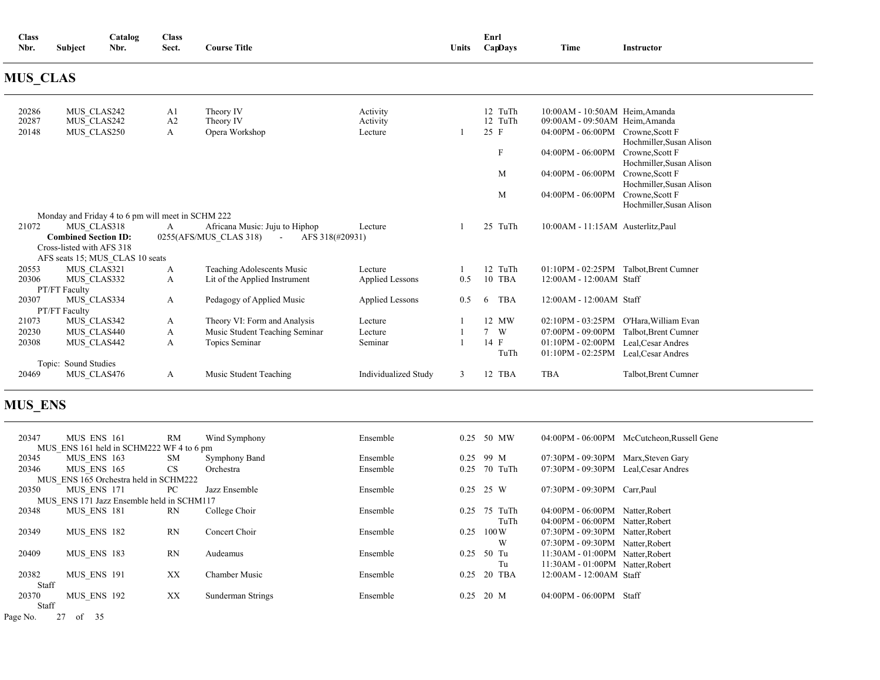| <b>Class</b><br>Nbr.    | Subject                                                                 | Catalog<br>Nbr.                                   | <b>Class</b><br>Sect. | <b>Course Title</b>                                                                   |                                 | <b>Units</b> | Enrl | CapDays            | Time                                                                                                  | Instructor                                                              |
|-------------------------|-------------------------------------------------------------------------|---------------------------------------------------|-----------------------|---------------------------------------------------------------------------------------|---------------------------------|--------------|------|--------------------|-------------------------------------------------------------------------------------------------------|-------------------------------------------------------------------------|
| <b>MUS CLAS</b>         |                                                                         |                                                   |                       |                                                                                       |                                 |              |      |                    |                                                                                                       |                                                                         |
| 20286<br>20287<br>20148 | MUS CLAS242<br>MUS CLAS242<br>MUS CLAS250                               |                                                   | A1<br>A2<br>A         | Theory IV<br>Theory IV<br>Opera Workshop                                              | Activity<br>Activity<br>Lecture |              | 25 F | 12 TuTh<br>12 TuTh | 10:00AM - 10:50AM Heim, Amanda<br>09:00AM - 09:50AM Heim, Amanda<br>04:00PM - 06:00PM Crowne, Scott F |                                                                         |
|                         |                                                                         |                                                   |                       |                                                                                       |                                 |              |      | F                  | 04:00PM - 06:00PM Crowne, Scott F                                                                     | Hochmiller, Susan Alison<br>Hochmiller, Susan Alison                    |
|                         |                                                                         |                                                   |                       |                                                                                       |                                 |              |      | M<br>M             | 04:00PM - 06:00PM Crowne, Scott F<br>$04:00\text{PM}$ - $06:00\text{PM}$                              | Hochmiller, Susan Alison<br>Crowne, Scott F<br>Hochmiller, Susan Alison |
|                         |                                                                         | Monday and Friday 4 to 6 pm will meet in SCHM 222 |                       |                                                                                       |                                 |              |      |                    |                                                                                                       |                                                                         |
| 21072                   | MUS CLAS318<br><b>Combined Section ID:</b><br>Cross-listed with AFS 318 |                                                   | A                     | Africana Music: Juju to Hiphop<br>0255(AFS/MUS CLAS 318)<br>AFS 318(#20931)<br>$\sim$ | Lecture                         |              |      | 25 TuTh            | 10:00AM - 11:15AM Austerlitz, Paul                                                                    |                                                                         |
| 20553                   | MUS CLAS321                                                             | AFS seats 15; MUS CLAS 10 seats                   | A                     | Teaching Adolescents Music                                                            | Lecture                         |              |      | 12 TuTh            | 01:10PM - 02:25PM Talbot, Brent Cumner                                                                |                                                                         |
| 20306                   | MUS CLAS332<br>PT/FT Faculty                                            |                                                   | A                     | Lit of the Applied Instrument                                                         | Applied Lessons                 | 0.5          |      | 10 TBA             | 12:00AM - 12:00AM Staff                                                                               |                                                                         |
| 20307                   | MUS CLAS334<br>PT/FT Faculty                                            |                                                   | A                     | Pedagogy of Applied Music                                                             | <b>Applied Lessons</b>          | 0.5          | 6    | <b>TBA</b>         | 12:00 AM - 12:00 AM Staff                                                                             |                                                                         |
| 21073                   | MUS CLAS342                                                             |                                                   | A                     | Theory VI: Form and Analysis                                                          | Lecture                         |              |      | 12 MW              |                                                                                                       | 02:10PM - 03:25PM O'Hara, William Evan                                  |
| 20230                   | MUS CLAS440                                                             |                                                   | A                     | Music Student Teaching Seminar                                                        | Lecture                         |              |      | 7 W                | 07:00PM - 09:00PM Talbot.Brent Cumner                                                                 |                                                                         |
| 20308                   | MUS CLAS442                                                             |                                                   | A                     | Topics Seminar                                                                        | Seminar                         |              | 14 F | TuTh               | 01:10PM - 02:00PM Leal, Cesar Andres<br>01:10PM - 02:25PM Leal, Cesar Andres                          |                                                                         |
|                         | Topic: Sound Studies                                                    |                                                   |                       |                                                                                       |                                 |              |      |                    |                                                                                                       |                                                                         |
| 20469                   | MUS_CLAS476                                                             |                                                   | A                     | Music Student Teaching                                                                | Individualized Study            | 3            |      | 12 TBA             | <b>TBA</b>                                                                                            | Talbot, Brent Cumner                                                    |

## **MUS\_ENS**

| 20347 | MUS ENS 161                               | RM        | Wind Symphony        | Ensemble | 0.25 | 50 MW   |                                     | 04:00PM - 06:00PM McCutcheon.Russell Gene |
|-------|-------------------------------------------|-----------|----------------------|----------|------|---------|-------------------------------------|-------------------------------------------|
|       | MUS ENS 161 held in SCHM222 WF 4 to 6 pm  |           |                      |          |      |         |                                     |                                           |
| 20345 | MUS ENS 163                               | <b>SM</b> | <b>Symphony Band</b> | Ensemble | 0.25 | 99 M    | 07:30PM - 09:30PM Marx, Steven Gary |                                           |
| 20346 | MUS ENS 165                               | <b>CS</b> | Orchestra            | Ensemble | 0.25 | 70 TuTh | 07:30PM - 09:30PM Leal.Cesar Andres |                                           |
|       | MUS ENS 165 Orchestra held in SCHM222     |           |                      |          |      |         |                                     |                                           |
| 20350 | MUS ENS 171                               | PC        | Jazz Ensemble        | Ensemble | 0.25 | 25 W    | 07:30PM - 09:30PM Carr, Paul        |                                           |
|       | MUS ENS 171 Jazz Ensemble held in SCHM117 |           |                      |          |      |         |                                     |                                           |
| 20348 | MUS ENS 181                               | <b>RN</b> | College Choir        | Ensemble | 0.25 | 75 TuTh | 04:00PM - 06:00PM Natter.Robert     |                                           |
|       |                                           |           |                      |          |      | TuTh    | 04:00PM - 06:00PM Natter.Robert     |                                           |
| 20349 | MUS ENS 182                               | <b>RN</b> | Concert Choir        | Ensemble | 0.25 | 100W    | 07:30PM - 09:30PM Natter, Robert    |                                           |
|       |                                           |           |                      |          |      | W       | 07:30PM - 09:30PM Natter, Robert    |                                           |
| 20409 | MUS ENS 183                               | <b>RN</b> | Audeamus             | Ensemble | 0.25 | 50 Tu   | 11:30AM - 01:00PM Natter, Robert    |                                           |
|       |                                           |           |                      |          |      | Tu      | 11:30AM - 01:00PM Natter, Robert    |                                           |
| 20382 | MUS ENS 191                               | XX        | Chamber Music        | Ensemble | 0.25 | 20 TBA  | 12:00 AM - 12:00 AM Staff           |                                           |
| Staff |                                           |           |                      |          |      |         |                                     |                                           |
| 20370 | MUS ENS 192                               | XX        | Sunderman Strings    | Ensemble | 0.25 | 20 M    | 04:00PM - 06:00PM                   | Staff                                     |
| Staff |                                           |           |                      |          |      |         |                                     |                                           |

Page No. 27 of 35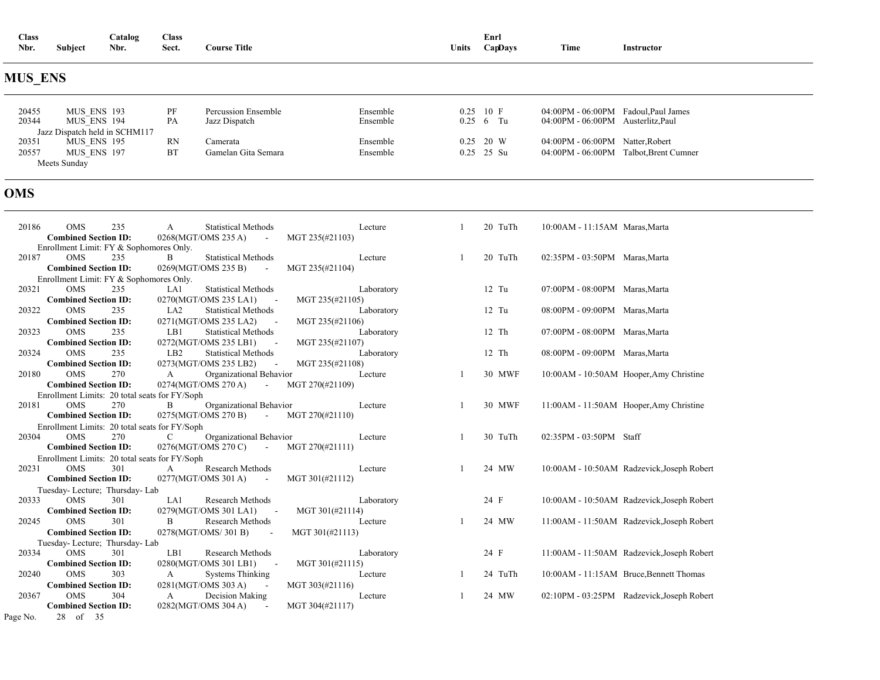| <b>Class</b><br>Nbr. | <b>Subject</b> | Catalog<br>Nbr. | <b>Class</b><br>Sect. | <b>Course Title</b> | <b>Units</b> | Enrl<br>CapDays | Time | Instructor |  |
|----------------------|----------------|-----------------|-----------------------|---------------------|--------------|-----------------|------|------------|--|
| <b>MUS ENS</b>       |                |                 |                       |                     |              |                 |      |            |  |

#### **MUS\_ENS**

| 20455<br>20344 | MUS ENS 193<br>MUS ENS 194    | PF<br>PA | Percussion Ensemble<br>Jazz Dispatch | Ensemble<br>Ensemble | $0.25$ 10 F<br>$0.25 \t 6 \t Tu$ | 04:00PM - 06:00PM<br>04:00PM - 06:00PM Austerlitz, Paul | Fadoul.Paul James   |
|----------------|-------------------------------|----------|--------------------------------------|----------------------|----------------------------------|---------------------------------------------------------|---------------------|
|                | Jazz Dispatch held in SCHM117 |          |                                      |                      |                                  |                                                         |                     |
| 20351          | MUS ENS 195                   | RN       | Camerata                             | Ensemble             | $0.25$ 20 W                      | 04:00PM - 06:00PM                                       | Natter.Robert       |
| 20557          | MUS ENS 197                   | BT       | Gamelan Gita Semara                  | Ensemble             | $0.25$ 25 Su                     | 04:00PM - 06:00PM                                       | Talbot.Brent Cumner |
|                | Meets Sunday                  |          |                                      |                      |                                  |                                                         |                     |

### **OMS**

Page No. 28 of 35

| 20186 | 235<br><b>OMS</b>                             | <b>Statistical Methods</b><br>A                 | Lecture         | 20 TuTh | 10:00AM - 11:15AM Maras, Marta |                                            |
|-------|-----------------------------------------------|-------------------------------------------------|-----------------|---------|--------------------------------|--------------------------------------------|
|       | <b>Combined Section ID:</b>                   | 0268(MGT/OMS 235 A)<br>$\sim 100$               | MGT 235(#21103) |         |                                |                                            |
|       | Enrollment Limit: FY & Sophomores Only.       |                                                 |                 |         |                                |                                            |
| 20187 | <b>OMS</b><br>235                             | <b>Statistical Methods</b><br>B                 | Lecture         | 20 TuTh | 02:35PM - 03:50PM Maras, Marta |                                            |
|       | <b>Combined Section ID:</b>                   | 0269(MGT/OMS 235 B)<br>$\sim 100$ km s $^{-1}$  | MGT 235(#21104) |         |                                |                                            |
|       | Enrollment Limit: FY & Sophomores Only.       |                                                 |                 |         |                                |                                            |
| 20321 | <b>OMS</b><br>235                             | <b>Statistical Methods</b><br>LA1               | Laboratory      | $12$ Tu | 07:00PM - 08:00PM Maras, Marta |                                            |
|       | <b>Combined Section ID:</b>                   | 0270(MGT/OMS 235 LA1)                           | MGT 235(#21105) |         |                                |                                            |
| 20322 | <b>OMS</b><br>235                             | LA <sub>2</sub><br><b>Statistical Methods</b>   | Laboratory      | $12$ Tu | 08:00PM - 09:00PM Maras, Marta |                                            |
|       | <b>Combined Section ID:</b>                   | 0271(MGT/OMS 235 LA2)                           | MGT 235(#21106) |         |                                |                                            |
| 20323 | <b>OMS</b><br>235                             | LB1<br><b>Statistical Methods</b>               | Laboratory      | $12$ Th | 07:00PM - 08:00PM Maras, Marta |                                            |
|       | <b>Combined Section ID:</b>                   | 0272(MGT/OMS 235 LB1)<br>$\sim$                 | MGT 235(#21107) |         |                                |                                            |
| 20324 | <b>OMS</b><br>235                             | <b>Statistical Methods</b><br>LB <sub>2</sub>   | Laboratory      | 12 Th   | 08:00PM - 09:00PM Maras, Marta |                                            |
|       | <b>Combined Section ID:</b>                   | 0273(MGT/OMS 235 LB2)                           | MGT 235(#21108) |         |                                |                                            |
| 20180 | 270<br><b>OMS</b>                             | Organizational Behavior<br>$\mathbf{A}$         | Lecture         | 30 MWF  |                                | 10:00AM - 10:50AM Hooper, Amy Christine    |
|       | <b>Combined Section ID:</b>                   | 0274(MGT/OMS 270 A)<br>$\sim 100$ m $^{-1}$     | MGT 270(#21109) |         |                                |                                            |
|       | Enrollment Limits: 20 total seats for FY/Soph |                                                 |                 |         |                                |                                            |
| 20181 | <b>OMS</b><br>270                             | Organizational Behavior<br>B                    | Lecture         | 30 MWF  |                                | 11:00AM - 11:50AM Hooper, Amy Christine    |
|       | <b>Combined Section ID:</b>                   | 0275(MGT/OMS 270 B) -                           | MGT 270(#21110) |         |                                |                                            |
|       | Enrollment Limits: 20 total seats for FY/Soph |                                                 |                 |         |                                |                                            |
| 20304 | 270<br><b>OMS</b>                             | Organizational Behavior<br>$\mathbf C$          | Lecture         | 30 TuTh | $02:35PM - 03:50PM$ Staff      |                                            |
|       | <b>Combined Section ID:</b>                   | 0276(MGT/OMS 270 C) -                           | MGT 270(#21111) |         |                                |                                            |
|       | Enrollment Limits: 20 total seats for FY/Soph |                                                 |                 |         |                                |                                            |
| 20231 | <b>OMS</b><br>301                             | Research Methods<br>$\mathbf{A}$                | Lecture         | 24 MW   |                                | 10:00AM - 10:50AM Radzevick, Joseph Robert |
|       | <b>Combined Section ID:</b>                   | 0277(MGT/OMS 301 A) -                           | MGT 301(#21112) |         |                                |                                            |
|       | Tuesday-Lecture; Thursday-Lab                 |                                                 |                 |         |                                |                                            |
| 20333 | <b>OMS</b><br>301                             | LA1<br>Research Methods                         | Laboratory      | 24 F    |                                | 10:00AM - 10:50AM Radzevick, Joseph Robert |
|       | <b>Combined Section ID:</b>                   | 0279(MGT/OMS 301 LA1)                           | MGT 301(#21114) |         |                                |                                            |
| 20245 | 301<br><b>OMS</b>                             | B<br>Research Methods                           | Lecture         | 24 MW   |                                | 11:00AM - 11:50AM Radzevick, Joseph Robert |
|       | <b>Combined Section ID:</b>                   | 0278(MGT/OMS/301 B)<br>$\overline{\phantom{a}}$ | MGT 301(#21113) |         |                                |                                            |
|       | Tuesday-Lecture; Thursday-Lab                 |                                                 |                 |         |                                |                                            |
| 20334 | <b>OMS</b><br>301                             | LB1<br><b>Research Methods</b>                  | Laboratory      | 24 F    |                                | 11:00AM - 11:50AM Radzevick, Joseph Robert |
|       | <b>Combined Section ID:</b>                   | 0280(MGT/OMS 301 LB1)<br>$\sim$                 | MGT 301(#21115) |         |                                |                                            |
| 20240 | 303<br><b>OMS</b>                             | A<br>Systems Thinking                           | Lecture         | 24 TuTh |                                | 10:00 AM - 11:15 AM Bruce, Bennett Thomas  |
|       | <b>Combined Section ID:</b>                   | 0281(MGT/OMS 303 A)                             | MGT 303(#21116) |         |                                |                                            |
| 20367 | 304<br><b>OMS</b>                             | Decision Making<br>A                            | Lecture         | 24 MW   |                                | 02:10PM - 03:25PM Radzevick, Joseph Robert |
|       | <b>Combined Section ID:</b>                   | 0282(MGT/OMS 304 A)                             | MGT 304(#21117) |         |                                |                                            |
|       |                                               |                                                 |                 |         |                                |                                            |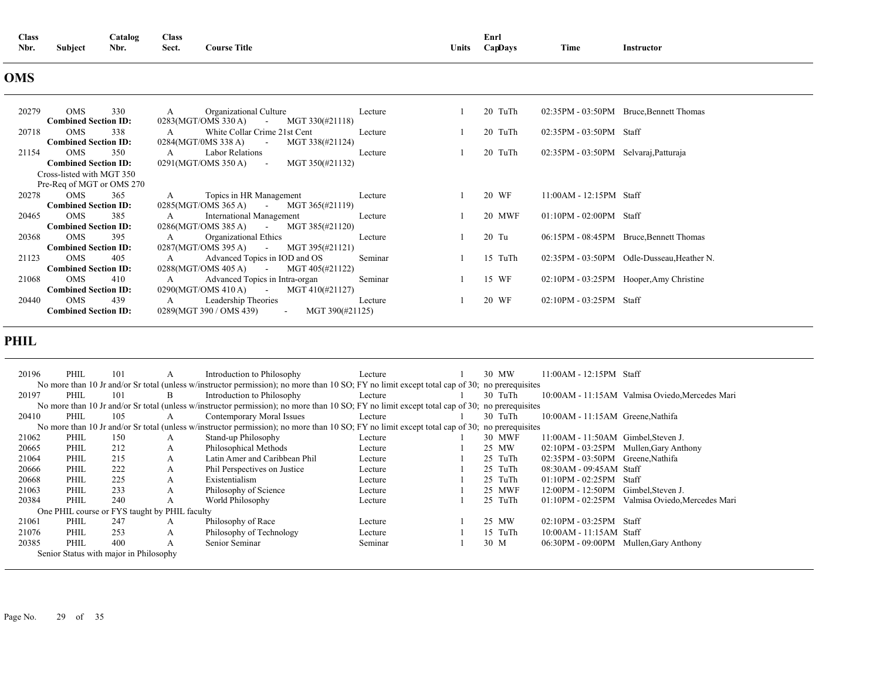| <b>Class</b> |         | _atalog<br>$\sim$ | <b>Class</b> |                     |              | Enrl    |      |            |  |
|--------------|---------|-------------------|--------------|---------------------|--------------|---------|------|------------|--|
| Nbr.         | Subject | Nbr.              | Sect.        | <b>Course Title</b> | <b>Units</b> | CapDavs | Time | Instructor |  |

### **OMS**

| 20279 | 330<br><b>OMS</b>           | Organizational Culture<br>A                                 | Lecture | 20 TuTh |                                       | 02:35PM - 03:50PM Bruce, Bennett Thomas    |
|-------|-----------------------------|-------------------------------------------------------------|---------|---------|---------------------------------------|--------------------------------------------|
|       | <b>Combined Section ID:</b> | $0283(MGT/OMS 330 A)$ - MGT 330(#21118)                     |         |         |                                       |                                            |
| 20718 | <b>OMS</b><br>338           | White Collar Crime 21st Cent<br>A                           | Lecture | 20 TuTh | $02:35PM - 03:50PM$ Staff             |                                            |
|       | <b>Combined Section ID:</b> | 0284(MGT/0MS 338 A)<br>MGT 338(#21124)<br><b>Contractor</b> |         |         |                                       |                                            |
| 21154 | <b>OMS</b><br>350           | Labor Relations<br>A                                        | Lecture | 20 TuTh | 02:35PM - 03:50PM Selvaraj, Patturaja |                                            |
|       | <b>Combined Section ID:</b> | $0291(MGT/OMS 350 A)$ -<br>MGT 350(#21132)                  |         |         |                                       |                                            |
|       | Cross-listed with MGT 350   |                                                             |         |         |                                       |                                            |
|       | Pre-Req of MGT or OMS 270   |                                                             |         |         |                                       |                                            |
| 20278 | OMS<br>365                  | Topics in HR Management<br>A                                | Lecture | 20 WF   | $11:00AM - 12:15PM$ Staff             |                                            |
|       | <b>Combined Section ID:</b> | $0285(MGT/OMS 365 A)$ - MGT 365(#21119)                     |         |         |                                       |                                            |
| 20465 | OMS<br>385                  | <b>International Management</b><br>A                        | Lecture | 20 MWF  | $01:10PM - 02:00PM$ Staff             |                                            |
|       | <b>Combined Section ID:</b> | $0286(MGT/OMS 385 A)$ - MGT 385(#21120)                     |         |         |                                       |                                            |
| 20368 | <b>OMS</b><br>395           | Organizational Ethics<br>A                                  | Lecture | 20 Tu   |                                       | 06:15PM - 08:45PM Bruce, Bennett Thomas    |
|       | <b>Combined Section ID:</b> | $0287(MGT/OMS 395 A)$ - MGT 395(#21121)                     |         |         |                                       |                                            |
| 21123 | OMS<br>405                  | Advanced Topics in IOD and OS<br>A                          | Seminar | 15 TuTh |                                       | 02:35PM - 03:50PM Odle-Dusseau, Heather N. |
|       | <b>Combined Section ID:</b> | $0288(MGT/OMS 405 A)$ MGT 405(#21122)                       |         |         |                                       |                                            |
| 21068 | <b>OMS</b><br>410           | Advanced Topics in Intra-organ<br>A                         | Seminar | 15 WF   |                                       | 02:10PM - 03:25PM Hooper, Amy Christine    |
|       | <b>Combined Section ID:</b> | $0290(MGT/OMS 410 A)$ - MGT 410(#21127)                     |         |         |                                       |                                            |
| 20440 | 439<br>OMS                  | Leadership Theories<br>A                                    | Lecture | 20 WF   | $02:10PM - 03:25PM$ Staff             |                                            |
|       | <b>Combined Section ID:</b> | MGT 390(#21125)<br>0289(MGT 390 / OMS 439)<br>$\sim 100$    |         |         |                                       |                                            |

### **PHIL**

| 20196 | PHIL                                   | 101 |                                               | Introduction to Philosophy                                                                                                                    | Lecture |  | 30 MW   | $11:00AM - 12:15PM$ Staff           |                                                 |
|-------|----------------------------------------|-----|-----------------------------------------------|-----------------------------------------------------------------------------------------------------------------------------------------------|---------|--|---------|-------------------------------------|-------------------------------------------------|
|       |                                        |     |                                               | No more than 10 Jr and/or Sr total (unless w/instructor permission); no more than 10 SO; FY no limit except total cap of 30; no prerequisites |         |  |         |                                     |                                                 |
| 20197 | PHIL                                   | 101 | <sub>B</sub>                                  | Introduction to Philosophy                                                                                                                    | Lecture |  | 30 TuTh |                                     | 10:00AM - 11:15AM Valmisa Oviedo, Mercedes Mari |
|       |                                        |     |                                               | No more than 10 Jr and/or Sr total (unless w/instructor permission); no more than 10 SO; FY no limit except total cap of 30; no prerequisites |         |  |         |                                     |                                                 |
| 20410 | PHIL                                   | 105 |                                               | Contemporary Moral Issues                                                                                                                     | Lecture |  | 30 TuTh | 10:00AM - 11:15AM Greene, Nathifa   |                                                 |
|       |                                        |     |                                               | No more than 10 Jr and/or Sr total (unless w/instructor permission); no more than 10 SO; FY no limit except total cap of 30; no prerequisites |         |  |         |                                     |                                                 |
| 21062 | PHIL                                   | 150 | A                                             | Stand-up Philosophy                                                                                                                           | Lecture |  | 30 MWF  | 11:00AM - 11:50AM Gimbel, Steven J. |                                                 |
| 20665 | PHIL                                   | 212 | A                                             | Philosophical Methods                                                                                                                         | Lecture |  | 25 MW   |                                     | 02:10PM - 03:25PM Mullen, Gary Anthony          |
| 21064 | PHIL                                   | 215 | A                                             | Latin Amer and Caribbean Phil                                                                                                                 | Lecture |  | 25 TuTh | 02:35PM - 03:50PM Greene, Nathifa   |                                                 |
| 20666 | PHIL                                   | 222 | A                                             | Phil Perspectives on Justice                                                                                                                  | Lecture |  | 25 TuTh | 08:30AM - 09:45AM Staff             |                                                 |
| 20668 | PHIL                                   | 225 | A                                             | Existentialism                                                                                                                                | Lecture |  | 25 TuTh | $01:10PM - 02:25PM$                 | Staff                                           |
| 21063 | PHIL                                   | 233 | A                                             | Philosophy of Science                                                                                                                         | Lecture |  | 25 MWF  | 12:00PM - 12:50PM                   | Gimbel, Steven J.                               |
| 20384 | PHIL                                   | 240 | A                                             | World Philosophy                                                                                                                              | Lecture |  | 25 TuTh | $01:10PM - 02:25PM$                 | Valmisa Oviedo, Mercedes Mari                   |
|       |                                        |     | One PHIL course or FYS taught by PHIL faculty |                                                                                                                                               |         |  |         |                                     |                                                 |
| 21061 | PHIL                                   | 247 | А                                             | Philosophy of Race                                                                                                                            | Lecture |  | 25 MW   | 02:10PM - 03:25PM Staff             |                                                 |
| 21076 | PHIL                                   | 253 | A                                             | Philosophy of Technology                                                                                                                      | Lecture |  | 15 TuTh | $10:00AM - 11:15AM$ Staff           |                                                 |
| 20385 | PHIL                                   | 400 | А                                             | Senior Seminar                                                                                                                                | Seminar |  | 30 M    |                                     | 06:30PM - 09:00PM Mullen, Gary Anthony          |
|       | Senior Status with major in Philosophy |     |                                               |                                                                                                                                               |         |  |         |                                     |                                                 |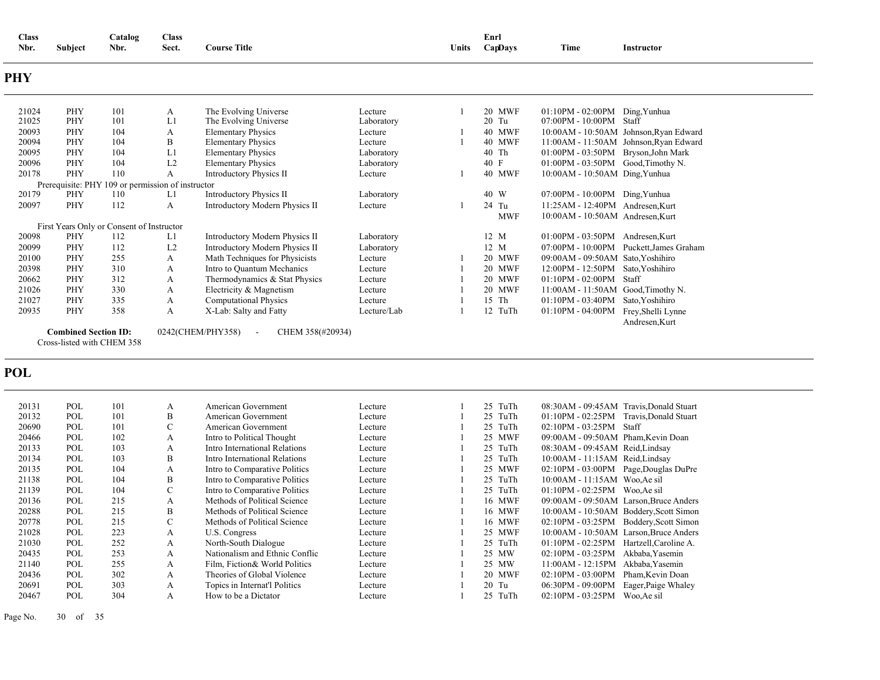| <b>Class</b><br>Nbr. | <b>Subject</b>              | Catalog<br>Nbr.                           | <b>Class</b><br>Sect. | <b>Course Title</b>                             |             | <b>Units</b>   | Enrl<br>CapDays | Time                                 | Instructor                              |
|----------------------|-----------------------------|-------------------------------------------|-----------------------|-------------------------------------------------|-------------|----------------|-----------------|--------------------------------------|-----------------------------------------|
| <b>PHY</b>           |                             |                                           |                       |                                                 |             |                |                 |                                      |                                         |
| 21024                | PHY                         | 101                                       | A                     | The Evolving Universe                           | Lecture     | -1             | 20 MWF          | $01:10PM - 02:00PM$ Ding, Yunhua     |                                         |
| 21025                | PHY                         | 101                                       | L1                    | The Evolving Universe                           | Laboratory  |                | 20 Tu           | 07:00PM - 10:00PM Staff              |                                         |
| 20093                | PHY                         | 104                                       | A                     | <b>Elementary Physics</b>                       | Lecture     | $\mathbf{1}$   | <b>40 MWF</b>   |                                      | 10:00AM - 10:50AM Johnson, Ryan Edward  |
| 20094                | PHY                         | 104                                       | B                     | <b>Elementary Physics</b>                       | Lecture     | $\mathbf{1}$   | <b>40 MWF</b>   |                                      | 11:00AM - 11:50AM Johnson, Ryan Edward  |
| 20095                | PHY                         | 104                                       | L1                    | <b>Elementary Physics</b>                       | Laboratory  |                | 40 Th           | 01:00PM - 03:50PM Bryson, John Mark  |                                         |
| 20096                | PHY                         | 104                                       | L2                    | <b>Elementary Physics</b>                       | Laboratory  |                | 40 F            | 01:00PM - 03:50PM Good, Timothy N.   |                                         |
| 20178                | PHY                         | 110                                       | A                     | <b>Introductory Physics II</b>                  | Lecture     | -1             | <b>40 MWF</b>   | 10:00AM - 10:50AM Ding, Yunhua       |                                         |
|                      | Prerequisite: PHY           | 109 or permission of instructor           |                       |                                                 |             |                |                 |                                      |                                         |
| 20179                | PHY                         | 110                                       | L1                    | <b>Introductory Physics II</b>                  | Laboratory  |                | 40 W            | 07:00PM - 10:00PM Ding, Yunhua       |                                         |
| 20097                | PHY                         | 112                                       | $\mathbf{A}$          | Introductory Modern Physics II                  | Lecture     |                | 24 Tu           | 11:25AM - 12:40PM Andresen.Kurt      |                                         |
|                      |                             |                                           |                       |                                                 |             |                | <b>MWF</b>      | 10:00AM - 10:50AM Andresen, Kurt     |                                         |
|                      |                             | First Years Only or Consent of Instructor |                       |                                                 |             |                |                 |                                      |                                         |
| 20098                | PHY                         | 112                                       | L1                    | Introductory Modern Physics II                  | Laboratory  |                | 12 M            | 01:00PM - 03:50PM Andresen, Kurt     |                                         |
| 20099                | PHY                         | 112                                       | L2                    | Introductory Modern Physics II                  | Laboratory  |                | 12 M            |                                      | 07:00PM - 10:00PM Puckett, James Graham |
| 20100                | PHY                         | 255                                       | A                     | Math Techniques for Physicists                  | Lecture     |                | 20 MWF          | 09:00AM - 09:50AM Sato, Yoshihiro    |                                         |
| 20398                | PHY                         | 310                                       | A                     | Intro to Quantum Mechanics                      | Lecture     |                | 20 MWF          | 12:00PM - 12:50PM Sato, Yoshihiro    |                                         |
| 20662                | <b>PHY</b>                  | 312                                       | $\mathbf{A}$          | Thermodynamics & Stat Physics                   | Lecture     | $\overline{1}$ | <b>20 MWF</b>   | 01:10PM - 02:00PM Staff              |                                         |
| 21026                | PHY                         | 330                                       | A                     | Electricity & Magnetism                         | Lecture     | -1             | 20 MWF          | $11:00AM - 11:50AM$ Good, Timothy N. |                                         |
| 21027                | <b>PHY</b>                  | 335                                       | A                     | <b>Computational Physics</b>                    | Lecture     | $\overline{1}$ | 15 Th           | 01:10PM - 03:40PM Sato, Yoshihiro    |                                         |
| 20935                | PHY                         | 358                                       | $\mathbf{A}$          | X-Lab: Salty and Fatty                          | Lecture/Lab | $\mathbf{1}$   | 12 TuTh         | 01:10PM - 04:00PM Frey, Shelli Lynne |                                         |
|                      |                             |                                           |                       |                                                 |             |                |                 |                                      | Andresen, Kurt                          |
|                      | <b>Combined Section ID:</b> |                                           |                       | 0242(CHEM/PHY358)<br>CHEM 358(#20934)<br>$\sim$ |             |                |                 |                                      |                                         |
|                      | Cross-listed with CHEM 358  |                                           |                       |                                                 |             |                |                 |                                      |                                         |
| <b>POL</b>           |                             |                                           |                       |                                                 |             |                |                 |                                      |                                         |
| 20131                | POL                         | 101                                       | A                     | American Government                             | Lecture     |                | 25 TuTh         |                                      | 08:30AM - 09:45AM Travis, Donald Stuart |
| 20132                | POL                         | 101                                       | B                     | American Government                             | Lecture     |                | 25 TuTh         |                                      | 01:10PM - 02:25PM Travis, Donald Stuart |
| 20690                | POL                         | 101                                       | $\mathbf C$           | American Government                             | Lecture     |                | 25 TuTh         | 02:10PM - 03:25PM Staff              |                                         |
| 20466                | POL                         | 102                                       | A                     | Intro to Political Thought                      | Lecture     |                | 25 MWF          | 09:00AM - 09:50AM Pham, Kevin Doan   |                                         |
| 20133                | POL                         | 103                                       | A                     | Intro International Relations                   | Lecture     |                | 25 TuTh         | 08:30AM - 09:45AM Reid, Lindsay      |                                         |
| 20134                | POL                         | 103                                       | B                     | Intro International Relations                   | Lecture     |                | 25 TuTh         | 10:00AM - 11:15AM Reid, Lindsay      |                                         |
| 20135                | POL                         | 104                                       | A                     | Intro to Comparative Politics                   | Lecture     |                | 25 MWF          |                                      | 02:10PM - 03:00PM Page, Douglas DuPre   |
| 21138                | POL                         | 104                                       | B                     | Intro to Comparative Politics                   | Lecture     |                | 25 TuTh         | 10:00AM - 11:15AM Woo, Ae sil        |                                         |
| 21139                | POL                         | 104                                       | $\mathbf C$           | Intro to Comparative Politics                   | Lecture     |                | 25 TuTh         | 01:10PM - 02:25PM Woo, Ae sil        |                                         |
| 20136                | POL                         | 215                                       | A                     | Methods of Political Science                    | Lecture     |                | 16 MWF          |                                      | 09:00AM - 09:50AM Larson, Bruce Anders  |
| 20288                | POL                         | 215                                       | B                     | Methods of Political Science                    | Lecture     |                | 16 MWF          |                                      | 10:00AM - 10:50AM Boddery, Scott Simon  |
| 20778                | POL                         | 215                                       | $\mathbf C$           | Methods of Political Science                    | Lecture     |                | 16 MWF          |                                      | 02:10PM - 03:25PM Boddery, Scott Simon  |
| 21028                | POL                         | 223                                       | A                     | U.S. Congress                                   | Lecture     |                | 25 MWF          |                                      | 10:00AM - 10:50AM Larson, Bruce Anders  |
|                      |                             |                                           |                       |                                                 |             |                |                 |                                      |                                         |

|       | 2077 N<br>PUL.      | 212 |   | Methods of Political Science   | Lecture |         | 10 MWF        |                                 | UZ:10PM - 03:23PM BOddery, Scott Simor  |
|-------|---------------------|-----|---|--------------------------------|---------|---------|---------------|---------------------------------|-----------------------------------------|
| 21028 | POL                 | 223 |   | U.S. Congress                  | Lecture |         | 25 MWF        |                                 | 10:00AM - 10:50AM Larson, Bruce Anders  |
| 21030 | <b>POL</b>          | 252 | А | North-South Dialogue           | Lecture |         | 25 TuTh       |                                 | 01:10PM - 02:25PM Hartzell, Caroline A. |
|       | 20435<br>POL        | 253 |   | Nationalism and Ethnic Conflic | Lecture | 25 MW   |               |                                 | $02:10PM - 03:25PM$ Akbaba, Yasemin     |
| 21140 | <b>POL</b>          | 255 | А | Film, Fiction& World Politics  | Lecture | 25 MW   |               |                                 | $11:00AM - 12:15PM$ Akbaba.Yasemin      |
|       | 20436<br><b>POL</b> | 302 | А | Theories of Global Violence    | Lecture |         | <b>20 MWF</b> |                                 | 02:10PM - 03:00PM Pham.Kevin Doan       |
| 20691 | <b>POL</b>          | 303 | А | Topics in Internat'l Politics  | Lecture | $20$ Tu |               | 06:30PM - 09:00PM               | Eager, Paige Whaley                     |
| 20467 | POL                 | 304 |   | How to be a Dictator           | Lecture |         | 25 TuTh       | $02:10PM - 03:25PM$ Woo, Ae sil |                                         |
|       |                     |     |   |                                |         |         |               |                                 |                                         |

Page No. 30 of 35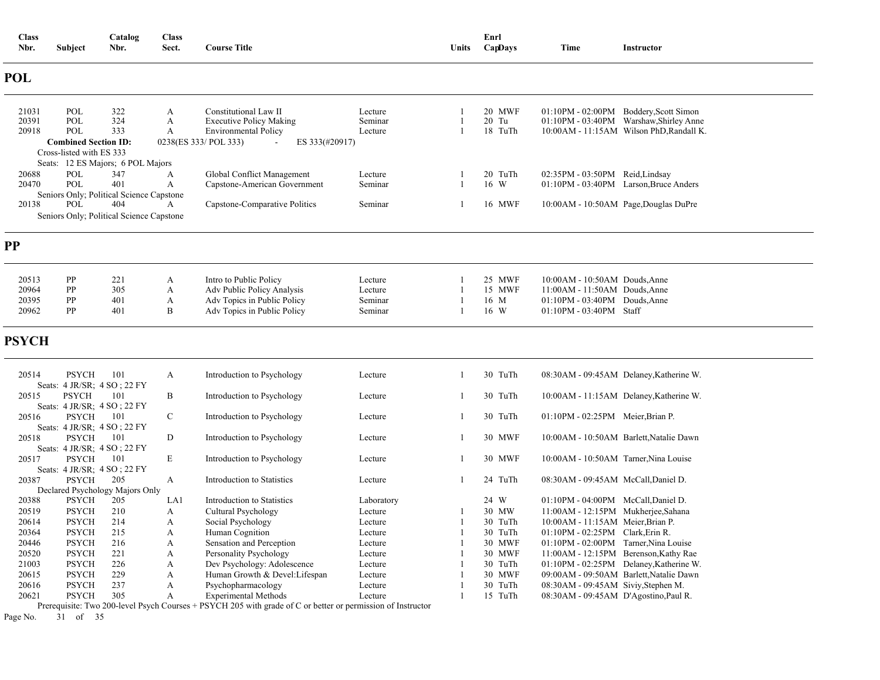| <b>Class</b><br>Nbr. | <b>Subject</b>                               | Catalog<br>Nbr.                          | <b>Class</b><br>Sect. | <b>Course Title</b>                                           |                    | <b>Units</b>   | Enrl<br>CapDays  | Time                                  | Instructor                                                                          |
|----------------------|----------------------------------------------|------------------------------------------|-----------------------|---------------------------------------------------------------|--------------------|----------------|------------------|---------------------------------------|-------------------------------------------------------------------------------------|
| <b>POL</b>           |                                              |                                          |                       |                                                               |                    |                |                  |                                       |                                                                                     |
| 21031                | POL                                          | 322                                      | A                     | Constitutional Law II                                         | Lecture            |                | 20 MWF           |                                       | 01:10PM - 02:00PM Boddery, Scott Simon                                              |
| 20391<br>20918       | POL<br>POL                                   | 324<br>333                               | A<br>A                | <b>Executive Policy Making</b><br><b>Environmental Policy</b> | Seminar<br>Lecture | 1              | 20 Tu<br>18 TuTh |                                       | 01:10PM - 03:40PM Warshaw, Shirley Anne<br>10:00AM - 11:15AM Wilson PhD, Randall K. |
|                      | <b>Combined Section ID:</b>                  |                                          |                       | 0238(ES 333/ POL 333)<br>ES 333(#20917)                       |                    |                |                  |                                       |                                                                                     |
|                      | Cross-listed with ES 333                     |                                          |                       |                                                               |                    |                |                  |                                       |                                                                                     |
|                      |                                              | Seats: 12 ES Majors; 6 POL Majors        |                       |                                                               |                    |                |                  |                                       |                                                                                     |
| 20688                | POL                                          | 347                                      | A                     | Global Conflict Management                                    | Lecture            |                | 20 TuTh          | 02:35PM - 03:50PM Reid, Lindsay       |                                                                                     |
| 20470                | POL                                          | 401                                      | A                     | Capstone-American Government                                  | Seminar            | $\overline{1}$ | 16 W             |                                       | 01:10PM - 03:40PM Larson, Bruce Anders                                              |
|                      |                                              | Seniors Only; Political Science Capstone |                       |                                                               |                    |                |                  |                                       |                                                                                     |
| 20138                | POL                                          | 404                                      | A                     | Capstone-Comparative Politics                                 | Seminar            | 1              | 16 MWF           |                                       | 10:00AM - 10:50AM Page, Douglas DuPre                                               |
|                      |                                              | Seniors Only; Political Science Capstone |                       |                                                               |                    |                |                  |                                       |                                                                                     |
| <b>PP</b>            |                                              |                                          |                       |                                                               |                    |                |                  |                                       |                                                                                     |
|                      |                                              |                                          |                       |                                                               |                    |                |                  |                                       |                                                                                     |
| 20513                | PP                                           | 221                                      | A                     | Intro to Public Policy                                        | Lecture            |                | 25 MWF           | 10:00AM - 10:50AM Douds, Anne         |                                                                                     |
| 20964                | PP                                           | 305                                      | A                     | Adv Public Policy Analysis                                    | Lecture            |                | 15 MWF           | $11:00AM - 11:50AM$ Douds, Anne       |                                                                                     |
| 20395                | PP                                           | 401                                      | A                     | Adv Topics in Public Policy                                   | Seminar            |                | 16 M             | $01:10PM - 03:40PM$ Douds, Anne       |                                                                                     |
| 20962                | PP                                           | 401                                      | B                     | Adv Topics in Public Policy                                   | Seminar            |                | 16 W             | 01:10PM - 03:40PM Staff               |                                                                                     |
| <b>PSYCH</b>         |                                              |                                          |                       |                                                               |                    |                |                  |                                       |                                                                                     |
| 20514                | <b>PSYCH</b><br>Seats: 4 JR/SR; 4 SO; 22 FY  | 101                                      | A                     | Introduction to Psychology                                    | Lecture            | 1              | 30 TuTh          |                                       | 08:30AM - 09:45AM Delaney, Katherine W.                                             |
| 20515                | <b>PSYCH</b><br>Seats: 4 JR/SR: 4 SO ; 22 FY | 101                                      | B                     | Introduction to Psychology                                    | Lecture            | -1             | 30 TuTh          |                                       | 10:00AM - 11:15AM Delaney, Katherine W.                                             |
| 20516                | <b>PSYCH</b><br>Seats: 4 JR/SR; 4 SO; 22 FY  | 101                                      | $\mathsf{C}$          | Introduction to Psychology                                    | Lecture            | 1              | 30 TuTh          | 01:10PM - 02:25PM Meier, Brian P.     |                                                                                     |
| 20518                | <b>PSYCH</b><br>Seats: 4 JR/SR; 4 SO; 22 FY  | 101                                      | D                     | Introduction to Psychology                                    | Lecture            | 1              | 30 MWF           |                                       | 10:00AM - 10:50AM Barlett, Natalie Dawn                                             |
| 20517                | <b>PSYCH</b><br>Seats: 4 JR/SR; 4 SO; 22 FY  | 101                                      | E                     | Introduction to Psychology                                    | Lecture            | -1             | 30 MWF           | 10:00AM - 10:50AM Tarner, Nina Louise |                                                                                     |
| 20387                | <b>PSYCH</b>                                 | 205<br>Declared Psychology Majors Only   | A                     | <b>Introduction to Statistics</b>                             | Lecture            | $\mathbf{1}$   | 24 TuTh          | 08:30AM - 09:45AM McCall, Daniel D.   |                                                                                     |
| 20388                | <b>PSYCH</b>                                 | 205                                      | LA1                   | Introduction to Statistics                                    | Laboratory         |                | 24 W             | 01:10PM - 04:00PM McCall, Daniel D.   |                                                                                     |
| 20519                | <b>PSYCH</b>                                 | 210                                      | A                     | Cultural Psychology                                           | Lecture            |                | 30 MW            | 11:00AM - 12:15PM Mukherjee, Sahana   |                                                                                     |
| 20614                | <b>PSYCH</b>                                 | 214                                      | A                     | Social Psychology                                             | Lecture            |                | 30 TuTh          | 10:00AM - 11:15AM Meier, Brian P.     |                                                                                     |
| 20364                | <b>PSYCH</b>                                 | 215                                      | A                     | Human Cognition                                               | Lecture            | $\mathbf{1}$   | 30 TuTh          | 01:10PM - 02:25PM Clark, Erin R.      |                                                                                     |
| 20446                | <b>PSYCH</b>                                 | 216                                      | A                     | Sensation and Perception                                      | Lecture            |                | 30 MWF           | 01:10PM - 02:00PM Tarner, Nina Louise |                                                                                     |
| 20520                | <b>PSYCH</b>                                 | 221                                      | A                     | Personality Psychology                                        | Lecture            |                | 30 MWF           |                                       | 11:00AM - 12:15PM Berenson, Kathy Rae                                               |
| 21003                | <b>PSYCH</b>                                 | 226                                      | A                     | Dev Psychology: Adolescence                                   | Lecture            |                | 30 TuTh          |                                       | 01:10PM - 02:25PM Delaney, Katherine W.                                             |
| 20615                | <b>PSYCH</b>                                 | 229                                      | A                     | Human Growth & Devel: Lifespan                                | Lecture            |                | 30 MWF           |                                       | 09:00AM - 09:50AM Barlett, Natalie Dawn                                             |
| 20616                | <b>PSYCH</b>                                 | 237                                      | А                     | Psychopharmacology                                            | Lecture            |                | 30 TuTh          | 08:30AM - 09:45AM Siviy, Stephen M.   |                                                                                     |
| 20621                | <b>PSYCH</b>                                 | 305                                      | A                     | <b>Experimental Methods</b>                                   | Lecture            | $\mathbf{1}$   | 15 TuTh          | 08:30AM - 09:45AM D'Agostino, Paul R. |                                                                                     |

Prerequisite: Two 200-level Psych Courses + PSYCH 205 with grade of C or better or permission of Instructor

Page No. 31 of 35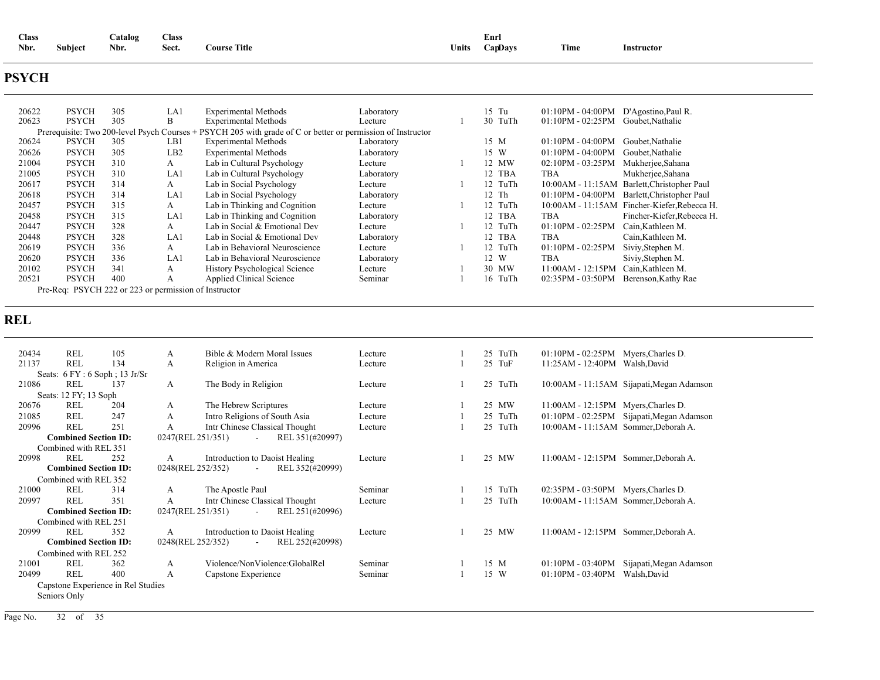| <b>Class</b> |                     | atalog | <b>Class</b><br>- - - - - |                       |       | Enri           |      |            |
|--------------|---------------------|--------|---------------------------|-----------------------|-------|----------------|------|------------|
| Nbr.         | $\cdots$<br>Subiect | Nbr.   | Sect.                     | <b>Title</b><br>ourse | ∪nits | <b>CapDays</b> | Time | Instructor |

### **PSYCH**

| 20622 | <b>PSYCH</b> | 305 | LA1                                                   | <b>Experimental Methods</b>                                                                                 | Laboratory | $15$ Tu | $01:10PM - 04:00PM$ | D'Agostino, Paul R.                           |
|-------|--------------|-----|-------------------------------------------------------|-------------------------------------------------------------------------------------------------------------|------------|---------|---------------------|-----------------------------------------------|
| 20623 | <b>PSYCH</b> | 305 | В                                                     | <b>Experimental Methods</b>                                                                                 | Lecture    | 30 TuTh | $01:10PM - 02:25PM$ | Goubet, Nathalie                              |
|       |              |     |                                                       | Prerequisite: Two 200-level Psych Courses + PSYCH 205 with grade of C or better or permission of Instructor |            |         |                     |                                               |
| 20624 | <b>PSYCH</b> | 305 | LB1                                                   | <b>Experimental Methods</b>                                                                                 | Laboratory | 15 M    | $01:10PM - 04:00PM$ | Goubet.Nathalie                               |
| 20626 | <b>PSYCH</b> | 305 | LB2                                                   | <b>Experimental Methods</b>                                                                                 | Laboratory | 15 W    | $01:10PM - 04:00PM$ | Goubet, Nathalie                              |
| 21004 | <b>PSYCH</b> | 310 | A                                                     | Lab in Cultural Psychology                                                                                  | Lecture    | 12 MW   | $02:10PM - 03:25PM$ | Mukherjee, Sahana                             |
| 21005 | <b>PSYCH</b> | 310 | LA1                                                   | Lab in Cultural Psychology                                                                                  | Laboratory | 12 TBA  | TBA                 | Mukherjee, Sahana                             |
| 20617 | <b>PSYCH</b> | 314 | A                                                     | Lab in Social Psychology                                                                                    | Lecture    | 12 TuTh |                     | 10:00 AM - 11:15 AM Barlett, Christopher Paul |
| 20618 | <b>PSYCH</b> | 314 | LA1                                                   | Lab in Social Psychology                                                                                    | Laboratory | 12 Th   | $01:10PM - 04:00PM$ | Barlett, Christopher Paul                     |
| 20457 | <b>PSYCH</b> | 315 | A                                                     | Lab in Thinking and Cognition                                                                               | Lecture    | 12 TuTh | $10:00AM - 11:15AM$ | Fincher-Kiefer, Rebecca H.                    |
| 20458 | <b>PSYCH</b> | 315 | LA1                                                   | Lab in Thinking and Cognition                                                                               | Laboratory | 12 TBA  | TBA                 | Fincher-Kiefer, Rebecca H.                    |
| 20447 | <b>PSYCH</b> | 328 | A                                                     | Lab in Social & Emotional Dev                                                                               | Lecture    | 12 TuTh | $01:10PM - 02:25PM$ | Cain, Kathleen M.                             |
| 20448 | <b>PSYCH</b> | 328 | LA1                                                   | Lab in Social & Emotional Dev                                                                               | Laboratory | 12 TBA  | TBA                 | Cain, Kathleen M.                             |
| 20619 | <b>PSYCH</b> | 336 | A                                                     | Lab in Behavioral Neuroscience                                                                              | Lecture    | 12 TuTh | $01:10PM - 02:25PM$ | Siviy, Stephen M.                             |
| 20620 | <b>PSYCH</b> | 336 | LA1                                                   | Lab in Behavioral Neuroscience                                                                              | Laboratory | 12 W    | TBA                 | Siviy, Stephen M.                             |
| 20102 | <b>PSYCH</b> | 341 | А                                                     | History Psychological Science                                                                               | Lecture    | 30 MW   | 11:00AM - 12:15PM   | Cain, Kathleen M.                             |
| 20521 | <b>PSYCH</b> | 400 | А                                                     | Applied Clinical Science                                                                                    | Seminar    | 16 TuTh | 02:35PM - 03:50PM   | Berenson, Kathy Rae                           |
|       |              |     | Pre-Req: PSYCH 222 or 223 or permission of Instructor |                                                                                                             |            |         |                     |                                               |

### **REL**

| 20434 | REL                         | 105                                | A            | Bible & Modern Moral Issues                    | Lecture | 25<br>TuTh | $01:10PM - 02:25PM$                  | Myers, Charles D.                           |
|-------|-----------------------------|------------------------------------|--------------|------------------------------------------------|---------|------------|--------------------------------------|---------------------------------------------|
| 21137 | <b>REL</b>                  | 134                                | A            | Religion in America                            | Lecture | 25<br>TuF  | 11:25AM - 12:40PM                    | Walsh, David                                |
|       |                             | Seats: $6 FY : 6 Soph : 13 Jr/Sr$  |              |                                                |         |            |                                      |                                             |
| 21086 | REL                         | 137                                | A            | The Body in Religion                           | Lecture | 25<br>TuTh |                                      | 10:00 AM - 11:15 AM Sijapati, Megan Adamson |
|       | Seats: 12 FY; 13 Soph       |                                    |              |                                                |         |            |                                      |                                             |
| 20676 | REL                         | 204                                | A            | The Hebrew Scriptures                          | Lecture | 25 MW      | $11:00AM - 12:15PM$                  | Myers, Charles D.                           |
| 21085 | <b>REL</b>                  | 247                                | A            | Intro Religions of South Asia                  | Lecture | 25 TuTh    | $01:10PM - 02:25PM$                  | Sijapati, Megan Adamson                     |
| 20996 | <b>REL</b>                  | 251                                | A            | Intr Chinese Classical Thought                 | Lecture | 25 TuTh    | 10:00AM - 11:15AM Sommer, Deborah A. |                                             |
|       | <b>Combined Section ID:</b> |                                    |              | 0247(REL 251/351)<br>REL 351(#20997)<br>$\sim$ |         |            |                                      |                                             |
|       | Combined with REL 351       |                                    |              |                                                |         |            |                                      |                                             |
| 20998 | <b>REL</b>                  | 252                                | A            | Introduction to Daoist Healing                 | Lecture | 25 MW      | $11:00AM - 12:15PM$                  | Sommer, Deborah A.                          |
|       | <b>Combined Section ID:</b> |                                    |              | 0248(REL 252/352)<br>REL 352(#20999)<br>$\sim$ |         |            |                                      |                                             |
|       | Combined with REL 352       |                                    |              |                                                |         |            |                                      |                                             |
| 21000 | REL                         | 314                                | $\mathbf{A}$ | The Apostle Paul                               | Seminar | 15 TuTh    | 02:35PM - 03:50PM Myers, Charles D.  |                                             |
| 20997 | <b>REL</b>                  | 351                                | А            | Intr Chinese Classical Thought                 | Lecture | 25 TuTh    | 10:00AM - 11:15AM Sommer, Deborah A. |                                             |
|       | <b>Combined Section ID:</b> |                                    |              | REL 251(#20996)<br>0247(REL 251/351)<br>$\sim$ |         |            |                                      |                                             |
|       | Combined with REL 251       |                                    |              |                                                |         |            |                                      |                                             |
| 20999 | REL                         | 352                                | A            | Introduction to Daoist Healing                 | Lecture | 25 MW      | $11:00AM - 12:15PM$                  | Sommer, Deborah A.                          |
|       | <b>Combined Section ID:</b> |                                    |              | 0248(REL 252/352)<br>REL 252(#20998)           |         |            |                                      |                                             |
|       | Combined with REL 252       |                                    |              |                                                |         |            |                                      |                                             |
| 21001 | REL                         | 362                                | A            | Violence/NonViolence:GlobalRel                 | Seminar | 15 M       | $01:10PM - 03:40PM$                  | Sijapati, Megan Adamson                     |
| 20499 | REL                         | 400                                | A            | Capstone Experience                            | Seminar | 15 W       | $01:10PM - 03:40PM$                  | Walsh, David                                |
|       |                             | Capstone Experience in Rel Studies |              |                                                |         |            |                                      |                                             |
|       | Seniors Only                |                                    |              |                                                |         |            |                                      |                                             |
|       |                             |                                    |              |                                                |         |            |                                      |                                             |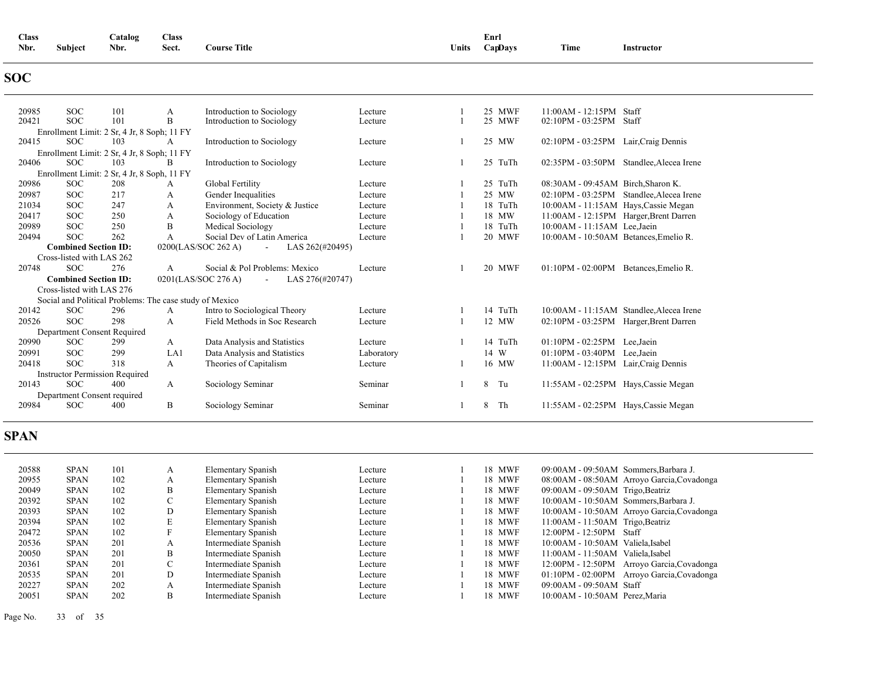| <b>Class</b> |                | Catalog | <b>Class</b>           |                     |       | Enrl    |      |            |
|--------------|----------------|---------|------------------------|---------------------|-------|---------|------|------------|
| Nbr.         | <b>Subject</b> | Nbr.    | $\sim$ $\sim$<br>Sect. | <b>Course Title</b> | Units | CapDays | Time | Instructor |
|              |                |         |                        |                     |       |         |      |            |

## **SOC**

| 20985 | <b>SOC</b>                  | 101                                         | A                                                       | Introduction to Sociology                        | Lecture    | 25 MWF        | $11:00AM - 12:15PM$                    | Staff                                      |
|-------|-----------------------------|---------------------------------------------|---------------------------------------------------------|--------------------------------------------------|------------|---------------|----------------------------------------|--------------------------------------------|
| 20421 | <b>SOC</b>                  | 101                                         | B                                                       | Introduction to Sociology                        | Lecture    | 25 MWF        | 02:10PM - 03:25PM                      | Staff                                      |
|       |                             | Enrollment Limit: 2 Sr, 4 Jr, 8 Soph; 11 FY |                                                         |                                                  |            |               |                                        |                                            |
| 20415 | <b>SOC</b>                  | 103                                         | A                                                       | Introduction to Sociology                        | Lecture    | 25 MW         | 02:10PM - 03:25PM                      | Lair, Craig Dennis                         |
|       |                             | Enrollment Limit: 2 Sr, 4 Jr, 8 Soph; 11 FY |                                                         |                                                  |            |               |                                        |                                            |
| 20406 | SOC.                        | 103                                         | B                                                       | Introduction to Sociology                        | Lecture    | 25<br>TuTh    | $02:35PM - 03:50PM$                    | Standlee, Alecea Irene                     |
|       |                             | Enrollment Limit: 2 Sr, 4 Jr, 8 Soph, 11 FY |                                                         |                                                  |            |               |                                        |                                            |
| 20986 | <b>SOC</b>                  | 208                                         | A                                                       | Global Fertility                                 | Lecture    | 25 TuTh       | 08:30AM - 09:45AM Birch, Sharon K.     |                                            |
| 20987 | <b>SOC</b>                  | 217                                         | A                                                       | Gender Inequalities                              | Lecture    | 25 MW         | 02:10PM - 03:25PM                      | Standlee, Alecea Irene                     |
| 21034 | <b>SOC</b>                  | 247                                         | А                                                       | Environment, Society & Justice                   | Lecture    | 18 TuTh       | 10:00AM - 11:15AM Hays, Cassie Megan   |                                            |
| 20417 | <b>SOC</b>                  | 250                                         | А                                                       | Sociology of Education                           | Lecture    | 18 MW         | 11:00AM - 12:15PM Harger, Brent Darren |                                            |
| 20989 | <b>SOC</b>                  | 250                                         | B                                                       | Medical Sociology                                | Lecture    | 18 TuTh       | 10:00AM - 11:15AM Lee.Jaein            |                                            |
| 20494 | <b>SOC</b>                  | 262                                         | A                                                       | Social Dev of Latin America                      | Lecture    | 20 MWF        | 10:00AM - 10:50AM Betances, Emelio R.  |                                            |
|       | <b>Combined Section ID:</b> |                                             |                                                         | 0200(LAS/SOC 262 A)<br>LAS 262(#20495)<br>$\sim$ |            |               |                                        |                                            |
|       | Cross-listed with LAS 262   |                                             |                                                         |                                                  |            |               |                                        |                                            |
| 20748 | <b>SOC</b>                  | 276                                         | A                                                       | Social & Pol Problems: Mexico                    | Lecture    | <b>20 MWF</b> | $01:10PM - 02:00PM$                    | Betances, Emelio R.                        |
|       | <b>Combined Section ID:</b> |                                             |                                                         | 0201(LAS/SOC 276 A)<br>LAS 276(#20747)           |            |               |                                        |                                            |
|       | Cross-listed with LAS 276   |                                             |                                                         |                                                  |            |               |                                        |                                            |
|       |                             |                                             | Social and Political Problems: The case study of Mexico |                                                  |            |               |                                        |                                            |
| 20142 | <b>SOC</b>                  | 296                                         | A                                                       | Intro to Sociological Theory                     | Lecture    | 14 TuTh       |                                        | 10:00 AM - 11:15 AM Standlee, Alecea Irene |
| 20526 | SOC.                        | 298                                         | A                                                       | Field Methods in Soc Research                    | Lecture    | 12 MW         | 02:10PM - 03:25PM                      | Harger, Brent Darren                       |
|       |                             | Department Consent Required                 |                                                         |                                                  |            |               |                                        |                                            |
| 20990 | SOC.                        | 299                                         | A                                                       | Data Analysis and Statistics                     | Lecture    | 14 TuTh       | $01:10PM - 02:25PM$                    | Lee.Jaein                                  |
| 20991 | <b>SOC</b>                  | 299                                         | LA1                                                     | Data Analysis and Statistics                     | Laboratory | 14 W          | $01:10PM - 03:40PM$                    | Lee.Jaein                                  |
| 20418 | SOC.                        | 318                                         | A                                                       | Theories of Capitalism                           | Lecture    | 16 MW         | 11:00AM - 12:15PM Lair, Craig Dennis   |                                            |
|       |                             | <b>Instructor Permission Required</b>       |                                                         |                                                  |            |               |                                        |                                            |
| 20143 | <b>SOC</b>                  | 400                                         | А                                                       | Sociology Seminar                                | Seminar    | 8<br>Tu       | 11:55AM - 02:25PM Hays, Cassie Megan   |                                            |
|       |                             | Department Consent required                 |                                                         |                                                  |            |               |                                        |                                            |
| 20984 | <b>SOC</b>                  | 400                                         | B                                                       | Sociology Seminar                                | Seminar    | 8<br>Th       | 11:55AM - 02:25PM Hays, Cassie Megan   |                                            |
|       |                             |                                             |                                                         |                                                  |            |               |                                        |                                            |

### **SPAN**

| 20588 | <b>SPAN</b> | 101 | А               | Elementary Spanish   | Lecture | 18 MWF | 09:00AM - 09:50AM Sommers, Barbara J.           |
|-------|-------------|-----|-----------------|----------------------|---------|--------|-------------------------------------------------|
| 20955 | <b>SPAN</b> | 102 | А               | Elementary Spanish   | Lecture | 18 MWF | 08:00AM - 08:50AM Arroyo Garcia, Covadonga      |
| 20049 | <b>SPAN</b> | 102 | B               | Elementary Spanish   | Lecture | 18 MWF | 09:00AM - 09:50AM Trigo, Beatriz                |
| 20392 | <b>SPAN</b> | 102 | $\sqrt{2}$<br>◡ | Elementary Spanish   | Lecture | 18 MWF | 10:00AM - 10:50AM Sommers, Barbara J.           |
| 20393 | <b>SPAN</b> | 102 | D               | Elementary Spanish   | Lecture | 18 MWF | 10:00AM - 10:50AM Arroyo Garcia, Covadonga      |
| 20394 | <b>SPAN</b> | 102 | Е               | Elementary Spanish   | Lecture | 18 MWF | $11:00AM - 11:50AM$ Trigo, Beatriz              |
| 20472 | <b>SPAN</b> | 102 |                 | Elementary Spanish   | Lecture | 18 MWF | $12:00PM - 12:50PM$<br>Staff                    |
| 20536 | <b>SPAN</b> | 201 | А               | Intermediate Spanish | Lecture | 18 MWF | 10:00AM - 10:50AM Valiela, Isabel               |
| 20050 | <b>SPAN</b> | 201 | B               | Intermediate Spanish | Lecture | 18 MWF | 11:00AM - 11:50AM Valiela, Isabel               |
| 20361 | <b>SPAN</b> | 201 | Ü               | Intermediate Spanish | Lecture | 18 MWF | 12:00PM - 12:50PM<br>Arroyo Garcia, Covadonga   |
| 20535 | <b>SPAN</b> | 201 | D               | Intermediate Spanish | Lecture | 18 MWF | $01:10PM - 02:00PM$<br>Arroyo Garcia, Covadonga |
| 20227 | <b>SPAN</b> | 202 | А               | Intermediate Spanish | Lecture | 18 MWF | 09:00AM - 09:50AM Staff                         |
| 20051 | <b>SPAN</b> | 202 | B               | Intermediate Spanish | Lecture | 18 MWF | 10:00AM - 10:50AM Perez, Maria                  |

Page No. 33 of 35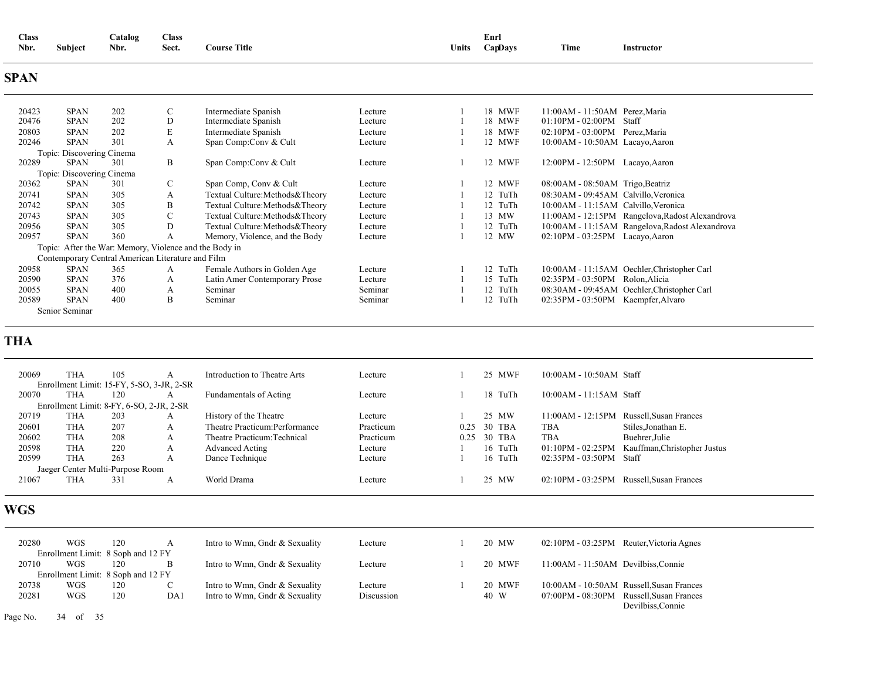| <b>Class</b> |                                | $\sim$<br><b>Catalog</b> | Class |                     |       | - Enr.  |      |            |  |
|--------------|--------------------------------|--------------------------|-------|---------------------|-------|---------|------|------------|--|
| Nbr.         | <b>Subject</b><br>$\mathbf{r}$ | Nbr.                     | Sect. | <b>Course Title</b> | Units | CapDavs | Time | Instructor |  |

### **SPAN**

| 20423 | <b>SPAN</b>               | 202 | $\mathbf{C}$                                           | Intermediate Spanish              | Lecture | 18 MWF  | $11:00AM - 11:50AM$ Perez, Maria                |
|-------|---------------------------|-----|--------------------------------------------------------|-----------------------------------|---------|---------|-------------------------------------------------|
| 20476 | <b>SPAN</b>               | 202 | D                                                      | Intermediate Spanish              | Lecture | 18 MWF  | $01:10PM - 02:00PM$<br>Staff                    |
| 20803 | <b>SPAN</b>               | 202 | E                                                      | Intermediate Spanish              | Lecture | 18 MWF  | 02:10PM - 03:00PM Perez, Maria                  |
| 20246 | <b>SPAN</b>               | 301 | A                                                      | Span Comp:Conv & Cult             | Lecture | 12 MWF  | $10:00AM - 10:50AM$ Lacayo, Aaron               |
|       | Topic: Discovering Cinema |     |                                                        |                                   |         |         |                                                 |
| 20289 | <b>SPAN</b>               | 301 | B                                                      | Span Comp:Conv & Cult             | Lecture | 12 MWF  | 12:00PM - 12:50PM<br>Lacayo, Aaron              |
|       | Topic: Discovering Cinema |     |                                                        |                                   |         |         |                                                 |
| 20362 | <b>SPAN</b>               | 301 | C                                                      | Span Comp, Conv & Cult            | Lecture | 12 MWF  | $08:00AM - 08:50AM$ Trigo, Beatriz              |
| 20741 | <b>SPAN</b>               | 305 | A                                                      | Textual Culture: Methods & Theory | Lecture | 12 TuTh | 08:30AM - 09:45AM Calvillo, Veronica            |
| 20742 | <b>SPAN</b>               | 305 | B                                                      | Textual Culture: Methods & Theory | Lecture | 12 TuTh | 10:00AM - 11:15AM Calvillo, Veronica            |
| 20743 | <b>SPAN</b>               | 305 | $\mathbf{C}$                                           | Textual Culture: Methods & Theory | Lecture | 13 MW   | 11:00AM - 12:15PM Rangelova, Radost Alexandrova |
| 20956 | <b>SPAN</b>               | 305 | D                                                      | Textual Culture: Methods & Theory | Lecture | 12 TuTh | 10:00AM - 11:15AM Rangelova, Radost Alexandrova |
| 20957 | <b>SPAN</b>               | 360 | A                                                      | Memory, Violence, and the Body    | Lecture | 12 MW   | 02:10PM - 03:25PM Lacayo, Aaron                 |
|       |                           |     | Topic: After the War: Memory, Violence and the Body in |                                   |         |         |                                                 |
|       |                           |     | Contemporary Central American Literature and Film      |                                   |         |         |                                                 |
| 20958 | <b>SPAN</b>               | 365 | А                                                      | Female Authors in Golden Age      | Lecture | 12 TuTh | 10:00 AM - 11:15 AM Oechler, Christopher Carl   |
| 20590 | <b>SPAN</b>               | 376 | A                                                      | Latin Amer Contemporary Prose     | Lecture | 15 TuTh | 02:35PM - 03:50PM<br>Rolon, Alicia              |
| 20055 | <b>SPAN</b>               | 400 | A                                                      | Seminar                           | Seminar | 12 TuTh | 08:30AM - 09:45AM Oechler, Christopher Carl     |
| 20589 | <b>SPAN</b>               | 400 | B                                                      | Seminar                           | Seminar | 12 TuTh | 02:35PM - 03:50PM Kaempfer, Alvaro              |
|       | Senior Seminar            |     |                                                        |                                   |         |         |                                                 |

### **THA**

| 20069 | THA                              | 105 |                                           | Introduction to Theatre Arts   | Lecture   |      | 25 MWF  | $10:00AM - 10:50AM$ Staff |                                          |
|-------|----------------------------------|-----|-------------------------------------------|--------------------------------|-----------|------|---------|---------------------------|------------------------------------------|
|       |                                  |     | Enrollment Limit: 15-FY, 5-SO, 3-JR, 2-SR |                                |           |      |         |                           |                                          |
| 20070 | THA                              | 120 |                                           | Fundamentals of Acting         | Lecture   |      | 18 TuTh | $10:00AM - 11:15AM$ Staff |                                          |
|       |                                  |     | Enrollment Limit: 8-FY, 6-SO, 2-JR, 2-SR  |                                |           |      |         |                           |                                          |
| 20719 | THA                              | 203 | А                                         | History of the Theatre         | Lecture   |      | 25 MW   |                           | 11:00AM - 12:15PM Russell, Susan Frances |
| 20601 | <b>THA</b>                       | 207 | A                                         | Theatre Practicum: Performance | Practicum | 0.25 | 30 TBA  | <b>TBA</b>                | Stiles.Jonathan E.                       |
| 20602 | THA                              | 208 | А                                         | Theatre Practicum: Technical   | Practicum | 0.25 | 30 TBA  | <b>TBA</b>                | Buehrer, Julie                           |
| 20598 | THA                              | 220 | А                                         | Advanced Acting                | Lecture   |      | 16 TuTh | $01:10PM - 02:25PM$       | Kauffman, Christopher Justus             |
| 20599 | THA                              | 263 | А                                         | Dance Technique                | Lecture   |      | 16 TuTh | $02:35PM - 03:50PM$       | Staff                                    |
|       | Jaeger Center Multi-Purpose Room |     |                                           |                                |           |      |         |                           |                                          |
| 21067 | THA                              | 331 |                                           | World Drama                    | Lecture   |      | 25 MW   | 02:10PM - 03:25PM         | Russell.Susan Frances                    |
|       |                                  |     |                                           |                                |           |      |         |                           |                                          |

### **WGS**

| 20280 | <b>WGS</b> | 120                                | A   | Intro to Wmn, Gndr & Sexuality | Lecture    | 20 MW  | 02:10PM - 03:25PM Reuter, Victoria Agnes |                                          |
|-------|------------|------------------------------------|-----|--------------------------------|------------|--------|------------------------------------------|------------------------------------------|
|       |            | Enrollment Limit: 8 Soph and 12 FY |     |                                |            |        |                                          |                                          |
| 20710 | WGS        | 120                                | B   | Intro to Wmn, Gndr & Sexuality | Lecture    | 20 MWF | 11:00AM - 11:50AM Devilbiss, Connie      |                                          |
|       |            | Enrollment Limit: 8 Soph and 12 FY |     |                                |            |        |                                          |                                          |
| 20738 | <b>WGS</b> | 120                                | C   | Intro to Wmn, Gndr & Sexuality | Lecture    | 20 MWF |                                          | 10:00AM - 10:50AM Russell, Susan Frances |
| 20281 | <b>WGS</b> | 120                                | DA1 | Intro to Wmn, Gndr & Sexuality | Discussion | 40 W   | 07:00PM - 08:30PM Russell.Susan Frances  |                                          |
|       |            |                                    |     |                                |            |        |                                          | Devilbiss.Connie                         |

Page No. 34 of 35